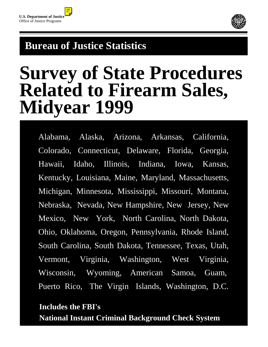

# **Bureau of Justice Statistics**

# **Survey of State Procedures Related to Firearm Sales, Midyear 1999**

 Alabama, Alaska, Arizona, Arkansas, California, Colorado, Connecticut, Delaware, Florida, Georgia, Hawaii, Idaho, Illinois, Indiana, Iowa, Kansas, Kentucky, Louisiana, Maine, Maryland, Massachusetts, Michigan, Minnesota, Mississippi, Missouri, Montana, Nebraska, Nevada, New Hampshire, New Jersey, New Mexico, New York, North Carolina, North Dakota, Ohio, Oklahoma, Oregon, Pennsylvania, Rhode Island, South Carolina, South Dakota, Tennessee, Texas, Utah, Vermont, Virginia, Washington, West Virginia, Wisconsin, Wyoming, American Samoa, Guam, Puerto Rico, The Virgin Islands, Washington, D.C.

# **Includes the FBI's National Instant Criminal Background Check System**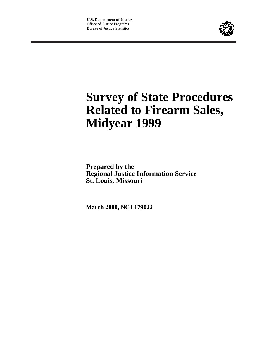

# **Survey of State Procedures Related to Firearm Sales, Midyear 1999**

**Prepared by the Regional Justice Information Service St. Louis, Missouri**

**March 2000, NCJ 179022**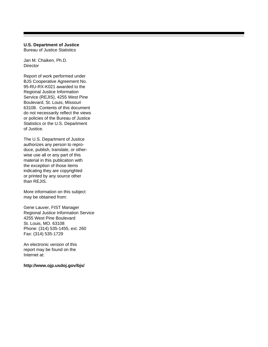# **U.S. Department of Justice**

Bureau of Justice Statistics

Jan M. Chaiken, Ph.D. **Director** 

Report of work performed under BJS Cooperative Agreement No. 95-RU-RX-K021 awarded to the Regional Justice Information Service (REJIS), 4255 West Pine Boulevard, St. Louis, Missouri 63108. Contents of this document do not necessarily reflect the views or policies of the Bureau of Justice Statistics or the U.S. Department of Justice.

The U.S. Department of Justice authorizes any person to reproduce, publish, translate, or otherwise use all or any part of this material in this publication with the exception of those items indicating they are copyrighted or printed by any source other than REJIS.

More information on this subject may be obtained from:

Gene Lauver, FIST Manager Regional Justice Information Service 4255 West Pine Boulevard St. Louis, MO. 63108 Phone: (314) 535-1455, ext. 260 Fax: (314) 535-1729

An electronic version of this report may be found on the Internet at:

**http://www.ojp.usdoj.gov/bjs/**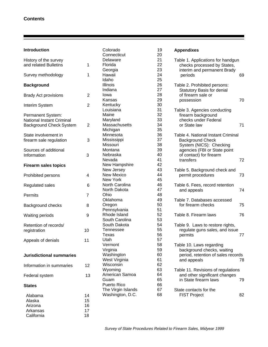| <b>Introduction</b>              |                | Colorado           | 19 |
|----------------------------------|----------------|--------------------|----|
|                                  |                | Connecticut        | 20 |
| History of the survey            |                | Delaware           | 21 |
| and related Bulletins            | 1              | Florida            | 22 |
|                                  |                | Georgia            | 23 |
| Survey methodology               | 1              | Hawaii             | 24 |
|                                  |                | Idaho              | 25 |
| <b>Background</b>                |                | Illinois           | 26 |
|                                  |                | Indiana            | 27 |
| <b>Brady Act provisions</b>      | $\overline{2}$ | Iowa               | 28 |
|                                  |                | Kansas             | 29 |
| Interim System                   | $\overline{2}$ | Kentucky           | 30 |
|                                  |                | Louisiana          | 31 |
| Permanent System:                |                | Maine              | 32 |
| <b>National Instant Criminal</b> |                | Maryland           | 33 |
| Background Check System          | $\overline{2}$ | Massachusetts      | 34 |
|                                  |                | Michigan           | 35 |
| State involvement in             |                | Minnesota          | 36 |
| firearm sale regulation          | 3              | Mississippi        | 37 |
|                                  |                | Missouri           | 38 |
| Sources of additional            |                | Montana            | 39 |
| Information                      | 3              | Nebraska           | 40 |
|                                  |                | Nevada             | 41 |
| <b>Firearm sales topics</b>      |                | New Hampshire      | 42 |
|                                  |                | New Jersey         | 43 |
| Prohibited persons               | 4              | <b>New Mexico</b>  | 44 |
|                                  |                | New York           | 45 |
| Regulated sales                  | 6              | North Carolina     | 46 |
|                                  |                | North Dakota       | 47 |
| Permits                          | 7              | Ohio               | 48 |
|                                  |                | Oklahoma           | 49 |
| Background checks                | 8              | Oregon             | 50 |
|                                  |                | Pennsylvania       | 51 |
| <b>Waiting periods</b>           | 9              | Rhode Island       | 52 |
|                                  |                | South Carolina     | 53 |
| Retention of records/            |                | South Dakota       | 54 |
| registration                     | 10             | Tennessee          | 55 |
|                                  |                | Texas              | 56 |
| Appeals of denials               | 11             | Utah               | 57 |
|                                  |                | Vermont            | 58 |
|                                  |                | Virginia           | 59 |
| <b>Jurisdictional summaries</b>  |                | Washington         | 60 |
|                                  |                | West Virginia      | 61 |
| Information in summaries         | 12             | Wisconsin          | 62 |
|                                  |                | Wyoming            | 63 |
| Federal system                   | 13             | American Samoa     | 64 |
|                                  |                | Guam               | 65 |
| <b>States</b>                    |                | <b>Puerto Rico</b> | 66 |
|                                  |                | The Virgin Islands | 67 |
| Alabama                          | 14             | Washington, D.C.   | 68 |
| Alaska                           | 15             |                    |    |
| Arizona                          | 16             |                    |    |
| Arkansas                         | 17             |                    |    |
| California                       | 18             |                    |    |

| <b>Appendixes</b>                                                                                                                                                |    |  |  |  |
|------------------------------------------------------------------------------------------------------------------------------------------------------------------|----|--|--|--|
| Table 1. Applications for handgun<br>checks processed by States,<br>interim and permanent Brady<br>periods                                                       | 69 |  |  |  |
| Table 2. Prohibited persons:<br><b>Statutory Basis for denial</b><br>of firearm sale or<br>possession                                                            | 70 |  |  |  |
| Table 3. Agencies conducting<br>firearm background<br>checks under Federal<br>or State law                                                                       | 71 |  |  |  |
| Table 4. National Instant Criminal<br><b>Background Check</b><br>System (NICS): Checking<br>agencies (FBI or State point<br>of contact) for firearm<br>transfers | 72 |  |  |  |
| Table 5. Background check and<br>permit procedures                                                                                                               | 73 |  |  |  |
| Table 6. Fees, record retention<br>and appeals                                                                                                                   | 74 |  |  |  |
| Table 7. Databases accessed<br>for firearm checks                                                                                                                | 75 |  |  |  |
| Table 8. Firearm laws                                                                                                                                            | 76 |  |  |  |
| Table 9. Laws to restore rights,<br>regulate guns sales, and issue<br>permits                                                                                    | 77 |  |  |  |
| Table 10. Laws regarding<br>background checks, waiting<br>period, retention of sales records<br>and appeals                                                      | 78 |  |  |  |
| Table 11. Revisions of regulations<br>and other significant changes<br>in State firearm laws                                                                     | 79 |  |  |  |
| State contacts for the<br><b>FIST Project</b>                                                                                                                    | 82 |  |  |  |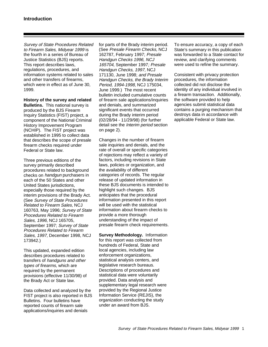Survey of State Procedures Related to Firearm Sales, Midyear 1999 is the fourth in a series of Bureau of Justice Statistics (BJS) reports. This report describes laws, regulations, procedures, and information systems related to sales and other transfers of firearms, which were in effect as of June 30, 1999.

**History of the survey and related**

**Bulletins.** This national survey is produced by the BJS Firearm Inquiry Statistics (FIST) project, a component of the National Criminal History Improvement Program (NCHIP). The FIST project was established in 1995 to collect data that describes the scope of presale firearm checks required under Federal or State law.

Three previous editions of the survey primarily described procedures related to background checks on handgun purchasers in each of the 50 States and other United States jurisdictions, especially those required by the interim provisions of the Brady Act. (See Survey of State Procedures Related to Firearm Sales, NCJ 160763, May 1996; Survey of State Procedures Related to Firearm Sales, 1996, NCJ 165705, September 1997; Survey of State Procedures Related to Firearm Sales, 1997, December 1998, NCJ 173942.)

This updated, expanded edition describes procedures related to transfers of handguns and other types of firearms, which are required by the permanent provisions (effective 11/30/98) of the Brady Act or State law.

Data collected and analyzed by the FIST project is also reported in BJS Bulletins. Four bulletins have reported counts of firearm sale applications/inquiries and denials

for parts of the Brady interim period. (See Presale Firearm Checks, NCJ 162787, February 1997; Presale Handgun Checks 1996, NCJ 165704, September 1997; Presale Handgun Checks, 1997, NCJ 171130, June 1998; and Presale Handgun Checks, the Brady Interim Period, 1994-1998, NCJ 175034, June 1999.) The most recent bulletin included cumulative counts of firearm sale applications/inquiries and denials, and summarized significant events that occurred during the Brady interim period (02/28/94 - 11/29/98) (for further detail see the Interim period section on page 2).

Changes in the number of firearm sale inquiries and denials, and the rate of overall or specific categories of rejections may reflect a variety of factors, including revisions in State laws, policies or organization, and the availability of different categories of records. The regular release of updated information in these BJS documents is intended to highlight such changes. BJS anticipates that the procedural information presented in this report will be used with the statistical information about firearm checks to provide a more thorough understanding of the impact of presale firearm check requirements.

**Survey Methodology.** Information for this report was collected from hundreds of Federal, State and local agencies, including law enforcement organizations, statistical analysis centers, and legislative research bureaus. Descriptions of procedures and statistical data were voluntarily provided. Data analysis and supplementary legal research were provided by the Regional Justice Information Service (REJIS), the organization conducting the study under an award from BJS.

To ensure accuracy, a copy of each State's summary in this publication was forwarded to a State contact for review, and clarifying comments were used to refine the summary.

Consistent with privacy protection procedures, the information collected did not disclose the identity of any individual involved in a firearm transaction. Additionally, the software provided to help agencies submit statistical data contains a purging mechanism that destroys data in accordance with applicable Federal or State law.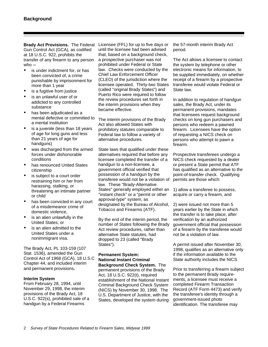**Brady Act Provisions.** The Federal Licensee (FFL) for up to five days or Gun Control Act (GCA), as codified at 18 U.S.C. 922, prohibits the transfer of any firearm to any person who  $-$ 

- is under indictment for, or has been convicted of, a crime punishable by imprisonment for more than 1 year
- is a fugitive from justice
- is an unlawful user of or addicted to any controlled substance
- has been adjudicated as a mental defective or committed to a mental institution
- is a juvenile (less than 18 years of age for long guns and less than 21 years of age for handguns)
- was discharged from the armed forces under dishonorable conditions
- has renounced United States citizenship
- is subject to a court order restraining him or her from harassing, stalking, or threatening an intimate partner or child
- has been convicted in any court of a misdemeanor crime of domestic violence,
- is an alien unlawfully in the United States, or
- is an alien admitted to the United States under a nonimmigrant visa.

The Brady Act, PL 103-159 (107 Stat. 1536), amended the Gun Control Act of 1968 (GCA), 18 U.S.C Chapter 44, and included interim and permanent provisions**.**

#### **Interim System**

From February 28, 1994, until November 29, 1998, the interim provisions of the Brady Act, 18 U.S.C. 922(s), prohibited sale of a handgun by a Federal Firearms

until the licensee had been advised that, based on a background check, a prospective purchaser was not prohibited under Federal or State law. Checks were conducted by the Chief Law Enforcement Officer (CLEO) of the jurisdiction where the licensee operated. Thirty-two States (called "original Brady States") and Puerto Rico were required to follow the review procedures set forth in the interim provisions when they became effective.

The interim provisions of the Brady Act also allowed States with prohibitory statutes comparable to Federal law to follow a variety of alternative procedures.

State laws that qualified under these alternatives required that before any licensee completed the transfer of a handgun to a non-licensee, a government official verified that possession of a handgun by the transferee would not be a violation of law. These "Brady-Alternative States" generally employed either an "instant check" or a "permit or other approval-type" system, as designated by the Bureau of Alcohol, Tobacco and Firearms (ATF).

By the end of the interim period, the number of States following the Brady Act review procedures, rather than alternative State statutes, had dropped to 23 (called "Brady States").

# **Permanent System: National Instant Criminal Background Check System.** The

permanent provisions of the Brady Act, 18 U.S.C. 922(t), required establishment of the National Instant Criminal Background Check System (NICS) by November 30, 1998. The U.S. Department of Justice, with the States, developed the system during

the 57-month interim Brady Act period.

The Act allows a licensee to contact the system by telephone or other electronic means for information, to be supplied immediately, on whether receipt of a firearm by a prospective transferee would violate Federal or State law.

In addition to regulation of handgun sales, the Brady Act, under its permanent provisions, mandates that licensees request background checks on long gun purchasers and persons who redeem a pawned firearm. Licensees have the option of requesting a NICS check on persons who attempt to pawn a firearm.

Prospective transferees undergo a NICS check requested by a dealer or present a State permit that ATF has qualified as an alternative to the point-of-transfer check. Qualifying permits are those which:

1) allow a transferee to possess, acquire or carry a firearm, and

2) were issued not more than 5 years earlier by the State in which the transfer is to take place, after verification by an authorized government official that possession of a firearm by the transferee would not be a violation of law.

A permit issued after November 30, 1998, qualifies as an alternative only if the information available to the State authority includes the NICS.

Prior to transferring a firearm subject to the permanent Brady requirements, a licensee must receive a completed Firearm Transaction Record (ATF Form 4473) and verify the transferee's identity through a government-issued photo identification. The transferee may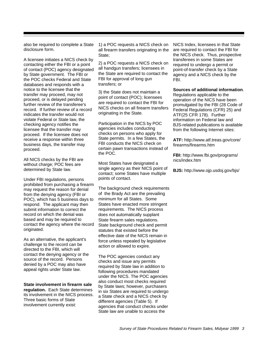also be required to complete a State disclosure form.

A licensee initiates a NICS check by contacting either the FBI or a point of contact (POC) agency designated by State government. The FBI or the POC checks Federal and State databases and responds with a notice to the licensee that the transfer may proceed, may not proceed, or is delayed pending further review of the transferee's record. If further review of a record indicates the transfer would not violate Federal or State law, the checking agency notifies the licensee that the transfer may proceed. If the licensee does not receive a response within three business days, the transfer may proceed.

All NICS checks by the FBI are without charge; POC fees are determined by State law.

Under FBI regulations, persons prohibited from purchasing a firearm may request the reason for denial from the denying agency (FBI or POC), which has 5 business days to respond. The applicant may then submit information to correct the record on which the denial was based and may be required to contact the agency where the record originated.

As an alternative, the applicant's challenge to the record can be directed to the FBI, which will contact the denying agency or the source of the record. Persons denied by a POC may also have appeal rights under State law.

**State involvement in firearm sale regulation.** Each State determines its involvement in the NICS process. Three basic forms of State involvement currently exist:

1) a POC requests a NICS check on all firearm transfers originating in the State;

2) a POC requests a NICS check on all handgun transfers; licensees in the State are required to contact the FBI for approval of long gun transfers; or

3) the State does not maintain a point of contact (POC); licensees are required to contact the FBI for NICS checks on all firearm transfers originating in the State.

Participation in the NICS by POC agencies includes conducting checks on persons who apply for State permits. In a few States, the FBI conducts the NICS check on certain pawn transactions instead of the POC.

Most States have designated a single agency as their NICS point of contact; some States have multiple points of contact.

The background check requirements of the Brady Act are the prevailing minimum for all States. Some States have enacted more stringent requirements. The NICS process does not automatically supplant State firearm sales regulations. State background check and permit statutes that existed before the effective date of the NICS remain in force unless repealed by legislative action or allowed to expire.

The POC agencies conduct any checks and issue any permits required by State law in addition to following procedures mandated under the NICS. The POC agencies also conduct most checks required by State laws; however, purchasers in six States are required to undergo a State check and a NICS check by different agencies (Table 5). If agencies that conduct checks under State law are unable to access the

NICS Index, licensees in that State are required to contact the FBI for the NICS check. Thus, prospective transferees in some States are required to undergo a permit or point-of-transfer check by a State agency and a NICS check by the FBI.

#### **Sources of additional information**.

Regulations applicable to the operation of the NICS have been promulgated by the FBI (28 Code of Federal Regulations (CFR) 25) and ATF(25 CFR 178). Further information on Federal law and BJS-related publications is available from the following Internet sites:

**ATF:** http://www.atf.treas.gov/core/ firearms/firearms.htm

**FBI:** http://www.fbi.gov/programs/ nics/index.htm

**BJS:** http://www.ojp.usdoj.gov/bjs/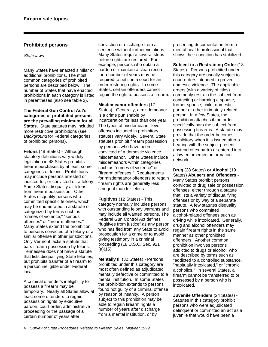# **Prohibited persons**

#### State laws

Many States have enacted similar or additional prohibitions. The most common categories of prohibited persons are described below. The number of States that have enacted prohibitions in each category is listed in parentheses (also see table 2).

**The Federal Gun Control Act's categories of prohibited persons are the prevailing minimum for all States.** State statutes may included more restrictive prohibitions (see Background for Federal categories of prohibited persons).

**Felons** (48 States) - Although statutory definitions vary widely, legislation in 48 States prohibits firearm purchases by at least some categories of felons. Prohibitions may include persons arrested or indicted for, or convicted of, a felony. Some States disqualify all felons from firearm possession. Other States disqualify persons who committed specific felonies, which may be enumerated in a statute or categorized by terms such as "crimes of violence," "serious offenses" or "firearm offenses." Many States extend the prohibition to persons convicted of a felony or a similar offense in other jurisdictions. Only Vermont lacks a statute that bars firearm possession by felons. Tennessee does not have a statute that lists disqualifying State felonies, but prohibits transfer of a firearm to a person ineligible under Federal law.

A criminal offender's ineligibility to possess a firearm may be temporary. Nearly all States allow at least some offenders to regain possession rights by executive pardon, court order, administrative proceeding or the passage of a certain number of years after

conviction or discharge from a sentence without further violations. Many States require several steps before rights are restored. For example, persons who obtain a pardon or maintain a clean record for a number of years may be required to petition a court for an order restoring rights. In some States, certain offenders cannot regain the right to possess a firearm.

**Misdemeanor offenders** (17 States) - Generally, a misdemeanor is a crime punishable by incarceration for less than one year. The types of misdemeanor-level offenses included in prohibitory statutes vary widely. Several State statutes prohibit firearm possession by persons who have been convicted of a domestic violence misdemeanor. Other States include misdemeanors within categories such as "crimes of violence" or "firearm offenses." Requirements for misdemeanor offenders to regain firearm rights are generally less stringent than for felons.

**Fugitives** (12 States) - This category normally includes persons with outstanding felony warrants and may include all wanted persons. The Federal Gun Control Act defines "fugitives from justice" as any person who has fled from any State to avoid prosecution for a crime or to avoid giving testimony in a criminal proceeding (18 U.S.C. Sec. 921  $(a)(15)$ .

**Mentally Ill** (32 States) - Persons prohibited under this category are most often defined as adjudicated mentally defective or committed to a mental institution. In some States the prohibition extends to persons found not guilty of a criminal offense by reason of insanity. A person subject to this prohibition may be able to regain firearm rights a number of years after discharge from a mental institution, or by

presenting documentation from a mental health professional that shows their condition has stabilized.

**Subject to a Restraining Order** (18 States) - Persons prohibited under this category are usually subject to court orders intended to prevent domestic violence. The applicable orders (with a variety of titles) commonly restrain the subject from contacting or harming a spouse, former spouse, child, domestic partner or other intimately-related person. In a few States, the prohibition attaches if the order specifically bars the subject from possessing firearms. A statute may provide that the order becomes prohibitory when it is issued after a hearing with the subject present (instead of ex parte) or entered into a law enforcement information network.

**Drug** (28 States) **or Alcohol** (19 States) **Abusers and Offenders** - Many States prohibit persons convicted of drug sale or possession offenses, either through a statute that lists a variety of disqualifying offenses or by way of a separate statute. A few statutes disqualify persons who committed alcohol-related offenses such as driving while intoxicated. Generally, drug and alcohol offenders may regain firearm rights in the same manner as other prohibited offenders. Another common prohibition involves persons addicted to drugs or alcohol, who are described by terms such as "addicted to a controlled substance," "habitually intoxicated," or "chronic alcoholics." In several States, a firearm cannot be transferred to or possessed by a person who is intoxicated.

**Juvenile Offenders** (24 States) - Statutes in this category prohibit persons who were adjudicated delinquent or committed an act as a juvenile that would have been a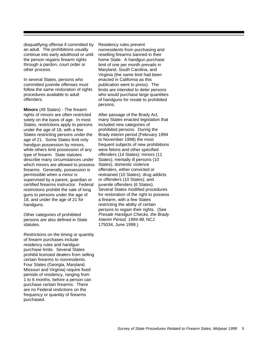disqualifying offense if committed by an adult. The prohibitions usually continue into early adulthood or until the person regains firearm rights through a pardon, court order or other process.

In several States, persons who committed juvenile offenses must follow the same restoration of rights procedures available to adult offenders.

**Minors** (49 States) - The firearm rights of minors are often restricted solely on the basis of age. In most States, restrictions apply to persons under the age of 18, with a few States restricting persons under the age of 21. Some States limit only handgun possession by minors, while others limit possession of any type of firearm. State statutes describe many circumstances under which minors are allowed to possess firearms. Generally, possession is permissible when a minor is supervised by a parent, guardian or certified firearms instructor. Federal restrictions prohibit the sale of long guns to persons under the age of 18, and under the age of 21 for handguns.

Other categories of prohibited persons are also defined in State statutes.

Restrictions on the timing or quantity of firearm purchases include residency rules and handgun purchase limits. Several States prohibit licensed dealers from selling certain firearms to nonresidents. Four States (Georgia, Maryland, Missouri and Virginia) require fixed periods of residency, ranging from 1 to 6 months, before a person can purchase certain firearms. There are no Federal restictions on the frequency or quantity of firearms purchased.

Residency rules prevent nonresidents from purchasing and reselling firearms banned in their home State. A handgun purchase limit of one per month prevails in Maryland, South Carolina, and Virginia (the same limit had been enacted in California as this publication went to press). The limits are intended to deter persons who would purchase large quantities of handguns for resale to prohibited persons.

After passage of the Brady Act, many States enacted legislation that included new categories of prohibited persons. During the Brady interim period (February 1994 to November 1998) the most frequent subjects of new prohibitions were felons and other specified offenders (14 States); minors (11 States); mentally ill persons (10 States); domestic violence offenders, either convicted or restrained (10 States); drug addicts or offenders (10 States); and juvenile offenders (6 States). Several States modified procedures for restoration of the right to possess a firearm, with a few States restricting the ability of certain persons to regain their rights. (See Presale Handgun Checks, the Brady Interim Period, 1994-98, NCJ 175034, June 1999.)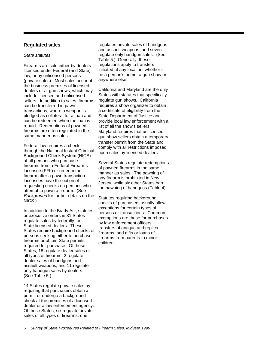## **Regulated sales**

#### State statutes

Firearms are sold either by dealers licensed under Federal (and State) law, or by unlicensed persons (private sales). Most sales occur at the business premises of licensed dealers or at gun shows, which may include licensed and unlicensed sellers. In addition to sales, firearms can be transferred in pawn transactions, where a weapon is pledged as collateral for a loan and can be redeemed when the loan is repaid. Redemptions of pawned firearms are often regulated in the same manner as sales.

Federal law requires a check through the National Instant Criminal Background Check System (NICS) of all persons who purchase firearms from a Federal Firearms Licensee (FFL) or redeem the firearm after a pawn transaction. Licensees have the option of requesting checks on persons who attempt to pawn a firearm. (See Background for further details on the NICS.)

In addition to the Brady Act, statutes or executive orders in 31 States regulate sales by federally- or State-licensed dealers. These States require background checks of persons seeking either to purchase firearms or obtain State permits required for purchase. Of these States, 18 regulate dealer sales of all types of firearms, 2 regulate dealer sales of handguns and assault weapons, and 11 regulate only handgun sales by dealers. (See Table 5.)

14 States regulate private sales by requiring that purchasers obtain a permit or undergo a background check at the premises of a licensed dealer or a law enforcement agency. Of these States, six regulate private sales of all types of firearms, one

regulates private sales of handguns and assault weapons, and seven regulate only handgun sales. (See Table 5.) Generally, these regulations apply to transfers initiated at any location, whether it be a person's home, a gun show or anywhere else.

California and Maryland are the only States with statutes that specifically regulate gun shows. California requires a show organizer to obtain a certificate of eligibility from the State Department of Justice and provide local law enforcement with a list of all the show's sellers. Maryland requires that unlicensed gun show sellers obtain a temporary transfer permit from the State and comply with all restrictions imposed upon sales by licensed dealers.

Several States regulate redemptions of pawned firearms in the same manner as sales. The pawning of any firearm is prohibited in New Jersey, while six other States ban the pawning of handguns (Table 4).

Statutes requiring background checks of purchasers usually allow exceptions for certain types of persons or transactions. Common exemptions are those for purchases by law enforcement officers, transfers of antique and replica firearms, and gifts or loans of firearms from parents to minor children.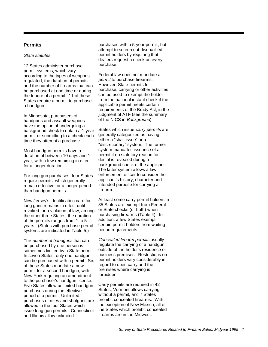# **Permits**

#### State statutes

12 States administer purchase permit systems, which vary according to the types of weapons regulated, the duration of permits and the number of firearms that can be purchased at one time or during the tenure of a permit. 11 of these States require a permit to purchase a handgun.

In Minnesota, purchasers of handguns and assault weapons have the option of undergoing a background check to obtain a 1-year permit or submitting to a check each time they attempt a purchase.

Most handgun permits have a duration of between 10 days and 1 year, with a few remaining in effect for a longer duration.

For long gun purchases, four States require permits, which generally remain effective for a longer period than handgun permits.

New Jersey's identification card for long guns remains in effect until revoked for a violation of law; among the other three States, the duration of the permits ranges from 1 to 5 years. (States with purchase permit systems are indicated in Table 5.)

The number of handguns that can be purchased by one person is sometimes limited by a State permit. In seven States, only one handgun can be purchased with a permit. Six of these States mandate a new permit for a second handgun, with New York requiring an amendment to the purchaser's handgun license. Five States allow unlimited handgun purchases during the effective period of a permit. Unlimited purchases of rifles and shotguns are allowed in the four States which issue long gun permits. Connecticut and Illinois allow unlimited

purchases with a 5-year permit, but attempt to screen out disqualified permit holders by requiring that dealers request a check on every purchase.

Federal law does not mandate a permit to purchase firearms. However, State permits for purchase, carrying or other activities can be used to exempt the holder from the national instant check if the applicable permit meets certain requirements of the Brady Act, in the judgment of ATF (see the summary of the NICS in Background).

States which issue *carry permits* are generally categorized as having either a "shall issue" or a "discretionary" system. The former system mandates issuance of a permit if no statutory reason for denial is revealed during a background check of the applicant. The latter system allows a law enforcement officer to consider the applicant's history, character and intended purpose for carrying a firearm.

At least some carry permit holders in 35 States are exempt from Federal or State checks (or both) when purchasing firearms (Table 4). In addition, a few States exempt certain permit holders from waiting period requirements.

Concealed firearm permits usually regulate the carrying of a handgun outside of the holder's residence or business premises. Restrictions on permit holders vary considerably in regard to open carry and the premises where carrying is forbidden.

Carry permits are required in 42 States; Vermont allows carrying without a permit, and 7 States prohibit concealed firearms. With the exception of New Mexico, all of the States which prohibit concealed firearms are in the Midwest.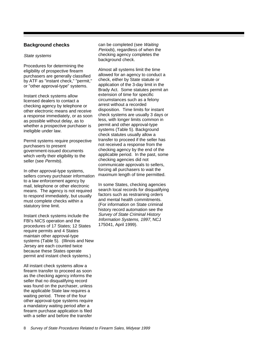# **Background checks**

#### State systems

Procedures for determining the eligibility of prospective firearm purchasers are generally classified by ATF as "instant check," "permit," or "other approval-type" systems.

Instant check systems allow licensed dealers to contact a checking agency by telephone or other electronic means and receive a response immediately, or as soon as possible without delay, as to whether a prospective purchaser is ineligible under law.

Permit systems require prospective purchasers to present government-issued documents which verify their eligibility to the seller (see Permits).

In other approval-type systems, sellers convey purchaser information to a law enforcement agency by mail, telephone or other electronic means. The agency is not required to respond immediately, but usually must complete checks within a statutory time limit.

Instant check systems include the FBI's NICS operation and the procedures of 17 States; 12 States require permits and 4 States maintain other approval-type systems (Table 5). (Illinois and New Jersey are each counted twice because these States operate permit and instant check systems.)

All instant check systems allow a firearm transfer to proceed as soon as the checking agency informs the seller that no disqualifying record was found on the purchaser, unless the applicable State law requires a waiting period. Three of the four other approval-type systems require a mandatory waiting period after a firearm purchase application is filed with a seller and before the transfer

can be completed (see Waiting Periods), regardless of when the checking agency completes the background check.

Almost all systems limit the time allowed for an agency to conduct a check, either by State statute or application of the 3-day limit in the Brady Act. Some statutes permit an extension of time for specific circumstances such as a felony arrest without a recorded disposition. Time limits for instant check systems are usually 3 days or less, with longer limits common in permit and other approval-type systems (Table 5). Background check statutes usually allow a transfer to proceed if the seller has not received a response from the checking agency by the end of the applicable period. In the past, some checking agencies did not communicate approvals to sellers, forcing all purchasers to wait the maximum length of time permitted.

In some States, checking agencies search local records for disqualifying factors such as restraining orders and mental health commitments. (For information on State criminal history record automation see the Survey of State Criminal History Information Systems, 1997, NCJ 175041, April 1999).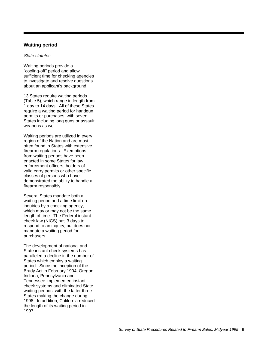# **Waiting period**

#### State statutes

Waiting periods provide a "cooling-off" period and allow sufficient time for checking agencies to investigate and resolve questions about an applicant's background.

13 States require waiting periods (Table 5), which range in length from 1 day to 14 days. All of these States require a waiting period for handgun permits or purchases, with seven States including long guns or assault weapons as well.

Waiting periods are utilized in every region of the Nation and are most often found in States with extensive firearm regulations. Exemptions from waiting periods have been enacted in some States for law enforcement officers, holders of valid carry permits or other specific classes of persons who have demonstrated the ability to handle a firearm responsibly.

Several States mandate both a waiting period and a time limit on inquiries by a checking agency, which may or may not be the same length of time. The Federal instant check law (NICS) has 3 days to respond to an inquiry, but does not mandate a waiting period for purchasers.

The development of national and State instant check systems has paralleled a decline in the number of States which employ a waiting period. Since the inception of the Brady Act in February 1994, Oregon, Indiana, Pennsylvania and Tennessee implemented instant check systems and eliminated State waiting periods, with the latter three States making the change during 1998. In addition, California reduced the length of its waiting period in 1997.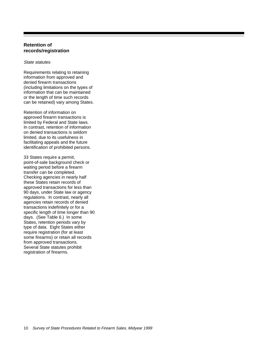# **Retention of records/registration**

#### State statutes

Requirements relating to retaining information from approved and denied firearm transactions (including limitations on the types of information that can be maintained or the length of time such records can be retained) vary among States.

Retention of information on approved firearm transactions is limited by Federal and State laws. In contrast, retention of information on denied transactions is seldom limited, due to its usefulness in facilitating appeals and the future identification of prohibited persons.

33 States require a permit, point-of-sale background check or waiting period before a firearm transfer can be completed. Checking agencies in nearly half these States retain records of approved transactions for less than 90 days, under State law or agency regulations. In contrast, nearly all agencies retain records of denied transactions indefinitely or for a specific length of time longer than 90 days. (See Table 6.) In some States, retention periods vary by type of data. Eight States either require registration (for at least some firearms) or retain all records from approved transactions. Several State statutes prohibit registration of firearms.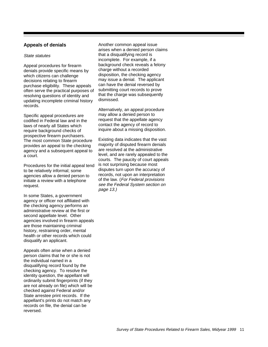# **Appeals of denials**

#### State statutes

Appeal procedures for firearm denials provide specific means by which citizens can challenge decisions relating to firearm purchase eligibility. These appeals often serve the practical purposes of resolving questions of identity and updating incomplete criminal history records.

Specific appeal procedures are codified in Federal law and in the laws of nearly all States which require background checks of prospective firearm purchasers. The most common State procedure provides an appeal to the checking agency and a subsequent appeal to a court.

Procedures for the initial appeal tend to be relatively informal; some agencies allow a denied person to initiate a review with a telephone request.

In some States, a government agency or officer not affiliated with the checking agency performs an administrative review at the first or second appellate level. Other agencies involved in firearm appeals are those maintaining criminal history, restraining order, mental health or other records which could disqualify an applicant.

Appeals often arise when a denied person claims that he or she is not the individual named in a disqualifying record found by the checking agency. To resolve the identity question, the appellant will ordinarily submit fingerprints (if they are not already on file) which will be checked against Federal and/or State arrestee print records. If the appellant's prints do not match any records on file, the denial can be reversed.

Another common appeal issue arises when a denied person claims that a disqualifying record is incomplete. For example, if a background check reveals a felony charge without a recorded disposition, the checking agency may issue a denial. The applicant can have the denial reversed by submitting court records to prove that the charge was subsequently dismissed.

Alternatively, an appeal procedure may allow a denied person to request that the appellate agency contact the agency of record to inquire about a missing disposition.

Existing data indicates that the vast majority of disputed firearm denials are resolved at the administrative level, and are rarely appealed to the courts. The paucity of court appeals is not surprising because most disputes turn upon the accuracy of records, not upon an interpretation of the law. (For Federal provisions see the Federal System section on page 13.)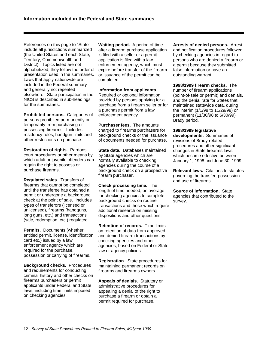References on this page to "State" include all jurisdictions summarized (the United States and each State, Territory, Commonwealth and District). Topics listed are not alphabetized; they follow the order of presentation used in the summaries. Laws that apply nationwide are included in the Federal summary and generally not repeated elsewhere. State participation in the NICS is described in sub-headings for the summaries.

**Prohibited persons.** Categories of persons prohibited permanently or temporarily from purchasing or possessing firearms. Includes residency rules, handgun limits and other restrictions on purchase.

**Restoration of rights.** Pardons, court procedures or other means by which adult or juvenile offenders can regain the right to possess or purchase firearms.

**Regulated sales.** Transfers of firearms that cannot be completed until the transferee has obtained a permit or undergone a background check at the point of sale. Includes types of transferors (licensed or unlicensed), firearms (handguns, long guns, etc.) and transactions (sale, redemption, etc.) regulated.

**Permits.** Documents (whether entitled permit, license, identification card etc.) issued by a law enforcement agency which are required for the purchase, possession or carrying of firearms.

**Background checks.** Procedures and requirements for conducting criminal history and other checks on firearms purchasers or permit applicants under Federal and State laws, including time limits imposed on checking agencies.

**Waiting period.** A period of time after a firearm purchase application is filed with a seller or a permit application is filed with a law enforcement agency, which must expire before transfer of the firearm or issuance of the permit can be completed.

**Information from applicants.** Required or optional information provided by persons applying for a purchase from a firearm seller or for a purchase permit from a law enforcement agency.

**Purchaser fees.** The amounts charged to firearms purchasers for background checks or the issuance of documents needed for purchase.

**State data.** Databases maintained by State agencies which are normally available to checking agencies during the course of a background check on a prospective firearm purchaser.

**Check processing time.** The length of time needed, on average, for checking agencies to complete background checks on routine transactions and those which require additional research on missing dispositions and other questions.

**Retention of records.** Time limits on retention of data from approved and denied firearm transactions by checking agencies and other agencies, based on Federal or State law or agency policies.

**Registration.** State procedures for maintaining permanent records on firearms and firearms owners.

**Appeals of denials.** Statutory or administrative procedures for appealing a denial of the right to purchase a firearm or obtain a permit required for purchase.

**Arrests of denied persons.** Arrest and notification procedures followed by checking agencies in regard to persons who are denied a firearm or a permit because they submitted false information or have an outstanding warrant.

**1998/1999 firearm checks.** The number of firearm applications (point-of-sale or permit) and denials, and the denial rate for States that maintained statewide data, during the interim (1/1/98 to 11/29/98) or permanent (11/30/98 to 6/30/99) Brady period.

**1998/1999 legislative**

**developments.** Summaries of revisions of Brady-related procedures and other significant changes in State firearms laws which became effective between January 1, 1998 and June 30, 1999.

**Relevant laws.** Citations to statutes governing the transfer, possession and use of firearms.

**Source of information.** State agencies that contributed to the survey.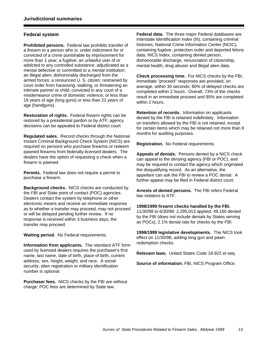# **Federal system**

**Prohibited persons.** Federal law prohibits transfer of a firearm to a person who is: under indictment for or convicted of a crime punishable by imprisonment for more than 1 year; a fugitive; an unlawful user of or addicted to any controlled substance; adjudicated as a mental defective or committed to a mental institution; an illegal alien; dishonorably discharged from the armed forces; a renounced U. S. citizen; restrained by court order from harassing, stalking, or threatening an intimate partner or child; convicted in any court of a misdemeanor crime of domestic violence; or less than 18 years of age (long guns) or less than 21 years of age (handguns).

**Restoration of rights.** Federal firearm rights can be restored by a presidential pardon or by ATF; agency decisions can be appealed to Federal district court.

**Regulated sales.** Record checks through the National Instant Criminal Background Check System (NICS) are required on persons who purchase firearms or redeem pawned firearms from federally-licensed dealers. The dealers have the option of requesting a check when a firearm is pawned.

**Permits.** Federal law does not require a permit to purchase a firearm.

**Background checks.** NICS checks are conducted by the FBI and State point of contact (POC) agencies. Dealers contact the system by telephone or other electronic means and receive an immediate response as to whether a transfer may proceed, may not proceed or will be delayed pending further review. If no response is received within 3 business days, the transfer may proceed.

**Waiting period.** No Federal requirements.

**Information from applicants.** The standard ATF form used by licensed dealers requires the purchaser's first name, last name, date of birth, place of birth, current address, sex, height, weight, and race. A social security, alien registration or military identification number is optional.

**Purchaser fees.** NICS checks by the FBI are without charge; POC fees are determined by State law.

**Federal data.** The three major Federal databases are Interstate Identification Index (III), containing criminal histories; National Crime Information Center (NCIC), containing fugitive, protection order and deported felons data; NICS Index, containing denied person, dishonorable discharge, renunciation of citizenship, mental health, drug abuser and illegal alien data.

**Check processing time.** For NICS checks by the FBI, immediate "proceed" responses are provided, on average, within 30 seconds; 80% of delayed checks are completed within 2 hours. Overall, 73% of the checks result in an immediate proceed and 95% are completed within 2 hours.

**Retention of records.** Information on applicants denied by the FBI is retained indefinitely. Information on transfers allowed by the FBI is not retained, except for certain items which may be retained not more than 6 months for auditing purposes.

**Registration.** No Federal requirements.

**Appeals of denials.** Persons denied by a NICS check can appeal to the denying agency (FBI or POC), and may be required to contact the agency which originated the disqualifying record. As an alternative, the appellant can ask the FBI to review a POC denial. A further appeal may be filed in Federal district court.

**Arrests of denied persons.** The FBI refers Federal law violators to ATF.

**1998/1999 firearm checks handled by the FBI.** 11/30/98 to 6/30/99: 2,295,013 applied; 49,160 denied by the FBI (does not include denials by States serving as POCs), 2.1% denial rate for checks by the FBI.

**1998/1999 legislative developments.** The NICS took effect on 11/30/98, adding long gun and pawn redemption checks.

**Relevant laws.** United States Code 18-922 et seq.

**Source of information.** FBI, NICS Program Office.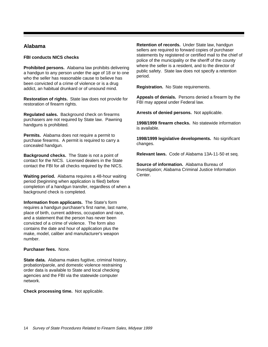# **Alabama**

#### **FBI conducts NICS checks**

**Prohibited persons.** Alabama law prohibits delivering a handgun to any person under the age of 18 or to one who the seller has reasonable cause to believe has been convicted of a crime of violence or is a drug addict, an habitual drunkard or of unsound mind.

**Restoration of rights.** State law does not provide for restoration of firearm rights.

**Regulated sales.** Background check on firearms purchasers are not required by State law. Pawning handguns is prohibited.

**Permits.** Alabama does not require a permit to purchase firearms. A permit is required to carry a concealed handgun.

**Background checks.** The State is not a point of contact for the NICS. Licensed dealers in the State contact the FBI for all checks required by the NICS.

**Waiting period.** Alabama requires a 48-hour waiting period (beginning when application is filed) before completion of a handgun transfer, regardless of when a background check is completed.

**Information from applicants.** The State's form requires a handgun purchaser's first name, last name, place of birth, current address, occupation and race, and a statement that the person has never been convicted of a crime of violence. The form also contains the date and hour of application plus the make, model, caliber and manufacturer's weapon number.

#### **Purchaser fees.** None.

**State data.** Alabama makes fugitive, criminal history, probation/parole, and domestic violence restraining order data is available to State and local checking agencies and the FBI via the statewide computer network.

**Check processing time.** Not applicable.

**Retention of records.** Under State law, handgun sellers are required to forward copies of purchaser statements by registered or certified mail to the chief of police of the municipality or the sheriff of the county where the seller is a resident, and to the director of public safety. State law does not specify a retention period.

**Registration.** No State requirements.

**Appeals of denials.** Persons denied a firearm by the FBI may appeal under Federal law.

**Arrests of denied persons.** Not applicable.

**1998/1999 firearm checks.** No statewide information is available.

**1998/1999 legislative developments.** No significant changes.

**Relevant laws.** Code of Alabama 13A-11-50 et seq.

**Source of information.** Alabama Bureau of Investigation; Alabama Criminal Justice Information **Center**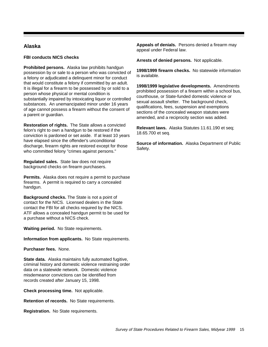# **Alaska**

### **FBI conducts NICS checks**

**Prohibited persons.** Alaska law prohibits handgun possession by or sale to a person who was convicted of a felony or adjudicated a delinquent minor for conduct that would constitute a felony if committed by an adult. It is illegal for a firearm to be possessed by or sold to a person whose physical or mental condition is substantially impaired by intoxicating liquor or controlled substances. An unemancipated minor under 16 years of age cannot possess a firearm without the consent of a parent or guardian.

**Restoration of rights.** The State allows a convicted felon's right to own a handgun to be restored if the conviction is pardoned or set aside. If at least 10 years have elapsed since the offender's unconditional discharge, firearm rights are restored except for those who committed felony "crimes against persons."

**Regulated sales.** State law does not require background checks on firearm purchasers.

**Permits.** Alaska does not require a permit to purchase firearms. A permit is required to carry a concealed handgun.

**Background checks.** The State is not a point of contact for the NICS. Licensed dealers in the State contact the FBI for all checks required by the NICS. ATF allows a concealed handgun permit to be used for a purchase without a NICS check.

**Waiting period.** No State requirements.

**Information from applicants.** No State requirements.

**Purchaser fees.** None.

**State data.** Alaska maintains fully automated fugitive, criminal history and domestic violence restraining order data on a statewide network. Domestic violence misdemeanor convictions can be identified from records created after January 15, 1998.

**Check processing time.** Not applicable.

**Retention of records.** No State requirements.

**Registration.** No State requirements.

**Appeals of denials.** Persons denied a firearm may appeal under Federal law.

**Arrests of denied persons.** Not applicable.

**1998/1999 firearm checks.** No statewide information is available.

**1998/1999 legislative developments.** Amendments prohibited possession of a firearm within a school bus, courthouse, or State-funded domestic violence or sexual assault shelter. The background check, qualifications, fees, suspension and exemptions sections of the concealed weapon statutes were amended, and a reciprocity section was added.

**Relevant laws.** Alaska Statutes 11.61.190 et seq; 18.65.700 et seq.

**Source of information.** Alaska Department of Public Safety.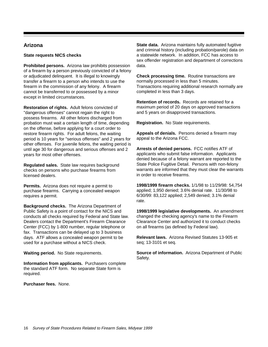# **Arizona**

# **State requests NICS checks**

**Prohibited persons.** Arizona law prohibits possession of a firearm by a person previously convicted of a felony or adjudicated delinquent. It is illegal to knowingly transfer a firearm to a person who intends to use the firearm in the commission of any felony. A firearm cannot be transferred to or possessed by a minor except in limited circumstances.

**Restoration of rights.** Adult felons convicted of "dangerous offenses" cannot regain the right to possess firearms. All other felons discharged from probation must wait a certain length of time, depending on the offense, before applying for a court order to restore firearm rights. For adult felons, the waiting period is 10 years for "serious offenses" and 2 years for other offenses. For juvenile felons, the waiting period is until age 30 for dangerous and serious offenses and 2 years for most other offenses.

**Regulated sales.** State law requires background checks on persons who purchase firearms from licensed dealers.

**Permits.** Arizona does not require a permit to purchase firearms. Carrying a concealed weapon requires a permit.

**Background checks.** The Arizona Department of Public Safety is a point of contact for the NICS and conducts all checks required by Federal and State law. Dealers contact the Department's Firearm Clearance Center (FCC) by 1-800 number, regular telephone or fax. Transactions can be delayed up to 3 business days. ATF allows a concealed weapon permit to be used for a purchase without a NICS check.

**Waiting period.** No State requirements.

**Information from applicants.** Purchasers complete the standard ATF form. No separate State form is required.

**Purchaser fees.** None.

**State data.** Arizona maintains fully automated fugitive and criminal history (including probation/parole) data on a statewide network. In addition, FCC has access to sex offender registration and department of corrections data.

**Check processing time.** Routine transactions are normally processed in less than 5 minutes. Transactions requiring additional research normally are completed in less than 3 days.

**Retention of records.** Records are retained for a maximum period of 20 days on approved transactions and 5 years on disapproved transactions.

**Registration.** No State requirements.

**Appeals of denials.** Persons denied a firearm may appeal to the Arizona FCC.

**Arrests of denied persons.** FCC notifies ATF of applicants who submit false information. Applicants denied because of a felony warrant are reported to the State Police Fugitive Detail. Persons with non-felony warrants are informed that they must clear the warrants in order to receive firearms.

**1998/1999 firearm checks.** 1/1/98 to 11/29/98: 54,754 applied; 1,950 denied; 3.6% denial rate. 11/30/98 to 6/30/99: 83,122 applied; 2,549 denied; 3.1% denial rate.

**1998/1999 legislative developments.** An amendment changed the checking agency's name to the Firearm Clearance Center and authorized it to conduct checks on all firearms (as defined by Federal law).

**Relevant laws.** Arizona Revised Statutes 13-905 et seq; 13-3101 et seq.

**Source of information.** Arizona Department of Public Safety.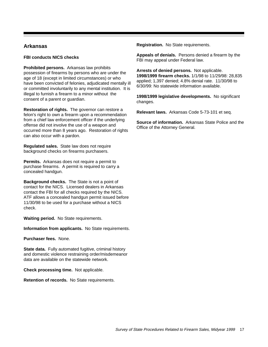# **Arkansas**

#### **FBI conducts NICS checks**

**Prohibited persons.** Arkansas law prohibits possession of firearms by persons who are under the age of 18 (except in limited circumstances) or who have been convicted of felonies, adjudicated mentally ill or committed involuntarily to any mental institution. It is illegal to furnish a firearm to a minor without the consent of a parent or guardian.

**Restoration of rights.** The governor can restore a felon's right to own a firearm upon a recommendation from a chief law enforcement officer if the underlying offense did not involve the use of a weapon and occurred more than 8 years ago. Restoration of rights can also occur with a pardon.

**Regulated sales.** State law does not require background checks on firearms purchasers.

**Permits.** Arkansas does not require a permit to purchase firearms. A permit is required to carry a concealed handgun.

**Background checks.** The State is not a point of contact for the NICS. Licensed dealers in Arkansas contact the FBI for all checks required by the NICS. ATF allows a concealed handgun permit issued before 11/30/98 to be used for a purchase without a NICS check.

**Waiting period.** No State requirements.

**Information from applicants.** No State requirements.

**Purchaser fees.** None.

**State data.** Fully automated fugitive, criminal history and domestic violence restraining order/misdemeanor data are available on the statewide network.

**Check processing time.** Not applicable.

**Retention of records.** No State requirements.

**Registration.** No State requirements.

**Appeals of denials.** Persons denied a firearm by the FBI may appeal under Federal law.

**Arrests of denied persons.** Not applicable. **1998/1999 firearm checks.** 1/1/98 to 11/29/98: 28,835 applied; 1,397 denied; 4.8% denial rate. 11/30/98 to 6/30/99: No statewide information available.

**1998/1999 legislative developments.** No significant changes.

**Relevant laws.** Arkansas Code 5-73-101 et seq.

**Source of information.** Arkansas State Police and the Office of the Attorney General.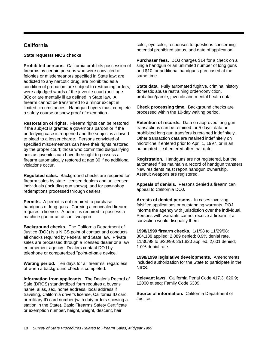# **California**

### **State requests NICS checks**

**Prohibited persons.** California prohibits possession of firearms by certain persons who were convicted of felonies or misdemeanors specified in State law; are addicted to any narcotic drug; are prohibited as a condition of probation; are subject to restraining orders; were adjudged wards of the juvenile court (until age 30); or are mentally ill as defined in State law. A firearm cannot be transferred to a minor except in limited circumstances. Handgun buyers must complete a safety course or show proof of exemption.

**Restoration of rights.** Firearm rights can be restored if the subject is granted a governor's pardon or if the underlying case is reopened and the subject is allowed to plead to a lesser charge. Persons convicted of specified misdemeanors can have their rights restored by the proper court; those who committed disqualifying acts as juveniles can have their right to possess a firearm automatically restored at age 30 if no additional violations occur.

**Regulated sales.** Background checks are required for firearm sales by state-licensed dealers and unlicensed individuals (including gun shows), and for pawnshop redemptions processed through dealers.

**Permits.** A permit is not required to purchase handguns or long guns. Carrying a concealed firearm requires a license. A permit is required to possess a machine gun or an assault weapon.

**Background checks.** The California Department of Justice (DOJ) is a NICS point of contact and conducts all checks required by Federal and State law. Private sales are processed through a licensed dealer or a law enforcement agency. Dealers contact DOJ by telephone or computerized "point-of-sale device."

**Waiting period.** Ten days for all firearms, regardless of when a background check is completed.

**Information from applicants.** The Dealer's Record of Sale (DROS) standardized form requires a buyer's name, alias, sex, home address, local address if traveling, California driver's license, California ID card or military ID card number (with duty orders showing a station in the State), Basic Firearms Safety Certificate or exemption number, height, weight, descent, hair

color, eye color, responses to questions concerning potential prohibited status, and date of application.

**Purchaser fees.** DOJ charges \$14 for a check on a single handgun or an unlimited number of long guns and \$10 for additional handguns purchased at the same time.

**State data.** Fully automated fugitive, criminal history, domestic abuse restraining order/conviction, probation/parole, juvenile and mental health data.

**Check processing time.** Background checks are processed within the 10-day waiting period.

**Retention of records.** Data on approved long gun transactions can be retained for 5 days; data on prohibited long gun transfers is retained indefinitely. Other transaction data are retained indefinitely on microfiche if entered prior to April 1, 1997, or in an automated file if entered after that date.

**Registration.** Handguns are not registered, but the automated files maintain a record of handgun transfers. New residents must report handgun ownership. Assault weapons are registered.

**Appeals of denials.** Persons denied a firearm can appeal to California DOJ.

**Arrests of denied persons.** In cases involving falsified applications or outstanding warrants, DOJ informs the agency with jurisdiction over the individual. Persons with warrants cannot receive a firearm if a conviction would disqualify them.

**1998/1999 firearm checks.** 1/1/98 to 11/29/98: 304,188 applied; 2,889 denied; 0.9% denial rate. 11/30/98 to 6/30/99: 251,820 applied; 2,601 denied; 1.0% denial rate.

**1998/1999 legislative developments.** Amendments included authorization for the State to participate in the NICS.

**Relevant laws.** California Penal Code 417.3; 626.9; 12000 et seq; Family Code 6389.

**Source of information.** California Department of Justice.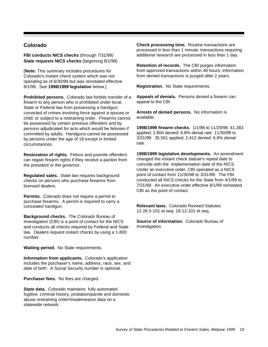# **Colorado**

**FBI conducts NICS checks** (through 7/31/99) **State requests NICS checks** (beginning 8/1/99)

[**Note:** This summary includes procedures for Colorado's instant check system which was not operating as of 6/30/99 but was reinstated effective 8/1/99. See **1998/1999 legislation** below.]

**Prohibited persons.** Colorado law forbids transfer of a firearm to any person who is prohibited under local, State or Federal law from possessing a handgun; convicted of crimes involving force against a spouse or child; or subject to a restraining order. Firearms cannot be possessed by certain previous offenders and by persons adjudicated for acts which would be felonies if committed by adults. Handguns cannot be possessed by persons under the age of 18 except in limited circumstances.

**Restoration of rights.** Felons and juvenile offenders can regain firearm rights if they receive a pardon from the president or the governor.

**Regulated sales.** State law requires background checks on persons who purchase firearms from licensed dealers.

**Permits.** Colorado does not require a permit to purchase firearms. A permit is required to carry a concealed handgun.

**Background checks.** The Colorado Bureau of Investigation (CBI) is a point of contact for the NICS and conducts all checks required by Federal and State law. Dealers request instant checks by using a 1-800 number.

**Waiting period.** No State requirements.

**Information from applicants.** Colorado's application includes the purchaser's name, address, race, sex, and date of birth. A Social Security number is optional.

**Purchaser fees.** No fees are charged.

**State data.** Colorado maintains fully automated fugitive, criminal history, probation/parole and domestic abuse restraining order/misdemeanor data on a statewide network.

**Check processing time.** Routine transactions are processed in less than 1 minute; transactions requiring additional research are processed in less than 1 day.

**Retention of records.** The CBI purges information from approved transactions within 48 hours; information from denied transactions is purged after 2 years.

**Registration.** No State requirements.

**Appeals of denials.** Persons denied a firearm can appeal to the CBI.

**Arrests of denied persons.** No information is available.

**1998/1999 firearm checks.** 1/1/98 to 11/29/98: 41,383 applied; 2,804 denied; 6.8% denial rate. 11/30/98 to 3/31/99: 35,561 applied; 2,412 denied; 6.8% denial rate .

**1998/1999 legislative developments.** An amendment changed the instant check statute's repeal date to coincide with the implementation date of the NICS. Under an executive order, CBI operated as a NICS point of contact from 11/30/98 to 3/31/99. The FBI conducted all NICS checks for the State from 4/1/99 to 7/31/99. An executive order effective 8/1/99 reinstated CBI as the point of contact.

**Relevant laws.** Colorado Revised Statutes 12-26.5-101 et seq; 18-12-101 et seq.

**Source of information.** Colorado Bureau of Investigation.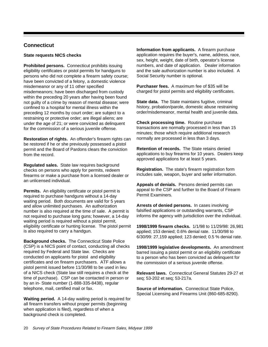# **Connecticut**

### **State requests NICS checks**

**Prohibited persons.** Connecticut prohibits issuing eligibility certificates or pistol permits for handguns to persons who did not complete a firearm safety course; have been convicted of a felony, a domestic violence misdemeanor or any of 11 other specified misdemeanors; have been discharged from custody within the preceding 20 years after having been found not guilty of a crime by reason of mental disease; were confined to a hospital for mental illness within the preceding 12 months by court order; are subject to a restraining or protective order; are illegal aliens; are under the age of 21; or were convicted as delinquent for the commission of a serious juvenile offense.

**Restoration of rights.** An offender's firearm rights can be restored if he or she previously possessed a pistol permit and the Board of Pardons clears the conviction from the record.

**Regulated sales.** State law requires background checks on persons who apply for permits, redeem firearms or make a purchase from a licensed dealer or an unlicensed individual.

**Permits.** An eligibility certificate or pistol permit is required to purchase handguns without a 14-day waiting period. Both documents are valid for 5 years and allow unlimited purchases. An authorization number is also required at the time of sale. A permit is not required to purchase long guns; however, a 14-day waiting period is required without a pistol permit, eligibility certificate or hunting license. The pistol permit is also required to carry a handgun.

**Background checks.** The Connecticut State Police (CSP) is a NICS point of contact, conducting all checks required by Federal and State law. Checks are conducted on applicants for pistol and eligibility certificates and on firearm purchasers. ATF allows a pistol permit issued before 11/30/98 to be used in lieu of a NICS check (State law still requires a check at the time of purchase). CSP can be contacted in person or by an in- State number (1-888-335-8438), regular telephone, mail, certified mail or fax.

**Waiting period.** A 14-day waiting period is required for all firearm transfers without proper permits (beginning when application is filed), regardless of when a background check is completed.

**Information from applicants.** A firearm purchase application requires the buyer's, name, address, race, sex, height, weight, date of birth, operator's license numbers, and date of application. Dealer information and the sale authorization number is also included. A Social Security number is optional.

**Purchaser fees.** A maximum fee of \$35 will be charged for pistol permits and eligibility certificates.

**State data.** The State maintains fugitive, criminal history, probation/parole, domestic abuse restraining order/misdemeanor, mental health and juvenile data.

**Check processing time.** Routine purchase transactions are normally processed in less than 15 minutes; those which require additional research normally are processed in less than 3 days.

**Retention of records.** The State retains denied applications to buy firearms for 10 years. Dealers keep approved applications for at least 5 years.

**Registration.** The state's firearm registration form includes sale, weapon, buyer and seller information.

**Appeals of denials.** Persons denied permits can appeal to the CSP and further to the Board of Firearm Permit Examiners.

**Arrests of denied persons.** In cases involving falsified applications or outstanding warrants, CSP informs the agency with jurisdiction over the individual.

**1998/1999 firearm checks.** 1/1/98 to 11/29/98: 26,981 applied; 153 denied; 0.6% denial rate. 11/30/98 to 6/30/99: 27,159 applied; 123 denied; 0.5 % denial rate.

**1998/1999 legislative developments.** An amendment barred issuing a pistol permit or an eligibility certificate to a person who has been convicted as delinquent for the commission of a serious juvenile offense.

**Relevant laws.** Connecticut General Statutes 29-27 et seq; 53-202 et seq; 53-217a.

**Source of information.** Connecticut State Police, Special Licensing and Firearms Unit (860-685-8290).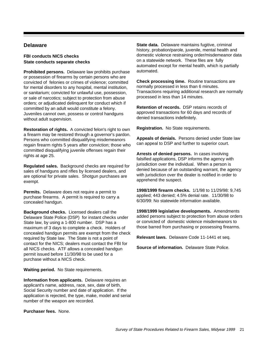# **Delaware**

## **FBI conducts NICS checks State conducts separate checks**

**Prohibited persons.** Delaware law prohibits purchase or possession of firearms by certain persons who are convicted of felonies or crimes of violence; committed for mental disorders to any hospital, mental institution, or sanitarium; convicted for unlawful use, possession, or sale of narcotics; subject to protection from abuse orders; or adjudicated delinquent for conduct which if committed by an adult would constitute a felony. Juveniles cannot own, possess or control handguns without adult supervision.

**Restoration of rights.** A convicted felon's right to own a firearm may be restored through a governor's pardon. Persons who committed disqualifying misdemeanors regain firearm rights 5 years after conviction; those who committed disqualifying juvenile offenses regain their rights at age 25.

**Regulated sales.** Background checks are required for sales of handguns and rifles by licensed dealers, and are optional for private sales. Shotgun purchases are exempt.

**Permits.** Delaware does not require a permit to purchase firearms. A permit is required to carry a concealed handgun.

**Background checks.** Licensed dealers call the Delaware State Police (DSP) for instant checks under State law, by using a 1-800 number. DSP has a maximum of 3 days to complete a check. Holders of concealed handgun permits are exempt from the check required by State law. The State is not a point of contact for the NICS; dealers must contact the FBI for all NICS checks. ATF allows a concealed handgun permit issued before 11/30/98 to be used for a purchase without a NICS check.

**Waiting period.** No State requirements.

**Information from applicants.** Delaware requires an applicant's name, address, race, sex, date of birth, Social Security number and date of application. If the application is rejected, the type, make, model and serial number of the weapon are recorded.

**Purchaser fees.** None.

**State data.** Delaware maintains fugitive, criminal history, probation/parole, juvenile, mental health and domestic violence restraining order/misdemeanor data on a statewide network. These files are fully automated except for mental health, which is partially automated.

**Check processing time.** Routine transactions are normally processed in less than 6 minutes. Transactions requiring additional research are normally processed in less than 14 minutes.

**Retention of records.** DSP retains records of approved transactions for 60 days and records of denied transactions indefinitely.

**Registration.** No State requirements.

**Appeals of denials.** Persons denied under State law can appeal to DSP and further to superior court.

**Arrests of denied persons.** In cases involving falsified applications, DSP informs the agency with jurisdiction over the individual. When a person is denied because of an outstanding warrant, the agency with jurisdiction over the dealer is notified in order to apprehend the suspect.

**1998/1999 firearm checks.** 1/1/98 to 11/29/98: 9,745 applied; 443 denied; 4.5% denial rate. 11/30/98 to 6/30/99: No statewide information available.

**1998/1999 legislative developments.** Amendments added persons subject to protection from abuse orders or convicted of domestic violence misdemeanors to those barred from purchasing or possessing firearms.

**Relevant laws.** Delaware Code 11-1441 et seq.

**Source of information.** Delaware State Police.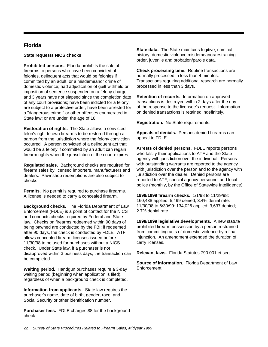# **Florida**

# **State requests NICS checks**

**Prohibited persons.** Florida prohibits the sale of firearms to persons who have been convicted of felonies, delinquent acts that would be felonies if committed by an adult, or a misdemeanor crime of domestic violence; had adjudication of guilt withheld or imposition of sentence suspended on a felony charge and 3 years have not elapsed since the completion date of any court provisions; have been indicted for a felony; are subject to a protective order; have been arrested for a "dangerous crime," or other offenses enumerated in State law; or are under the age of 18.

**Restoration of rights.** The State allows a convicted felon's right to own firearms to be restored through a pardon from the jurisdiction where the felony conviction occurred. A person convicted of a delinquent act that would be a felony if committed by an adult can regain firearm rights when the jurisdiction of the court expires.

**Regulated sales.** Background checks are required for firearm sales by licensed importers, manufacturers and dealers. Pawnshop redemptions are also subject to checks.

**Permits.** No permit is required to purchase firearms. A license is needed to carry a concealed firearm.

**Background checks.** The Florida Department of Law Enforcement (FDLE) is a point of contact for the NICS and conducts checks required by Federal and State law. Checks on firearms redeemed within 90 days of being pawned are conducted by the FBI; if redeemed after 90 days, the check is conducted by FDLE. ATF allows concealed firearm licenses issued before 11/30/98 to be used for purchases without a NICS check. Under State law, if a purchaser is not disapproved within 3 business days, the transaction can be completed.

**Waiting period.** Handgun purchases require a 3-day waiting period (beginning when application is filed), regardless of when a background check is completed.

**Information from applicants.** State law requires the purchaser's name, date of birth, gender, race, and Social Security or other identification number.

**Purchaser fees.** FDLE charges \$8 for the background check.

**State data.** The State maintains fugitive, criminal history, domestic violence misdemeanor/restraining order, juvenile and probation/parole data.

**Check processing time.** Routine transactions are normally processed in less than 4 minutes. Transactions requiring additional research are normally processed in less than 3 days.

**Retention of records.** Information on approved transactions is destroyed within 2 days after the day of the response to the licensee's request. Information on denied transactions is retained indefinitely.

**Registration.** No State requirements.

**Appeals of denials.** Persons denied firearms can appeal to FDLE.

**Arrests of denied persons.** FDLE reports persons who falsify their applications to ATF and the State agency with jurisdiction over the individual. Persons with outstanding warrants are reported to the agency with jurisdiction over the person and to the agency with jurisdiction over the dealer. Denied persons are reported to ATF, special agency personnel and local police (monthly, by the Office of Statewide Intelligence).

**1998/1999 firearm checks.** 1/1/98 to 11/29/98: 160,438 applied; 5,499 denied; 3.4% denial rate. 11/30/98 to 6/30/99: 134,026 applied; 3,637 denied; 2.7% denial rate.

**1998/1999 legislative.developments.** A new statute prohibited firearm possession by a person restrained from committing acts of domestic violence by a final injunction. An amendment extended the duration of carry licenses.

**Relevant laws.** Florida Statutes 790.001 et seq.

**Source of information.** Florida Department of Law Enforcement.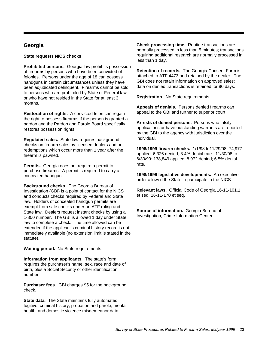# **Georgia**

# **State requests NICS checks**

**Prohibited persons.** Georgia law prohibits possession of firearms by persons who have been convicted of felonies. Persons under the age of 18 can possess handguns in certain circumstances unless they have been adjudicated delinquent. Firearms cannot be sold to persons who are prohibited by State or Federal law or who have not resided in the State for at least 3 months.

**Restoration of rights.** A convicted felon can regain the right to possess firearms if the person is granted a pardon and the Pardon and Parole Board specifically restores possession rights.

**Regulated sales.** State law requires background checks on firearm sales by licensed dealers and on redemptions which occur more than 1 year after the firearm is pawned.

**Permits.** Georgia does not require a permit to purchase firearms. A permit is required to carry a concealed handgun.

**Background checks.** The Georgia Bureau of Investigation (GBI) is a point of contact for the NICS and conducts checks required by Federal and State law. Holders of concealed handgun permits are exempt from sale checks under an ATF ruling and State law. Dealers request instant checks by using a 1-800 number. The GBI is allowed 1 day under State law to complete a check. The time allowed can be extended if the applicant's criminal history record is not immediately available (no extension limit is stated in the statute).

**Waiting period.** No State requirements.

**Information from applicants.** The state's form requires the purchaser's name, sex, race and date of birth, plus a Social Security or other identification number.

**Purchaser fees.** GBI charges \$5 for the background check.

**State data.** The State maintains fully automated fugitive, criminal history, probation and parole, mental health, and domestic violence misdemeanor data.

**Check processing time.** Routine transactions are normally processed in less than 5 minutes; transactions requiring additional research are normally processed in less than 1 day.

**Retention of records.** The Georgia Consent Form is attached to ATF 4473 and retained by the dealer. The GBI does not retain information on approved sales; data on denied transactions is retained for 90 days.

**Registration.** No State requirements.

**Appeals of denials.** Persons denied firearms can appeal to the GBI and further to superior court.

**Arrests of denied persons.** Persons who falsify applications or have outstanding warrants are reported by the GBI to the agency with jurisdiction over the individual.

**1998/1999 firearm checks.** 1/1/98 to11/29/98: 74,977 applied; 6,326 denied; 8.4% denial rate. 11/30/98 to 6/30/99: 138,849 applied; 8,972 denied; 6.5% denial rate.

**1998/1999 legislative developments.** An executive order allowed the State to participate in the NICS.

**Relevant laws.** Official Code of Georgia 16-11-101.1 et seq; 16-11-170 et seq.

**Source of information.** Georgia Bureau of Investigation, Crime Information Center.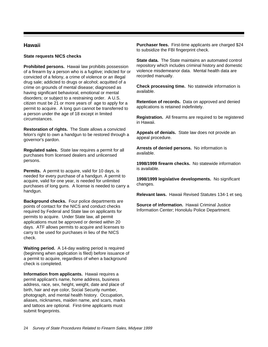# **Hawaii**

# **State requests NICS checks**

**Prohibited persons.** Hawaii law prohibits possession of a firearm by a person who is a fugitive; indicted for or convicted of a felony, a crime of violence or an illegal drug sale; addicted to drugs or alcohol; acquitted of a crime on grounds of mental disease; diagnosed as having significant behavioral, emotional or mental disorders; or subject to a restraining order. A U.S. citizen must be 21 or more years of age to apply for a permit to acquire. A long gun cannot be transferred to a person under the age of 18 except in limited circumstances.

**Restoration of rights.** The State allows a convicted felon's right to own a handgun to be restored through a governor's pardon.

**Regulated sales.** State law requires a permit for all purchases from licensed dealers and unlicensed persons.

**Permits.** A permit to acquire, valid for 10 days, is needed for every purchase of a handgun. A permit to acquire, valid for one year, is needed for unlimited purchases of long guns. A license is needed to carry a handgun.

**Background checks.** Four police departments are points of contact for the NICS and conduct checks required by Federal and State law on applicants for permits to acquire. Under State law, all permit applications must be approved or denied within 20 days. ATF allows permits to acquire and licenses to carry to be used for purchases in lieu of the NICS check.

**Waiting period.** A 14-day waiting period is required (beginning when application is filed) before issuance of a permit to acquire, regardless of when a background check is completed.

**Information from applicants.** Hawaii requires a permit applicant's name, home address, business address, race, sex, height, weight, date and place of birth, hair and eye color, Social Security number, photograph, and mental health history. Occupation, aliases, nicknames, maiden name, and scars, marks and tattoos are optional. First-time applicants must submit fingerprints.

**Purchaser fees.** First-time applicants are charged \$24 to subsidize the FBI fingerprint check.

**State data.** The State maintains an automated control repository which includes criminal history and domestic violence misdemeanor data. Mental health data are recorded manually.

**Check processing time.** No statewide information is available.

**Retention of records.** Data on approved and denied applications is retained indefinitely.

**Registration.** All firearms are required to be registered in Hawaii.

**Appeals of denials.** State law does not provide an appeal procedure.

**Arrests of denied persons.** No information is available.

**1998/1999 firearm checks.** No statewide information is available.

**1998/1999 legislative developments.** No significant changes.

**Relevant laws.** Hawaii Revised Statutes 134-1 et seq.

**Source of information.** Hawaii Criminal Justice Information Center; Honolulu Police Department.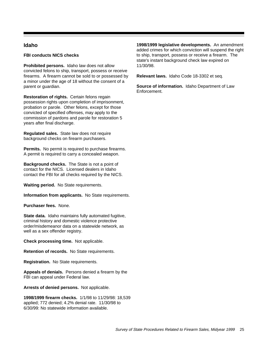# **Idaho**

#### **FBI conducts NICS checks**

**Prohibited persons.** Idaho law does not allow convicted felons to ship, transport, possess or receive firearms. A firearm cannot be sold to or possessed by a minor under the age of 18 without the consent of a parent or guardian.

**Restoration of rights.** Certain felons regain possession rights upon completion of imprisonment, probation or parole. Other felons, except for those convicted of specified offenses, may apply to the commission of pardons and parole for restoration 5 years after final discharge.

**Regulated sales.** State law does not require background checks on firearm purchasers.

**Permits.** No permit is required to purchase firearms. A permit is required to carry a concealed weapon.

**Background checks.** The State is not a point of contact for the NICS. Licensed dealers in Idaho contact the FBI for all checks required by the NICS.

**Waiting period.** No State requirements.

**Information from applicants.** No State requirements.

**Purchaser fees.** None.

**State data.** Idaho maintains fully automated fugitive, criminal history and domestic violence protective order/misdemeanor data on a statewide network, as well as a sex offender registry.

**Check processing time.** Not applicable.

**Retention of records.** No State requirements.

**Registration.** No State requirements.

**Appeals of denials.** Persons denied a firearm by the FBI can appeal under Federal law.

**Arrests of denied persons.** Not applicable.

**1998/1999 firearm checks.** 1/1/98 to 11/29/98: 18,539 applied; 772 denied; 4.2% denial rate. 11/30/98 to 6/30/99: No statewide information available.

**1998/1999 legislative developments.** An amendment added crimes for which conviction will suspend the right to ship, transport, possess or receive a firearm. The state's instant background check law expired on 11/30/98.

**Relevant laws.** Idaho Code 18-3302 et seq.

**Source of information.** Idaho Department of Law Enforcement.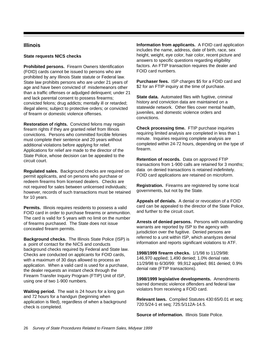# **Illinois**

# **State requests NICS checks**

**Prohibited persons.** Firearm Owners Identification (FOID) cards cannot be issued to persons who are prohibited by any Illinois State statute or Federal law. State law prohibits persons who are under 21 years of age and have been convicted of misdemeanors other than a traffic offenses or adjudged delinquent; under 21 and lack parental consent to possess firearms; convicted felons; drug addicts; mentally ill or retarded; illegal aliens; subject to protective orders; or convicted of firearm or domestic violence offenses.

**Restoration of rights.** Convicted felons may regain firearm rights if they are granted relief from Illinois convictions. Persons who committed forcible felonies must complete their sentence and 20 years without additional violations before applying for relief. Applications for relief are made to the director of the State Police, whose decision can be appealed to the circuit court.

**Regulated sales.** Background checks are required on permit applicants, and on persons who purchase or redeem firearms from licensed dealers. Checks are not required for sales between unlicensed individuals; however, records of such transactions must be retained for 10 years.

**Permits.** Illinois requires residents to possess a valid FOID card in order to purchase firearms or ammunition. The card is valid for 5 years with no limit on the number of firearms purchased. The State does not issue concealed firearm permits.

**Background checks.** The Illinois State Police (ISP) is a point of contact for the NICS and conducts background checks required by Federal and State law. Checks are conducted on applicants for FOID cards, with a maximum of 30 days allowed to process an application. When a valid card is used for a purchase, the dealer requests an instant check through the Firearm Transfer Inquiry Program (FTIP) Unit of ISP, using one of two 1-900 numbers.

**Waiting period.** The wait is 24 hours for a long gun and 72 hours for a handgun (beginning when application is filed), regardless of when a background check is completed.

**Information from applicants.** A FOID card application includes the name, address, date of birth, race, sex height, weight, eye color, hair color, recent picture and answers to specific questions regarding eligibility factors. An FTIP transaction requires the dealer and FOID card numbers.

**Purchaser fees.** ISP charges \$5 for a FOID card and \$2 for an FTIP inquiry at the time of purchase.

**State data.** Automated files with fugitive, criminal history and conviction data are maintained on a statewide network. Other files cover mental health, juveniles, and domestic violence orders and convictions.

**Check processing time.** FTIP purchase inquiries requiring limited analysis are completed in less than 1 minute. Inquiries requiring complete analysis are completed within 24-72 hours, depending on the type of firearm.

**Retention of records.** Data on approved FTIP transactions from 1-900 calls are retained for 3 months; data on denied transactions is retained indefinitely. FOID card applications are retained on microform.

**Registration.** Firearms are registered by some local governments, but not by the State.

**Appeals of denials.** A denial or revocation of a FOID card can be appealed to the director of the State Police, and further to the circuit court.

**Arrests of denied persons.** Persons with outstanding warrants are reported by ISP to the agency with jurisdiction over the fugitive. Denied persons are referred to a unit within ISP, which ananlyzes denial information and reports significant violations to ATF.

**1998/1999 firearm checks.** 1/1/98 to 11/29/98: 146,970 applied; 1,490 denied; 1.0% denial rate. 11/29/98 to 6/30/99: 99,912 applied; 861 denied; 0.9% denial rate (FTIP transactions).

**1998/1999 legislative developments.** Amendments barred domestic violence offenders and federal law violators from receiving a FOID card.

**Relevant laws.** Compiled Statutes 430:65/0.01 et seq; 720:5/24-1 et seq; 725:5/112A-14.5.

**Source of information.** Illinois State Police.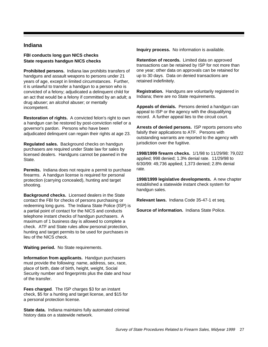# **Indiana**

# **FBI conducts long gun NICS checks State requests handgun NICS checks**

**Prohibited persons.** Indiana law prohibits transfers of handguns and assault weapons to persons under 21 years of age, except in limited circumstances. Further, it is unlawful to transfer a handgun to a person who is convicted of a felony; adjudicated a delinquent child for an act that would be a felony if committed by an adult; a drug abuser; an alcohol abuser; or mentally incompetent.

**Restoration of rights.** A convicted felon's right to own a handgun can be restored by post-conviction relief or a governor's pardon. Persons who have been adjudicated delinquent can regain their rights at age 23.

**Regulated sales.** Background checks on handgun purchasers are required under State law for sales by licensed dealers. Handguns cannot be pawned in the State.

**Permits.** Indiana does not require a permit to purchase firearms. A handgun license is required for personal protection (carrying concealed), hunting and target shooting.

**Background checks.** Licensed dealers in the State contact the FBI for checks of persons purchasing or redeeming long guns. The Indiana State Police (ISP) is a partial point of contact for the NICS and conducts telephone instant checks of handgun purchasers. A maximum of 1 business day is allowed to complete a check. ATF and State rules allow personal protection, hunting and target permits to be used for purchases in lieu of the NICS check.

**Waiting period.** No State requirements.

**Information from applicants.** Handgun purchasers must provide the following: name, address, sex, race, place of birth, date of birth, height, weight, Social Security number and fingerprints plus the date and hour of the transfer.

**Fees charged**. The ISP charges \$3 for an instant check, \$5 for a hunting and target license, and \$15 for a personal protection license.

**State data.** Indiana maintains fully automated criminal history data on a statewide network.

**Inquiry process.** No information is available.

**Retention of records.** Limited data on approved transactions can be retained by ISP for not more than one year; other data on approvals can be retained for up to 30 days. Data on denied transactions are retained indefinitely.

**Registration.** Handguns are voluntarily registered in Indiana; there are no State requirements.

**Appeals of denials.** Persons denied a handgun can appeal to ISP or the agency with the disqualifying record. A further appeal lies to the circuit court.

**Arrests of denied persons.** ISP reports persons who falsify their applications to ATF. Persons with outstanding warrants are reported to the agency with jurisdiction over the fugitive.

**1998/1999 firearm checks.** 1/1/98 to 11/29/98: 79,022 applied; 998 denied; 1.3% denial rate. 11/29/98 to 6/30/99: 49,736 applied; 1,373 denied; 2.8% denial rate.

**1998/1999 legislative developments.** A new chapter established a statewide instant check system for handgun sales.

**Relevant laws.** Indiana Code 35-47-1 et seq.

**Source of information.** Indiana State Police.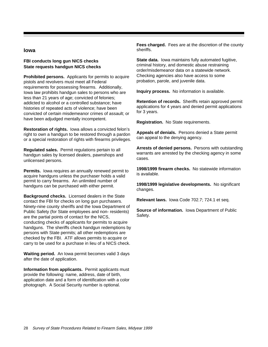# **Iowa**

# **FBI conducts long gun NICS checks State requests handgun NICS checks**

**Prohibited persons.** Applicants for permits to acquire pistols and revolvers must meet all Federal requirements for possessing firearms. Additionally, Iowa law prohibits handgun sales to persons who are less than 21 years of age; convicted of felonies; addicted to alcohol or a controlled substance; have histories of repeated acts of violence; have been convicted of certain misdemeanor crimes of assault; or have been adjudged mentally incompetent.

**Restoration of rights.** Iowa allows a convicted felon's right to own a handgun to be restored through a pardon or a special restoration of rights with firearms privileges.

**Regulated sales.** Permit regulations pertain to all handgun sales by licensed dealers, pawnshops and unlicensed persons.

**Permits.** Iowa requires an annually renewed permit to acquire handguns unless the purchaser holds a valid permit to carry firearms. An unlimited number of handguns can be purchased with either permit.

**Background checks.** Licensed dealers in the State contact the FBI for checks on long gun purchasers. Ninety-nine county sheriffs and the Iowa Department of Public Safety (for State employees and non- residents) are the partial points of contact for the NICS, conducting checks of applicants for permits to acquire handguns. The sheriffs check handgun redemptions by persons with State permits; all other redemptions are checked by the FBI. ATF allows permits to acquire or carry to be used for a purchase in lieu of a NICS check.

**Waiting period.** An Iowa permit becomes valid 3 days after the date of application.

**Information from applicants.** Permit applicants must provide the following: name, address, date of birth, application date and a form of identification with a color photograph. A Social Security number is optional.

**Fees charged.** Fees are at the discretion of the county sheriffs.

**State data.** Iowa maintains fully automated fugitive, criminal history, and domestic abuse restraining order/misdemeanor data on a statewide network. Checking agencies also have access to some probation, parole, and juvenile data.

**Inquiry process.** No information is available.

**Retention of records.** Sheriffs retain approved permit applications for 4 years and denied permit applications for 3 years.

**Registration.** No State requirements.

**Appeals of denials.** Persons denied a State permit can appeal to the denying agency.

**Arrests of denied persons.** Persons with outstanding warrants are arrested by the checking agency in some cases.

**1998/1999 firearm checks.** No statewide information is available.

**1998/1999 legislative developments.** No significant changes.

**Relevant laws.** Iowa Code 702.7; 724.1 et seq.

**Source of information.** Iowa Department of Public Safety.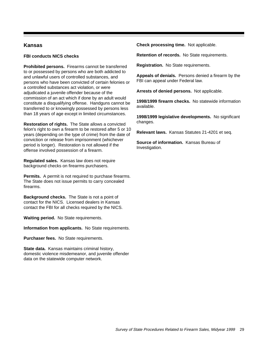# **Kansas**

# **FBI conducts NICS checks**

**Prohibited persons.** Firearms cannot be transferred to or possessed by persons who are both addicted to and unlawful users of controlled substances, and persons who have been convicted of certain felonies or a controlled substances act violation, or were adjudicated a juvenile offender because of the commission of an act which if done by an adult would constitute a disqualifying offense. Handguns cannot be transferred to or knowingly possessed by persons less than 18 years of age except in limited circumstances.

**Restoration of rights.** The State allows a convicted felon's right to own a firearm to be restored after 5 or 10 years (depending on the type of crime) from the date of conviction or release from imprisonment (whichever period is longer). Restoration is not allowed if the offense involved possession of a firearm.

**Regulated sales.** Kansas law does not require background checks on firearms purchasers.

**Permits.** A permit is not required to purchase firearms. The State does not issue permits to carry concealed firearms.

**Background checks.** The State is not a point of contact for the NICS. Licensed dealers in Kansas contact the FBI for all checks required by the NICS.

**Waiting period.** No State requirements.

**Information from applicants.** No State requirements.

**Purchaser fees.** No State requirements.

**State data.** Kansas maintains criminal history, domestic violence misdemeanor, and juvenile offender data on the statewide computer network.

**Check processing time.** Not applicable.

**Retention of records.** No State requirements.

**Registration.** No State requirements.

**Appeals of denials.** Persons denied a firearm by the FBI can appeal under Federal law.

**Arrests of denied persons.** Not applicable.

**1998/1999 firearm checks.** No statewide information available.

**1998/1999 legislative developments.** No significant changes.

**Relevant laws.** Kansas Statutes 21-4201 et seq.

**Source of information.** Kansas Bureau of Investigation.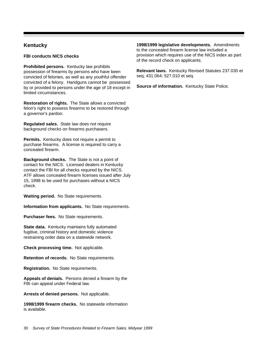# **Kentucky**

**FBI conducts NICS checks**

**Prohibited persons.** Kentucky law prohibits possession of firearms by persons who have been convicted of felonies, as well as any youthful offender convicted of a felony. Handguns cannot be possessed by or provided to persons under the age of 18 except in limited circumstances.

**Restoration of rights.** The State allows a convicted felon's right to possess firearms to be restored through a governor's pardon.

**Regulated sales.** State law does not require background checks on firearms purchasers.

**Permits.** Kentucky does not require a permit to purchase firearms. A license is required to carry a concealed firearm.

**Background checks.** The State is not a point of contact for the NICS. Licensed dealers in Kentucky contact the FBI for all checks required by the NICS. ATF allows concealed firearm licenses issued after July 15, 1998 to be used for purchases without a NICS check.

**Waiting period.** No State requirements.

**Information from applicants.** No State requirements.

**Purchaser fees.** No State requirements.

**State data.** Kentucky maintains fully automated fugitive, criminal history and domestic violence restraining order data on a statewide network.

**Check processing time.** Not applicable.

**Retention of records.** No State requirements.

**Registration.** No State requirements.

**Appeals of denials.** Persons denied a firearm by the FBI can appeal under Federal law.

**Arrests of denied persons.** Not applicable.

**1998/1999 firearm checks.** No statewide information is available.

**1998/1999 legislative developments.** Amendments to the concealed firearm license law included a provision which requires use of the NICS index as part of the record check on applicants.

**Relevant laws.** Kentucky Revised Statutes 237.030 et seq; 431.064; 527.010 et seq.

**Source of information.** Kentucky State Police.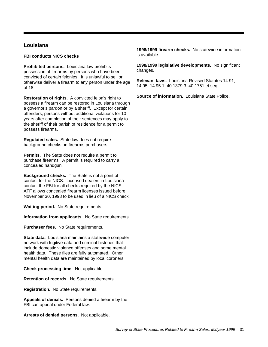# **Louisiana**

#### **FBI conducts NICS checks**

**Prohibited persons.** Louisiana law prohibits possession of firearms by persons who have been convicted of certain felonies. It is unlawful to sell or otherwise deliver a firearm to any person under the age of 18.

**Restoration of rights.** A convicted felon's right to possess a firearm can be restored in Louisiana through a governor's pardon or by a sheriff. Except for certain offenders, persons without additional violations for 10 years after completion of their sentences may apply to the sheriff of their parish of residence for a permit to possess firearms.

**Regulated sales.** State law does not require background checks on firearms purchasers.

**Permits.** The State does not require a permit to purchase firearms. A permit is required to carry a concealed handgun.

**Background checks.** The State is not a point of contact for the NICS. Licensed dealers in Louisiana contact the FBI for all checks required by the NICS. ATF allows concealed firearm licenses issued before November 30, 1998 to be used in lieu of a NICS check.

**Waiting period.** No State requirements.

**Information from applicants.** No State requirements.

**Purchaser fees.** No State requirements.

**State data.** Louisiana maintains a statewide computer network with fugitive data and criminal histories that include domestic violence offenses and some mental health data. These files are fully automated. Other mental health data are maintained by local coroners.

**Check processing time.** Not applicable.

**Retention of records.** No State requirements.

**Registration.** No State requirements.

**Appeals of denials.** Persons denied a firearm by the FBI can appeal under Federal law.

**Arrests of denied persons.** Not applicable.

**1998/1999 firearm checks.** No statewide information is available.

**1998/1999 legislative developments.** No significant changes.

**Relevant laws.** Louisiana Revised Statutes 14:91; 14:95; 14:95.1; 40:1379.3: 40:1751 et seq.

**Source of information.** Louisiana State Police.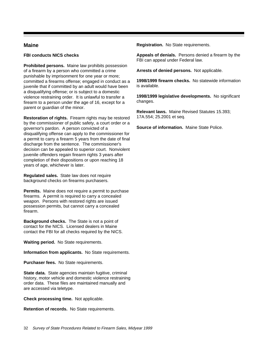# **Maine**

#### **FBI conducts NICS checks**

**Prohibited persons.** Maine law prohibits possession of a firearm by a person who committed a crime punishable by imprisonment for one year or more; committed a firearms offense; engaged in conduct as a juvenile that if committed by an adult would have been a disqualifying offense; or is subject to a domestic violence restraining order. It is unlawful to transfer a firearm to a person under the age of 16, except for a parent or guardian of the minor.

**Restoration of rights.** Firearm rights may be restored by the commissioner of public safety, a court order or a governor's pardon. A person convicted of a disqualifying offense can apply to the commissioner for a permit to carry a firearm 5 years from the date of final discharge from the sentence. The commissioner's decision can be appealed to superior court. Nonviolent juvenile offenders regain firearm rights 3 years after completion of their dispositions or upon reaching 18 years of age, whichever is later.

**Regulated sales.** State law does not require background checks on firearms purchasers.

**Permits.** Maine does not require a permit to purchase firearms. A permit is required to carry a concealed weapon. Persons with restored rights are issued possession permits, but cannot carry a concealed firearm.

**Background checks.** The State is not a point of contact for the NICS. Licensed dealers in Maine contact the FBI for all checks required by the NICS.

**Waiting period.** No State requirements.

**Information from applicants.** No State requirements.

**Purchaser fees.** No State requirements.

**State data.** State agencies maintain fugitive, criminal history, motor vehicle and domestic violence restraining order data. These files are maintained manually and are accessed via teletype.

**Check processing time.** Not applicable.

**Retention of records.** No State requirements.

**Registration.** No State requirements.

**Appeals of denials.** Persons denied a firearm by the FBI can appeal under Federal law.

**Arrests of denied persons.** Not applicable.

**1998/1999 firearm checks.** No statewide information is available.

**1998/1999 legislative developments.** No significant changes.

**Relevant laws.** Maine Revised Statutes 15.393; 17A.554; 25.2001 et seq.

**Source of information.** Maine State Police.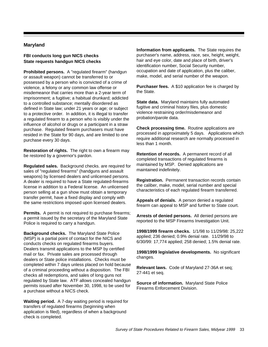### **Maryland**

### **FBI conducts long gun NICS checks State requests handgun NICS checks**

**Prohibited persons.** A "regulated firearm" (handgun or assault weapon) cannot be transferred to or possessed by a person who is convicted of a crime of violence, a felony or any common law offense or misdemeanor that carries more than a 2-year term of imprisonment; a fugitive; a habitual drunkard; addicted to a controlled substance; mentally disordered as defined in State law; under 21 years or age; or subject to a protective order. In addition, it is illegal to transfer a regulated firearm to a person who is visibly under the influence of alcohol or drugs or a participant in a straw purchase. Regulated firearm purchasers must have resided in the State for 90 days, and are limited to one purchase every 30 days.

**Restoration of rights.** The right to own a firearm may be restored by a governor's pardon.

**Regulated sales.** Background checks. are required for sales of "regulated firearms" (handguns and assault weapons) by licensed dealers and unlicensed persons. A dealer is required to have a State regulated-firearms license in addition to a Federal license. An unlicensed person selling at a gun show must obtain a temporary transfer permit, have a fixed display and comply with the same restrictions imposed upon licensed dealers.

**Permits.** A permit is not required to purchase firearms; a permit issued by the secretary of the Maryland State Police is required to carry a handgun.

**Background checks.** The Maryland State Police (MSP) is a partial point of contact for the NICS and conducts checks on regulated firearms buyers. Dealers transmit applications to the MSP by certified mail or fax. Private sales are processed through dealers or State police installations. Checks must be completed within 7 days unless placed on hold because of a criminal proceeding without a disposition. The FBI checks all redemptions, and sales of long guns not regulated by State law. ATF allows concealed handgun permits issued after November 30, 1998, to be used for a purchase without a NICS check.

**Waiting period.** A 7-day waiting period is required for transfers of regulated firearms (beginning when application is filed), regardless of when a background check is completed.

**Information from applicants.** The State requires the purchaser's name, address, race, sex, height, weight, hair and eye color, date and place of birth, driver's identification number, Social Security number, occupation and date of application, plus the caliber, make, model, and serial number of the weapon.

**Purchaser fees.** A \$10 application fee is charged by the State.

**State data.** Maryland maintains fully automated fugitive and criminal history files, plus domestic violence restraining order/misdemeanor and probation/parole data.

**Check processing time.** Routine applications are processed in approximately 5 days. Applications which require additional research are normally processed in less than 1 month.

**Retention of records.** A permanent record of all completed transactions of regulated firearms is maintained by MSP. Denied applications are maintained indefinitely.

**Registration.** Permanent transaction records contain the caliber, make, model, serial number and special characteristics of each regulated firearm transferred.

**Appeals of denials.** A person denied a regulated firearm can appeal to MSP and further to State court.

**Arrests of denied persons.** All denied persons are reported to the MSP Firearms Investigation Unit.

**1998/1999 firearm checks.** 1/1/98 to 11/29/98: 25,222 applied; 236 denied; 0.9% denial rate. 11/29/98 to 6/30/99: 17,774 applied; 258 denied; 1.5% denial rate.

**1998/1999 legislative developments.** No significant changes.

**Relevant laws.** Code of Maryland 27-36A et seq; 27-441 et seq.

**Source of information.** Maryland State Police Firearms Enforcement Division.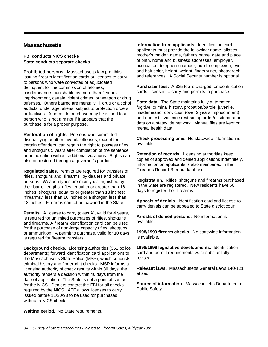## **Massachusetts**

#### **FBI conducts NICS checks State conducts separate checks**

**Prohibited persons.** Massachusetts law prohibits issuing firearm identification cards or licenses to carry to persons who were convicted or adjudicated delinquent for the commission of felonies, misdemeanors punishable by more than 2 years imprisonment, certain violent crimes, or weapon or drug offenses. Others barred are mentally ill, drug or alcohol addicts, under age, aliens, subject to protection orders, or fugitives. A permit to purchase may be issued to a person who is not a minor if it appears that the purchase is for a proper purpose.

**Restoration of rights.** Persons who committed disqualifying adult or juvenile offenses, except for certain offenders, can regain the right to possess rifles and shotguns 5 years after completion of the sentence or adjudication without additional violations. Rights can also be restored through a governor's pardon.

**Regulated sales.** Permits are required for transfers of rifles, shotguns and "firearms" by dealers and private persons. Weapon types are mainly distinguished by their barrel lengths: rifles, equal to or greater than 16 inches; shotguns, equal to or greater than 18 inches; "firearms," less than 16 inches or a shotgun less than 18 inches. Firearms cannot be pawned in the State.

**Permits.** A license to carry (class A), valid for 4 years, is required for unlimited purchases of rifles, shotguns and firearms. A firearm identification card can be used for the purchase of non-large capacity rifles, shotguns or ammunition. A permit to purchase, valid for 10 days, is required for firearm transfers.

**Background checks.** Licensing authorities (351 police departments) forward identification card applications to the Massachusetts State Police (MSP), which conducts criminal history and fingerprint checks. MSP informs a licensing authority of check results within 30 days; the authority renders a decision within 40 days from the date of application. The State is not a point of contact for the NICS. Dealers contact the FBI for all checks required by the NICS. ATF allows licenses to carry issued before 11/30/98 to be used for purchases without a NICS check.

**Information from applicants.** Identification card applicants must provide the following: name, aliases, mother's maiden name, father's name, date and place of birth, home and business addresses, employer, occupation, telephone number, build, complexion, eye and hair color, height, weight, fingerprints, photograph and references. A Social Security number is optional.

**Purchaser fees.** A \$25 fee is charged for identification cards, licenses to carry and permits to purchase.

**State data.** The State maintains fully automated fugitive, criminal history, probation/parole, juvenile, misdemeanor conviction (over 2 years imprisonment) and domestic violence restraining order/misdemeanor data on a statewide network. Manual files are kept on mental health data.

**Check processing time.** No statewide information is available

**Retention of records.** Licensing authorities keep copies of approved and denied applications indefinitely. Information on applicants is also maintained in the Firearms Record Bureau database.

**Registration.** Rifles, shotguns and firearms purchased in the State are registered. New residents have 60 days to register their firearms.

**Appeals of denials.** Identification card and license to carry denials can be appealed to State district court.

**Arrests of denied persons.** No information is available.

**1998/1999 firearm checks.** No statewide information is available.

**1998/1999 legislative developments.** Identification card and permit requirements were substantially revised.

**Relevant laws.** Massachusetts General Laws 140-121 et seq.

**Source of information.** Massachusetts Department of Public Safety.

**Waiting period.** No State requirements.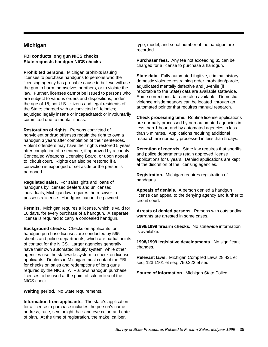# **Michigan**

#### **FBI conducts long gun NICS checks State requests handgun NICS checks**

**Prohibited persons.** Michigan prohibits issuing licenses to purchase handguns to persons who the licensing agency has probable cause to believe will use the gun to harm themselves or others, or to violate the law. Further, licenses cannot be issued to persons who are subject to various orders and dispositions; under the age of 18; not U.S. citizens and legal residents of the State; charged with or convicted of felonies; adjudged legally insane or incapacitated; or involuntarily committed due to mental illness.

**Restoration of rights.** Persons convicted of nonviolent or drug offenses regain the right to own a handgun 3 years after completion of their sentences. Violent offenders may have their rights restored 5 years after completion of a sentence, if approved by a county Concealed Weapons Licensing Board, or upon appeal to circuit court. Rights can also be restored if a conviction is expunged or set aside or the person is pardoned.

**Regulated sales.** For sales, gifts and loans of handguns by licensed dealers and unlicensed individuals, Michigan law requires the receiver to possess a license. Handguns cannot be pawned.

**Permits.** Michigan requires a license, which is valid for 10 days, for every purchase of a handgun. A separate license is required to carry a concealed handgun.

**Background checks.** Checks on applicants for handgun purchase licenses are conducted by 595 sheriffs and police departments, which are partial points of contact for the NICS. Larger agencies generally have their own automated inquiry system, while other agencies use the statewide system to check on license applicants. Dealers in Michigan must contact the FBI for checks on sales and redemptions of long guns required by the NICS. ATF allows handgun purchase licenses to be used at the point of sale in lieu of the NICS check.

**Waiting period.** No State requirements.

**Information from applicants.** The state's application for a license to purchase includes the person's name, address, race, sex, height, hair and eye color, and date of birth. At the time of registration, the make, caliber,

type, model, and serial number of the handgun are recorded.

**Purchaser fees.** Any fee not exceeding \$5 can be charged for a license to purchase a handgun.

**State data.** Fully automated fugitive, criminal history, domestic violence restraining order, probation/parole, adjudicated mentally defective and juvenile (if reportable to the State) data are available statewide. Some corrections data are also available. Domestic violence misdemeanors can be located through an automated pointer that requires manual research.

**Check processing time.** Routine license applications are normally processed by non-automated agencies in less than 1 hour, and by automated agencies in less than 5 minutes. Applications requiring additional research are normally processed in less than 5 days.

**Retention of records.** State law requires that sheriffs and police departments retain approved license applications for 6 years. Denied applications are kept at the discretion of the licensing agencies.

**Registration.** Michigan requires registration of handguns.

**Appeals of denials.** A person denied a handgun license can appeal to the denying agency and further to circuit court.

**Arrests of denied persons.** Persons with outstanding warrants are arrested in some cases.

**1998/1999 firearm checks.** No statewide information is available.

**1998/1999 legislative developments.** No significant changes.

**Relevant laws.** Michigan Compiled Laws 28.421 et seq; 123.1101 et seq; 750.222 et seq.

**Source of information.** Michigan State Police.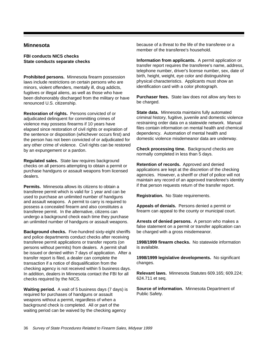### **Minnesota**

**FBI conducts NICS checks State conducts separate checks**

**Prohibited persons.** Minnesota firearm possession laws include restrictions on certain persons who are minors, violent offenders, mentally ill, drug addicts, fugitives or illegal aliens, as well as those who have been dishonorably discharged from the military or have renounced U.S. citizenship.

**Restoration of rights.** Persons convicted of or adjudicated delinquent for committing crimes of violence may possess firearms if 10 years have elapsed since restoration of civil rights or expiration of the sentence or disposition (whichever occurs first) and the person has not been convicted of or adjudicated for any other crime of violence. Civil rights can be restored by an expungement or a pardon.

**Regulated sales.** State law requires background checks on all persons attempting to obtain a permit or purchase handguns or assault weapons from licensed dealers.

**Permits.** Minnesota allows its citizens to obtain a transferee permit which is valid for 1 year and can be used to purchase an unlimited number of handguns and assault weapons. A permit to carry is required to possess a concealed firearm and also constitutes a transferee permit. In the alternative, citizens can undergo a background check each time they purchase an unlimited number of handguns or assault weapons.

**Background checks.** Five-hundred sixty-eight sheriffs and police departments conduct checks after receiving transferee permit applications or transfer reports (on persons without permits) from dealers. A permit shall be issued or denied within 7 days of application. After a transfer report is filed, a dealer can complete the transaction if a notice of disqualification from the checking agency is not received within 5 business days. In addition, dealers in Minnesota contact the FBI for all checks required by the NICS.

**Waiting period.** A wait of 5 business days (7 days) is required for purchases of handguns or assault weapons without a permit, regardless of when a background check is completed. All or part of the waiting period can be waived by the checking agency

because of a threat to the life of the transferee or a member of the transferee's household.

**Information from applicants.** A permit application or transfer report requires the transferee's name, address, telephone number, driver's license number, sex, date of birth, height, weight, eye color and distinguishing physical characteristics. Applicants must show an identification card with a color photograph.

**Purchaser fees.** State law does not allow any fees to be charged.

**State data.** Minnesota maintains fully automated criminal history, fugitive, juvenile and domestic violence restraining order data on a statewide network. Manual files contain information on mental health and chemical dependency. Automation of mental health and domestic violence misdemeanor data are underway.

**Check processing time.** Background checks are normally completed in less than 5 days.

**Retention of records.** Approved and denied applications are kept at the discretion of the checking agencies. However, a sheriff or chief of police will not maintain any record of an approved transferee's identity if that person requests return of the transfer report.

**Registration.** No State requirements.

**Appeals of denials.** Persons denied a permit or firearm can appeal to the county or municipal court.

**Arrests of denied persons.** A person who makes a false statement on a permit or transfer application can be charged with a gross misdemeanor.

**1998/1999 firearm checks.** No statewide information is available.

**1998/1999 legislative developments.** No significant changes.

**Relevant laws.** Minnesota Statutes 609.165; 609.224; 624.711 et seq.

**Source of information.** Minnesota Department of Public Safety.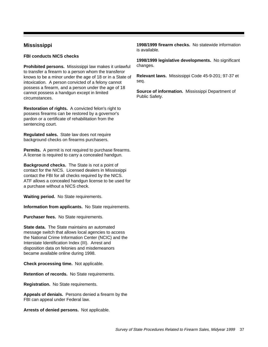# **Mississippi**

**FBI conducts NICS checks** 

**Prohibited persons.** Mississippi law makes it unlawful to transfer a firearm to a person whom the transferor knows to be a minor under the age of 18 or in a State of intoxication. A person convicted of a felony cannot possess a firearm, and a person under the age of 18 cannot possess a handgun except in limited circumstances.

**Restoration of rights.** A convicted felon's right to possess firearms can be restored by a governor's pardon or a certificate of rehabilitation from the sentencing court.

**Regulated sales.** State law does not require background checks on firearms purchasers.

**Permits.** A permit is not required to purchase firearms. A license is required to carry a concealed handgun.

**Background checks.** The State is not a point of contact for the NICS. Licensed dealers in Mississippi contact the FBI for all checks required by the NICS. ATF allows a concealed handgun license to be used for a purchase without a NICS check.

**Waiting period.** No State requirements.

**Information from applicants.** No State requirements.

**Purchaser fees.** No State requirements.

**State data.** The State maintains an automated message switch that allows local agencies to access the National Crime Information Center (NCIC) and the Interstate Identification Index (III). Arrest and disposition data on felonies and misdemeanors became available online during 1998.

**Check processing time.** Not applicable.

**Retention of records.** No State requirements.

**Registration.** No State requirements.

**Appeals of denials.** Persons denied a firearm by the FBI can appeal under Federal law.

**Arrests of denied persons.** Not applicable.

**1998/1999 firearm checks.** No statewide information is available.

**1998/1999 legislative developments.** No significant changes.

**Relevant laws.** Mississippi Code 45-9-201; 97-37 et seq.

**Source of information.** Mississippi Department of Public Safety.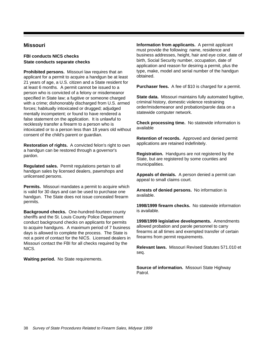# **Missouri**

#### **FBI conducts NICS checks State conducts separate checks**

**Prohibited persons.** Missouri law requires that an applicant for a permit to acquire a handgun be at least 21 years of age, a U.S. citizen and a State resident for at least 6 months. A permit cannot be issued to a person who is convicted of a felony or misdemeanor specified in State law; a fugitive or someone charged with a crime; dishonorably discharged from U.S. armed forces; habitually intoxicated or drugged; adjudged mentally incompetent; or found to have rendered a false statement on the application. It is unlawful to recklessly transfer a firearm to a person who is intoxicated or to a person less than 18 years old without consent of the child's parent or guardian.

**Restoration of rights.** A convicted felon's right to own a handgun can be restored through a governor's pardon.

**Regulated sales.** Permit regulations pertain to all handgun sales by licensed dealers, pawnshops and unlicensed persons.

**Permits.** Missouri mandates a permit to acquire which is valid for 30 days and can be used to purchase one handgun. The State does not issue concealed firearm permits.

**Background checks.** One-hundred-fourteen county sheriffs and the St. Louis County Police Department conduct background checks on applicants for permits to acquire handguns. A maximum period of 7 business days is allowed to complete the process. The State is not a point of contact for the NICS. Licensed dealers in Missouri contact the FBI for all checks required by the NICS.

**Waiting period.** No State requirements.

**Information from applicants.** A permit applicant must provide the following: name, residence and business addresses, height, hair and eye color, date of birth, Social Security number, occupation, date of application and reason for desiring a permit, plus the type, make, model and serial number of the handgun obtained.

**Purchaser fees.** A fee of \$10 is charged for a permit.

**State data.** Missouri maintains fully automated fugitive, criminal history, domestic violence restraining order/misdemeanor and probation/parole data on a statewide computer network.

**Check processing time.** No statewide information is available

**Retention of records.** Approved and denied permit applications are retained indefinitely.

**Registration.** Handguns are not registered by the State, but are registered by some counties and municipalities.

**Appeals of denials.** A person denied a permit can appeal to small claims court.

**Arrests of denied persons.** No information is available.

**1998/1999 firearm checks.** No statewide information is available.

**1998/1999 legislative developments.** Amendments allowed probation and parole personnel to carry firearms at all times and exempted transfer of certain firearms from permit requirements.

**Relevant laws.** Missouri Revised Statutes 571.010 et seq.

**Source of information.** Missouri State Highway Patrol.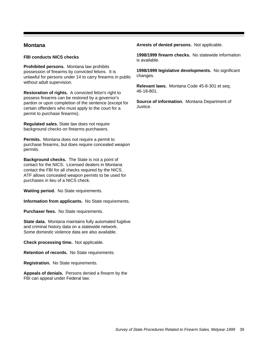## **Montana**

#### **FBI conducts NICS checks**

**Prohibited persons.** Montana law prohibits possession of firearms by convicted felons. It is unlawful for persons under 14 to carry firearms in public without adult supervision.

**Restoration of rights.** A convicted felon's right to possess firearms can be restored by a governor's pardon or upon completion of the sentence (except for certain offenders who must apply to the court for a permit to purchase firearms).

**Regulated sales.** State law does not require background checks on firearms purchasers.

**Permits.** Montana does not require a permit to purchase firearms, but does require concealed weapon permits.

**Background checks.** The State is not a point of contact for the NICS. Licensed dealers in Montana contact the FBI for all checks required by the NICS. ATF allows concealed weapon permits to be used for purchases in lieu of a NICS check.

**Waiting period.** No State requirements.

**Information from applicants.** No State requirements.

**Purchaser fees.** No State requirements.

**State data.** Montana maintains fully automated fugitive and criminal history data on a statewide network. Some domestic violence data are also available.

**Check processing time.** Not applicable.

**Retention of records.** No State requirements.

**Registration.** No State requirements.

**Appeals of denials.** Persons denied a firearm by the FBI can appeal under Federal law.

**Arrests of denied persons.** Not applicable.

**1998/1999 firearm checks.** No statewide information is available.

**1998/1999 legislative developments.** No significant changes.

**Relevant laws.** Montana Code 45-8-301 et seq; 46-18-801.

**Source of information.** Montana Department of Justice.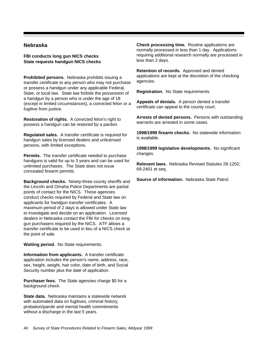### **Nebraska**

**FBI conducts long gun NICS checks State requests handgun NICS checks**

**Prohibited persons.** Nebraska prohibits issuing a transfer certificate to any person who may not purchase or possess a handgun under any applicable Federal, State, or local law. State law forbids the possession of a handgun by a person who is under the age of 18 (except in limited circumstances), a convicted felon or a fugitive from justice.

**Restoration of rights.** A convicted felon's right to possess a handgun can be restored by a pardon.

**Regulated sales.** A transfer certificate is required for handgun sales by licensed dealers and unlicensed persons, with limited exceptions.

**Permits.** The transfer certificate needed to purchase handguns is valid for up to 3 years and can be used for unlimited purchases. The State does not issue concealed firearm permits

**Background checks.** Ninety-three county sheriffs and the Lincoln and Omaha Police Departments are partial points of contact for the NICS. These agencies conduct checks required by Federal and State law on applicants for handgun transfer certificates. A maximum period of 2 days is allowed under State law to investigate and decide on an application. Licensed dealers in Nebraska contact the FBI for checks on long gun purchasers required by the NICS. ATF allows a transfer certificate to be used in lieu of a NICS check at the point of sale.

**Waiting period.** No State requirements.

**Information from applicants.** A transfer certificate application includes the person's name, address, race, sex, height, weight, hair color, date of birth, and Social Security number plus the date of application.

**Purchaser fees.** The State agencies charge \$5 for a background check.

**State data.** Nebraska maintains a statewide network with automated data on fugitives, criminal history, probation/parole and mental health commitments without a discharge in the last 5 years.

**Check processing time.** Routine applications are normally processed in less than 1 day. Applications requiring additional research normally are processed in less than 2 days.

**Retention of records.** Approved and denied applications are kept at the discretion of the checking agencies.

**Registration.** No State requirements.

**Appeals of denials.** A person denied a transfer certificate can appeal to the county court.

**Arrests of denied persons.** Persons with outstanding warrants are arrested in some cases.

**1998/1999 firearm checks.** No statewide information is available.

**1998/1999 legislative developments.** No significant changes.

**Relevant laws.** Nebraska Revised Statutes 28-1202; 69-2401 et seq.

**Source of information.** Nebraska State Patrol.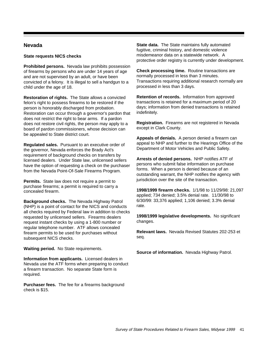## **Nevada**

#### **State requests NICS checks**

**Prohibited persons.** Nevada law prohibits possession of firearms by persons who are under 14 years of age and are not supervised by an adult, or have been convicted of a felony. It is illegal to sell a handgun to a child under the age of 18.

**Restoration of rights.** The State allows a convicted felon's right to possess firearms to be restored if the person is honorably discharged from probation. Restoration can occur through a governor's pardon that does not restrict the right to bear arms. If a pardon does not restore civil rights, the person may apply to a board of pardon commissioners, whose decision can be appealed to State district court.

**Regulated sales.** Pursuant to an executive order of the governor, Nevada enforces the Brady Act's requirement of background checks on transfers by licensed dealers. Under State law, unlicensed sellers have the option of requesting a check on the purchaser from the Nevada Point-Of-Sale Firearms Program.

**Permits.** State law does not require a permit to purchase firearms; a permit is required to carry a concealed firearm.

**Background checks.** The Nevada Highway Patrol (NHP) is a point of contact for the NICS and conducts all checks required by Federal law in addition to checks requested by unlicensed sellers. Firearms dealers request instant checks by using a 1-800 number or regular telephone number. ATF allows concealed firearm permits to be used for purchases without subsequent NICS checks.

**Waiting period.** No State requirements.

**Information from applicants.** Licensed dealers in Nevada use the ATF forms when preparing to conduct a firearm transaction. No separate State form is required.

**Purchaser fees.** The fee for a firearms background check is \$15.

**State data.** The State maintains fully automated fugitive, criminal history, and domestic violence misdemeanor data on a statewide network. A protective order registry is currently under development.

**Check processing time.** Routine transactions are normally processed in less than 3 minutes. Transactions requiring additional research normally are processed in less than 3 days.

**Retention of records.** Information from approved transactions is retained for a maximum period of 20 days; information from denied transactions is retained indefinitely.

**Registration.** Firearms are not registered in Nevada except in Clark County.

**Appeals of denials.** A person denied a firearm can appeal to NHP and further to the Hearings Office of the Department of Motor Vehicles and Public Safety.

**Arrests of denied persons.** NHP notifies ATF of persons who submit false information on purchase forms. When a person is denied because of an outstanding warrant, the NHP notifies the agency with jurisdiction over the site of the transaction.

**1998/1999 firearm checks.** 1/1/98 to 11/29/98: 21,097 applied; 734 denied; 3.5% denial rate. 11/30/98 to 6/30/99: 33,376 applied; 1,106 denied; 3.3% denial rate.

**1998/1999 legislative developments.** No significant changes.

**Relevant laws.** Nevada Revised Statutes 202-253 et seq.

**Source of information.** Nevada Highway Patrol.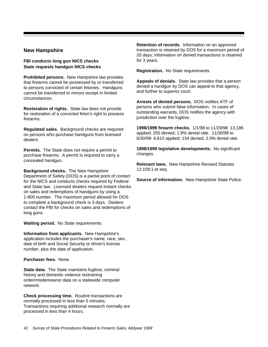## **New Hampshire**

#### **FBI conducts long gun NICS checks State requests handgun NICS checks**

**Prohibited persons.** New Hampshire law provides that firearms cannot be possessed by or transferred to persons convicted of certain felonies. Handguns cannot be transferred to minors except in limited circumstances.

**Restoration of rights.** State law does not provide for restoration of a convicted felon's right to possess firearms.

**Regulated sales.** Background checks are required on persons who purchase handguns from licensed dealers.

**Permits.** The State does not require a permit to purchase firearms. A permit is required to carry a concealed handgun.

**Background checks.** The New Hampshire Department of Safety (DOS) is a partial point of contact for the NICS and conducts checks required by Federal and State law. Licensed dealers request instant checks on sales and redemptions of handguns by using a 1-800 number. The maximum period allowed for DOS to complete a background check is 3 days. Dealers contact the FBI for checks on sales and redemptions of long guns.

**Waiting period.** No State requirements.

**Information from applicants.** New Hampshire's application includes the purchaser's name, race, sex, date of birth and Social Security or driver's license number, plus the date of application.

**Purchaser fees.** None.

**State data.** The State maintains fugitive, criminal history and domestic violence restraining order/misdemeanor data on a statewide computer network.

**Check processing time.** Routine transactions are normally processed in less than 5 minutes. Transactions requiring additional research normally are processed in less than 4 hours.

**Retention of records.** Information on an approved transaction is retained by DOS for a maximum period of 20 days; information on denied transactions is retained for 3 years.

**Registration.** No State requirements.

**Appeals of denials.** State law provides that a person denied a handgun by DOS can appeal to that agency, and further to superior court.

**Arrests of denied persons.** DOS notifies ATF of persons who submit false information. In cases of outstanding warrants, DOS notifies the agency with jurisdiction over the fugitive.

**1998/1999 firearm checks.** 1/1/98 to 11/29/98: 13,186 applied; 250 denied; 1.9% denial rate. 11/30/98 to 6/30/99: 6,610 applied; 134 denied; 2.0% denial rate.

**1998/1999 legislative developments.** No significant changes.

**Relevant laws.** New Hampshire Revised Statutes 12:159:1 et seq.

**Source of information.** New Hampshire State Police.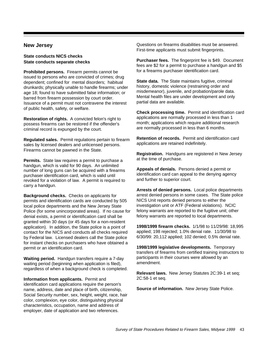### **New Jersey**

**State conducts NICS checks State conducts separate checks**

**Prohibited persons.** Firearm permits cannot be issued to persons who are convicted of crimes; drug dependent; confined for mental disorders; habitual drunkards; physically unable to handle firearms; under age 18; found to have submitted false information; or barred from firearm possession by court order. Issuance of a permit must not contravene the interest of public health, safety, or welfare.

**Restoration of rights.** A convicted felon's right to possess firearms can be restored if the offender's criminal record is expunged by the court.

**Regulated sales.** Permit regulations pertain to firearm sales by licensed dealers and unlicensed persons. Firearms cannot be pawned in the State.

**Permits.** State law requires a permit to purchase a handgun, which is valid for 90 days. An unlimited number of long guns can be acquired with a firearms purchaser identification card, which is valid until revoked for a violation of law. A permit is required to carry a handgun.

**Background checks.** Checks on applicants for permits and identification cards are conducted by 505 local police departments and the New Jersey State Police (for some unincorporated areas). If no cause for denial exists, a permit or identification card shall be granted within 30 days (or 45 days for a non-resident application). In addition, the State police is a point of contact for the NICS and conducts all checks required by Federal law. Licensed dealers call the State police for instant checks on purchasers who have obtained a permit or an identification card.

**Waiting period.** Handgun transfers require a 7-day waiting period (beginning when application is filed), regardless of when a background check is completed.

**Information from applicants.** Permit and identification card applications require the person's name, address, date and place of birth, citizenship, Social Security number, sex, height, weight, race, hair color, complexion, eye color, distinguishing physical characteristics, occupation, name and address of employer, date of application and two references.

Questions on firearms disabilities must be answered. First-time applicants must submit fingerprints.

**Purchaser fees.** The fingerprint fee is \$49. Document fees are \$2 for a permit to purchase a handgun and \$5 for a firearms purchaser identification card.

**State data.** The State maintains fugitive, criminal history, domestic violence (restraining order and misdemeanor), juvenile, and probation/parole data. Mental health files are under development and only partial data are available.

**Check processing time.** Permit and identification card applications are normally processed in less than 1 month; applications which require additional research are normally processed in less than 6 months.

**Retention of records.** Permit and identification card applications are retained indefinitely.

**Registration.** Handguns are registered in New Jersey at the time of purchase.

**Appeals of denials.** Persons denied a permit or identification card can appeal to the denying agency and further to superior court.

**Arrests of denied persons.** Local police departments arrest denied persons in some cases. The State police NICS Unit reports denied persons to either the investigation unit or ATF (Federal violations). NCIC felony warrants are reported to the fugitive unit; other felony warrants are reported to local departments.

**1998/1999 firearm checks.** 1/1/98 to 11/29/98: 18,995 applied; 198 rejected; 1.0% denial rate. 11/30/98 to 6/30/99: 20,112 applied; 102 denied; 0.5% denial rate.

**1998/1999 legislative developments.** Temporary transfers of firearms from certified training instructors to participants in their courses were allowed by an amendment.

**Relevant laws.** New Jersey Statutes 2C:39-1 et seq; 2C:58-1 et seq.

**Source of information.** New Jersey State Police.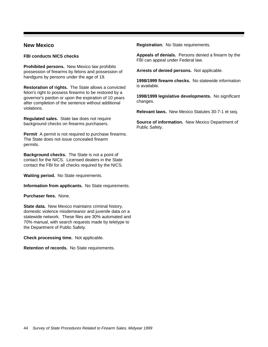## **New Mexico**

**FBI conducts NICS checks**

**Prohibited persons.** New Mexico law prohibits possession of firearms by felons and possession of handguns by persons under the age of 19.

**Restoration of rights.** The State allows a convicted felon's right to possess firearms to be restored by a governor's pardon or upon the expiration of 10 years after completion of the sentence without additional violations.

**Regulated sales.** State law does not require background checks on firearms purchasers.

**Permit** A permit is not required to purchase firearms. The State does not issue concealed firearm permits.

**Background checks.** The State is not a point of contact for the NICS. Licensed dealers in the State contact the FBI for all checks required by the NICS.

**Waiting period.** No State requirements.

**Information from applicants.** No State requirements.

**Purchaser fees.** None.

**State data.** New Mexico maintains criminal history, domestic violence misdemeanor and juvenile data on a statewide network. These files are 30% automated and 70% manual, with search requests made by teletype to the Department of Public Safety.

**Check processing time.** Not applicable.

**Retention of records.** No State requirements.

**Registration.** No State requirements.

**Appeals of denials.** Persons denied a firearm by the FBI can appeal under Federal law.

**Arrests of denied persons.** Not applicable.

**1998/1999 firearm checks.** No statewide information is available.

**1998/1999 legislative developments.** No significant changes.

**Relevant laws.** New Mexico Statutes 30-7-1 et seq.

**Source of information.** New Mexico Department of Public Safety.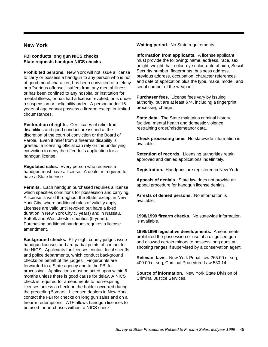## **New York**

#### **FBI conducts long gun NICS checks State requests handgun NICS checks**

**Prohibited persons.** New York will not issue a license to carry or possess a handgun to any person who is not of good moral character; has been convicted of a felony or a "serious offense;" suffers from any mental illness or has been confined to any hospital or institution for mental illness; or has had a license revoked, or is under a suspension or ineligibility order. A person under 16 years of age cannot possess a firearm except in limited circumstances.

**Restoration of rights.** Certificates of relief from disabilities and good conduct are issued at the discretion of the court of conviction or the Board of Parole. Even if relief from a firearms disability is granted, a licensing official can rely on the underlying conviction to deny the offender's application for a handgun license.

**Regulated sales.** Every person who receives a handgun must have a license. A dealer is required to have a State license.

**Permits.** Each handgun purchased requires a license which specifies conditions for possession and carrying. A license is valid throughout the State, except in New York City, where additional rules of validity apply. Licenses are valid until revoked but have a fixed duration in New York City (3 years) and in Nassau, Suffolk and Westchester counties (5 years). Purchasing additional handguns requires a license amendment.

**Background checks.** Fifty-eight county judges issue handgun licenses and are partial points of contact for the NICS. Applicants for licenses contact local sheriffs and police departments, which conduct background checks on behalf of the judges. Fingerprints are forwarded to a State agency and to the FBI for processing. Applications must be acted upon within 6 months unless there is good cause for delay. A NICS check is required for amendments to non-expiring licenses unless a check on the holder occurred during the preceding 5 years. Licensed dealers in New York contact the FBI for checks on long gun sales and on all firearm redemptions. ATF allows handgun licenses to be used for purchases without a NICS check.

**Waiting period.** No State requirements.

**Information from applicants.** A license applicant must provide the following: name, address, race, sex, height, weight, hair color, eye color, date of birth, Social Security number, fingerprints, business address, previous address, occupation, character references and date of application plus the type, make, model, and serial number of the weapon.

**Purchaser fees.** License fees vary by issuing authority, but are at least \$74, including a fingerprint processing charge.

**State data.** The State maintains criminal history, fugitive, mental health and domestic violence restraining order/misdemeanor data.

**Check processing time.** No statewide information is available.

**Retention of records.** Licensing authorities retain approved and denied applications indefinitely.

**Registration.** Handguns are registered in New York.

**Appeals of denials.** State law does not provide an appeal procedure for handgun license denials.

**Arrests of denied persons.** No information is available.

**1998/1999 firearm checks.** No statewide information is available.

**1998/1999 legislative developments.** Amendments prohibited the possession or use of a disguised gun and allowed certain minors to possess long guns at shooting ranges if supervised by a conservation agent.

**Relevant laws.** New York Penal Law 265.00 et seq; 400.00 et seq; Criminal Procedure Law 530.14.

**Source of information.** New York State Division of Criminal Justice Services.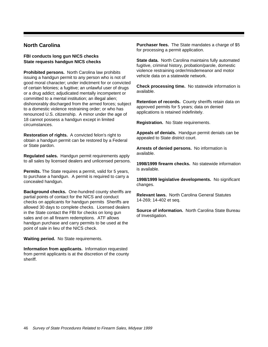# **North Carolina**

#### **FBI conducts long gun NICS checks State requests handgun NICS checks**

**Prohibited persons.** North Carolina law prohibits issuing a handgun permit to any person who is not of good moral character; under indictment for or convicted of certain felonies; a fugitive; an unlawful user of drugs or a drug addict; adjudicated mentally incompetent or committed to a mental institution; an illegal alien; dishonorably discharged from the armed forces; subject to a domestic violence restraining order; or who has renounced U.S. citizenship. A minor under the age of 18 cannot possess a handgun except in limited circumstances.

**Restoration of rights.** A convicted felon's right to obtain a handgun permit can be restored by a Federal or State pardon.

**Regulated sales.** Handgun permit requirements apply to all sales by licensed dealers and unlicensed persons.

**Permits.** The State requires a permit, valid for 5 years, to purchase a handgun. A permit is required to carry a concealed handgun.

**Background checks.** One-hundred county sheriffs are partial points of contact for the NICS and conduct checks on applicants for handgun permits Sheriffs are allowed 30 days to complete checks. Licensed dealers in the State contact the FBI for checks on long gun sales and on all firearm redemptions. ATF allows handgun purchase and carry permits to be used at the point of sale in lieu of the NICS check.

**Waiting period.** No State requirements.

**Information from applicants.** Information requested from permit applicants is at the discretion of the county sheriff.

**Purchaser fees.** The State mandates a charge of \$5 for processing a permit application.

**State data.** North Carolina maintains fully automated fugitive, criminal history, probation/parole, domestic violence restraining order/misdemeanor and motor vehicle data on a statewide network.

**Check processing time.** No statewide information is available.

**Retention of records.** County sheriffs retain data on approved permits for 5 years; data on denied applications is retained indefinitely.

**Registration.** No State requirements.

**Appeals of denials.** Handgun permit denials can be appealed to State district court.

**Arrests of denied persons.** No information is available.

**1998/1999 firearm checks.** No statewide information is available.

**1998/1999 legislative developments.** No significant changes.

**Relevant laws.** North Carolina General Statutes 14-269; 14-402 et seq.

**Source of information.** North Carolina State Bureau of Investigation.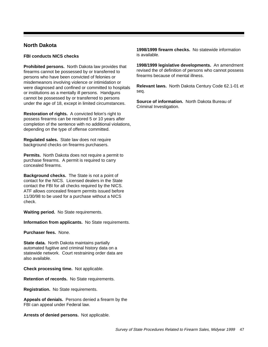## **North Dakota**

**FBI conducts NICS checks**

**Prohibited persons.** North Dakota law provides that firearms cannot be possessed by or transferred to persons who have been convicted of felonies or misdemeanors involving violence or intimidation or were diagnosed and confined or committed to hospitals or institutions as a mentally ill persons. Handguns cannot be possessed by or transferred to persons under the age of 18, except in limited circumstances.

**Restoration of rights.** A convicted felon's right to possess firearms can be restored 5 or 10 years after completion of the sentence with no additional violations, depending on the type of offense committed.

**Regulated sales.** State law does not require background checks on firearms purchasers.

**Permits.** North Dakota does not require a permit to purchase firearms. A permit is required to carry concealed firearms.

**Background checks.** The State is not a point of contact for the NICS. Licensed dealers in the State contact the FBI for all checks required by the NICS. ATF allows concealed firearm permits issued before 11/30/98 to be used for a purchase without a NICS check.

**Waiting period.** No State requirements.

**Information from applicants.** No State requirements.

**Purchaser fees.** None.

**State data.** North Dakota maintains partially automated fugitive and criminal history data on a statewide network. Court restraining order data are also available.

**Check processing time.** Not applicable.

**Retention of records.** No State requirements.

**Registration.** No State requirements.

**Appeals of denials.** Persons denied a firearm by the FBI can appeal under Federal law.

**Arrests of denied persons.** Not applicable.

**1998/1999 firearm checks.** No statewide information is available.

**1998/1999 legislative developments.** An amendment revised the of definition of persons who cannot possess firearms because of mental illness.

**Relevant laws.** North Dakota Century Code 62.1-01 et seq.

**Source of information.** North Dakota Bureau of Criminal Investigation.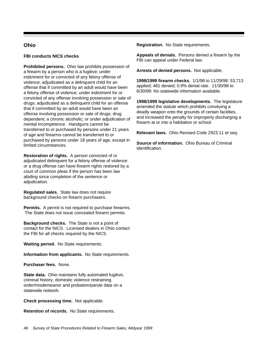# **Ohio**

### **FBI conducts NICS checks**

**Prohibited persons.** Ohio law prohibits possession of a firearm by a person who is a fugitive; under indictment for or convicted of any felony offense of violence; adjudicated as a delinquent child for an offense that if committed by an adult would have been a felony offense of violence; under indictment for or convicted of any offense involving possession or sale of drugs; adjudicated as a delinquent child for an offense that if committed by an adult would have been an offense involving possession or sale of drugs; drug dependent; a chronic alcoholic; or under adjudication of mental incompetence. Handguns cannot be transferred to or purchased by persons under 21 years of age and firearms cannot be transferred to or purchased by persons under 18 years of age, except in limited circumstances.

**Restoration of rights.** A person convicted of or adjudicated delinquent for a felony offense of violence or a drug offense can have firearm rights restored by a court of common pleas if the person has been law abiding since completion of the sentence or adjudication.

**Regulated sales.** State law does not require background checks on firearm purchasers.

**Permits.** A permit is not required to purchase firearms. The State does not issue concealed firearm permits.

**Background checks.** The State is not a point of contact for the NICS. Licensed dealers in Ohio contact the FBI for all checks required by the NICS.

**Waiting period.** No State requirements.

**Information from applicants.** No State requirements.

**Purchaser fees.** None.

**State data.** Ohio maintains fully automated fugitive, criminal history, domestic violence restraining order/misdemeanor and probation/parole data on a statewide network.

**Check processing time.** Not applicable.

**Retention of records.** No State requirements.

**Registration.** No State requirements.

**Appeals of denials.** Persons denied a firearm by the FBI can appeal under Federal law.

**Arrests of denied persons.** Not applicable.

**1998/1999 firearm checks.** 1/1/98 to 11/29/98: 53,713 applied; 481 denied; 0.9% denial rate. 11/30/98 to 6/30/99: No statewide information available.

**1998/1999 legislative developments.** The legislature amended the statute which prohibits conveying a deadly weapon onto the grounds of certain facilities, and increased the penalty for improperly discharging a firearm at or into a habitation or school.

**Relevant laws.** Ohio Revised Code 2923.11 et seq.

**Source of information.** Ohio Bureau of Criminal Identification.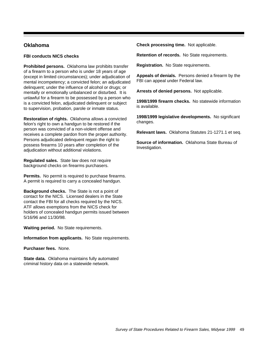# **Oklahoma**

#### **FBI conducts NICS checks**

**Prohibited persons.** Oklahoma law prohibits transfer of a firearm to a person who is under 18 years of age (except in limited circumstances); under adjudication of mental incompetency; a convicted felon; an adjudicated delinquent; under the influence of alcohol or drugs; or mentally or emotionally unbalanced or disturbed. It is unlawful for a firearm to be possessed by a person who is a convicted felon, adjudicated delinquent or subject to supervision, probation, parole or inmate status.

**Restoration of rights.** Oklahoma allows a convicted felon's right to own a handgun to be restored if the person was convicted of a non-violent offense and receives a complete pardon from the proper authority. Persons adjudicated delinquent regain the right to possess firearms 10 years after completion of the adjudication without additional violations.

**Regulated sales.** State law does not require background checks on firearms purchasers.

**Permits.** No permit is required to purchase firearms. A permit is required to carry a concealed handgun.

**Background checks.** The State is not a point of contact for the NICS. Licensed dealers in the State contact the FBI for all checks required by the NICS. ATF allows exemptions from the NICS check for holders of concealed handgun permits issued between 5/16/96 and 11/30/98.

**Waiting period.** No State requirements.

**Information from applicants.** No State requirements.

**Purchaser fees.** None.

**State data.** Oklahoma maintains fully automated criminal history data on a statewide network.

**Check processing time.** Not applicable.

**Retention of records.** No State requirements.

**Registration.** No State requirements.

**Appeals of denials.** Persons denied a firearm by the FBI can appeal under Federal law.

**Arrests of denied persons.** Not applicable.

**1998/1999 firearm checks.** No statewide information is available.

**1998/1999 legislative developments.** No significant changes.

**Relevant laws.** Oklahoma Statutes 21-1271.1 et seq.

**Source of information.** Oklahoma State Bureau of Investigation.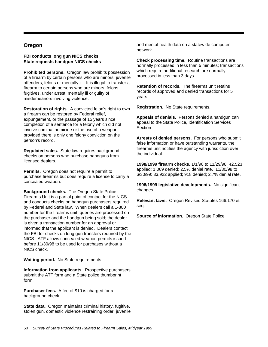## **Oregon**

#### **FBI conducts long gun NICS checks State requests handgun NICS checks**

**Prohibited persons.** Oregon law prohibits possession of a firearm by certain persons who are minors, juvenile offenders, felons or mentally ill. It is illegal to transfer a firearm to certain persons who are minors, felons, fugitives, under arrest, mentally ill or guilty of misdemeanors involving violence.

**Restoration of rights.** A convicted felon's right to own a firearm can be restored by Federal relief, expungement, or the passage of 15 years since completion of a sentence for a felony which did not involve criminal homicide or the use of a weapon, provided there is only one felony conviction on the person's record.

**Regulated sales.** State law requires background checks on persons who purchase handguns from licensed dealers.

**Permits.** Oregon does not require a permit to purchase firearms but does require a license to carry a concealed weapon.

**Background checks.** The Oregon State Police Firearms Unit is a partial point of contact for the NICS and conducts checks on handgun purchasers required by Federal and State law. When dealers call a 1-800 number for the firearms unit, queries are processed on the purchaser and the handgun being sold; the dealer is given a transaction number for an approval or informed that the applicant is denied. Dealers contact the FBI for checks on long gun transfers required by the NICS. ATF allows concealed weapon permits issued before 11/30/98 to be used for purchases without a NICS check.

**Waiting period.** No State requirements.

**Information from applicants.** Prospective purchasers submit the ATF form and a State police thumbprint form.

**Purchaser fees.** A fee of \$10 is charged for a background check.

**State data.** Oregon maintains criminal history, fugitive, stolen gun, domestic violence restraining order, juvenile and mental health data on a statewide computer network.

**Check processing time.** Routine transactions are normally processed in less than 5 minutes; transactions which require additional research are normally processed in less than 3 days.

**Retention of records.** The firearms unit retains records of approved and denied transactions for 5 years.

**Registration.** No State requirements.

**Appeals of denials.** Persons denied a handgun can appeal to the State Police, Identification Services **Section** 

**Arrests of denied persons.** For persons who submit false information or have outstanding warrants, the firearms unit notifies the agency with jurisdiction over the individual.

**1998/1999 firearm checks.** 1/1/98 to 11/29/98: 42,523 applied; 1,069 denied; 2.5% denial rate. 11/30/98 to 6/30/99: 33,922 applied; 918 denied; 2.7% denial rate.

**1998/1999 legislative developments.** No significant changes.

**Relevant laws.** Oregon Revised Statutes 166.170 et seq.

**Source of information.** Oregon State Police.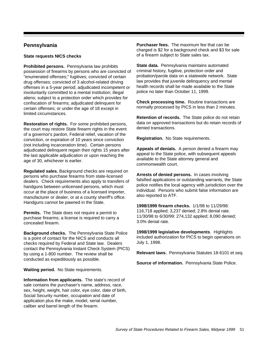# **Pennsylvania**

#### **State requests NICS checks**

**Prohibited persons.** Pennsylvania law prohibits possession of firearms by persons who are convicted of "enumerated offenses;" fugitives; convicted of certain drug offenses; convicted of 3 alcohol-related driving offenses in a 5-year period; adjudicated incompetent or involuntarily committed to a mental institution; illegal aliens; subject to a protection order which provides for confiscation of firearms; adjudicated delinquent for certain offenses; or under the age of 18 except in limited circumstances.

**Restoration of rights.** For some prohibited persons, the court may restore State firearm rights in the event of a governor's pardon, Federal relief, vacation of the conviction, or expiration of 10 years since conviction (not including incarceration time). Certain persons adjudicated delinquent regain their rights 15 years after the last applicable adjudication or upon reaching the age of 30, whichever is earlier.

**Regulated sales.** Background checks are required on persons who purchase firearms from state-licensed dealers. Check requirements also apply to transfers of handguns between unlicensed persons, which must occur at the place of business of a licensed importer, manufacturer or dealer, or at a county sheriff's office. Handguns cannot be pawned in the State.

**Permits.** The State does not require a permit to purchase firearms; a license is required to carry a concealed firearm.

**Background checks.** The Pennsylvania State Police is a point of contact for the NICS and conducts all checks required by Federal and State law. Dealers contact the Pennsylvania Instant Check System (PICS) by using a 1-800 number. The review shall be conducted as expeditiously as possible.

**Waiting period.** No State requirements.

**Information from applicants.** The state's record of sale contains the purchaser's name, address, race, sex, height, weight, hair color, eye color, date of birth, Social Security number, occupation and date of application plus the make, model, serial number, caliber and barrel length of the firearm.

**Purchaser fees.** The maximum fee that can be charged is \$2 for a background check and \$3 for sale of a firearm subject to State sales tax.

**State data.** Pennsylvania maintains automated criminal history, fugitive, protection order and probation/parole data on a statewide network. State law provides that juvenile delinquency and mental health records shall be made available to the State police no later than October 11, 1999.

**Check processing time.** Routine transactions are normally processed by PICS in less than 2 minutes.

**Retention of records.** The State police do not retain data on approved transactions but do retain records of denied transactions.

**Registration.** No State requirements.

**Appeals of denials.** A person denied a firearm may appeal to the State police, with subsequent appeals available to the State attorney general and commonwealth court.

**Arrests of denied persons.** In cases involving falsified applications or outstanding warrants, the State police notifies the local agency with jurisdiction over the individual. Persons who submit false information are also reported to ATF.

**1998/1999 firearm checks.** 1/1/98 to 11/29/98: 116,718 applied; 3,237 denied; 2.8% denial rate. 11/30/98 to 6/30/99: 274,132 applied; 8,090 denied; 3.0% denial rate.

**1998/1999 legislative developments**. Highlights included authorization for PICS to begin operations on July 1, 1998.

**Relevant laws.** Pennsylvania Statutes 18-6101 et seq.

**Source of information.** Pennsylvania State Police.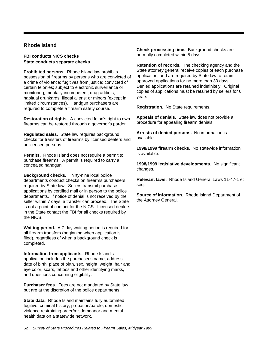# **Rhode Island**

**FBI conducts NICS checks State conducts separate checks**

**Prohibited persons.** Rhode Island law prohibits possession of firearms by persons who are convicted of a crime of violence; fugitives from justice; convicted of certain felonies; subject to electronic surveillance or monitoring; mentally incompetent; drug addicts; habitual drunkards; illegal aliens; or minors (except in limited circumstances). Handgun purchasers are required to complete a firearm safety course.

**Restoration of rights.** A convicted felon's right to own firearms can be restored through a governor's pardon.

**Regulated sales.** State law requires background checks for transfers of firearms by licensed dealers and unlicensed persons.

**Permits.** Rhode Island does not require a permit to purchase firearms. A permit is required to carry a concealed handgun.

**Background checks.** Thirty-nine local police departments conduct checks on firearms purchasers required by State law. Sellers transmit purchase applications by certified mail or in person to the police departments. If notice of denial is not received by the seller within 7 days, a transfer can proceed. The State is not a point of contact for the NICS. Licensed dealers in the State contact the FBI for all checks required by the NICS.

**Waiting period.** A 7-day waiting period is required for all firearm transfers (beginning when application is filed), regardless of when a background check is completed.

**Information from applicants.** Rhode Island's application includes the purchaser's name, address, date of birth, place of birth, sex, height, weight, hair and eye color, scars, tattoos and other identifying marks, and questions concerning eligibility.

**Purchaser fees.** Fees are not mandated by State law but are at the discretion of the police departments.

**State data.** Rhode Island maintains fully automated fugitive, criminal history, probation/parole, domestic violence restraining order/misdemeanor and mental health data on a statewide network.

**Check processing time.** Background checks are normally completed within 5 days.

**Retention of records.** The checking agency and the State attorney general receive copies of each purchase application, and are required by State law to retain approved applications for no more than 30 days. Denied applications are retained indefinitely. Original copies of applications must be retained by sellers for 6 years.

**Registration.** No State requirements.

**Appeals of denials.** State law does not provide a procedure for appealing firearm denials.

**Arrests of denied persons.** No information is available.

**1998/1999 firearm checks.** No statewide information is available.

**1998/1999 legislative developments.** No significant changes.

**Relevant laws.** Rhode Island General Laws 11-47-1 et seq.

**Source of information.** Rhode Island Department of the Attorney General.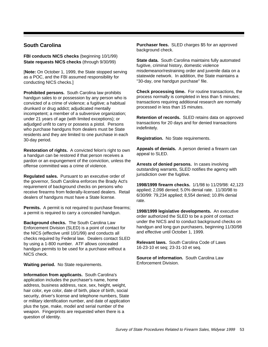# **South Carolina**

**FBI conducts NICS checks** (beginning 10/1/99) **State requests NICS checks** (through 9/30/99)

[**Note:** On October 1, 1999, the State stopped serving as a POC, and the FBI assumed responsibility for conducting NICS checks.]

**Prohibited persons.** South Carolina law prohibits handgun sales to or possession by any person who is convicted of a crime of violence; a fugitive; a habitual drunkard or drug addict; adjudicated mentally incompetent; a member of a subversive organization; under 21 years of age (with limited exceptions); or adjudged unfit to carry or possess a pistol. Persons who purchase handguns from dealers must be State residents and they are limited to one purchase in each 30-day period.

**Restoration of rights.** A convicted felon's right to own a handgun can be restored if that person receives a pardon or an expungement of the conviction, unless the offense committed was a crime of violence.

**Regulated sales.** Pursuant to an executive order of the governor, South Carolina enforces the Brady Act's requirement of background checks on persons who receive firearms from federally-licensed dealers. Retail dealers of handguns must have a State license.

**Permits.** A permit is not required to purchase firearms; a permit is required to carry a concealed handgun.

**Background checks.** The South Carolina Law Enforcement Division (SLED) is a point of contact for the NICS (effective until 10/1/99) and conducts all checks required by Federal law. Dealers contact SLED by using a 1-800 number. ATF allows concealed handgun permits to be used for a purchase without a NICS check.

**Waiting period.** No State requirements.

**Information from applicants.** South Carolina's application includes the purchaser's name, home address, business address, race, sex, height, weight, hair color, eye color, date of birth, place of birth, social security, driver's license and telephone numbers, State or military identification number, and date of application plus the type, make, model and serial number of the weapon. Fingerprints are requested when there is a question of identity.

**Purchaser fees.** SLED charges \$5 for an approved background check.

**State data.** South Carolina maintains fully automated fugitive, criminal history, domestic violence misdemeanor/restraining order and juvenile data on a statewide network. In addition, the State maintains a "30-day, one handgun purchase" file.

**Check processing time.** For routine transactions, the process normally is completed in less than 5 minutes; transactions requiring additional research are normally processed in less than 15 minutes.

**Retention of records.** SLED retains data on approved transactions for 20 days and for denied transactions indefinitely.

**Registration.** No State requirements.

**Appeals of denials.** A person denied a firearm can appeal to SLED.

**Arrests of denied persons.** In cases involving outstanding warrants, SLED notifies the agency with jurisdiction over the fugitive.

**1998/1999 firearm checks.** 1/1/98 to 11/29/98: 42,123 applied; 2,098 denied; 5.0% denial rate. 11/30/98 to 6/30/99: 79,234 applied; 8,554 denied; 10.8% denial rate.

**1998/1999 legislative developments.** An executive order authorized the SLED to be a point of contact under the NICS and to conduct background checks on handgun and long gun purchasers, beginning 11/30/98 and effective until October 1, 1999.

**Relevant laws.** South Carolina Code of Laws 16-23-10 et seq; 23-31-10 et seq.

**Source of information.** South Carolina Law Enforcement Division.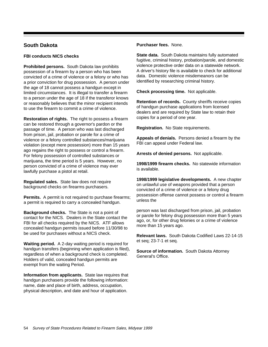# **South Dakota**

#### **FBI conducts NICS checks**

**Prohibited persons.** South Dakota law prohibits possession of a firearm by a person who has been convicted of a crime of violence or a felony or who has a prior conviction for drug possession. A person under the age of 18 cannot possess a handgun except in limited circumstances. It is illegal to transfer a firearm to a person under the age of 18 if the transferor knows or reasonably believes that the minor recipient intends to use the firearm to commit a crime of violence.

**Restoration of rights.** The right to possess a firearm can be restored through a governor's pardon or the passage of time. A person who was last discharged from prison, jail, probation or parole for a crime of violence or a felony controlled substances/marijuana violation (except mere possession) more than 15 years ago regains the right to possess or control a firearm. For felony possession of controlled substances or marijuana, the time period is 5 years. However, no person convicted of a crime of violence may ever lawfully purchase a pistol at retail.

**Regulated sales.** State law does not require background checks on firearms purchasers.

**Permits.** A permit is not required to purchase firearms; a permit is required to carry a concealed handgun.

**Background checks.** The State is not a point of contact for the NICS. Dealers in the State contact the FBI for all checks required by the NICS. ATF allows concealed handgun permits issued before 11/30/98 to be used for purchases without a NICS check.

**Waiting period.** A 2-day waiting period is required for handgun transfers (beginning when application is filed), regardless of when a background check is completed. Holders of valid, concealed handgun permits are exempt from the waiting Period.

**Information from applicants.** State law requires that handgun purchasers provide the following information: name, date and place of birth, address, occupation, physical description, and date and hour of application.

### **Purchaser fees.** None.

**State data.** South Dakota maintains fully automated fugitive, criminal history, probation/parole, and domestic violence protective order data on a statewide network. A driver's history file is available to check for additional data. Domestic violence misdemeanors can be identified by researching criminal history.

**Check processing time.** Not applicable.

**Retention of records.** County sheriffs receive copies of handgun purchase applications from licensed dealers and are required by State law to retain their copies for a period of one year.

**Registration.** No State requirements.

**Appeals of denials.** Persons denied a firearm by the FBI can appeal under Federal law.

**Arrests of denied persons.** Not applicable.

**1998/1999 firearm checks.** No statewide information is available.

**1998/1999 legislative developments.** A new chapter on unlawful use of weapons provided that a person convicted of a crime of violence or a felony drug possession offense cannot possess or control a firearm unless the

person was last discharged from prison, jail, probation or parole for felony drug possession more than 5 years ago, or, for other drug felonies or a crime of violence more than 15 years ago.

**Relevant laws.** South Dakota Codified Laws 22-14-15 et seq; 23-7-1 et seq.

**Source of information.** South Dakota Attorney General's Office.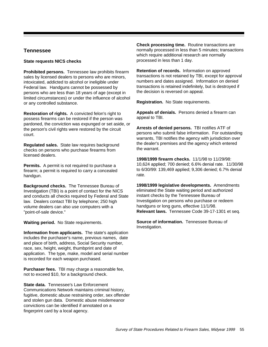# **Tennessee**

#### **State requests NICS checks**

**Prohibited persons.** Tennessee law prohibits firearm sales by licensed dealers to persons who are minors, intoxicated, addicted to alcohol or ineligible under Federal law. Handguns cannot be possessed by persons who are less than 18 years of age (except in limited circumstances) or under the influence of alcohol or any controlled substance.

**Restoration of rights.** A convicted felon's right to possess firearms can be restored if the person was pardoned, the conviction was expunged or set aside, or the person's civil rights were restored by the circuit court.

**Regulated sales.** State law requires background checks on persons who purchase firearms from licensed dealers.

**Permits.** A permit is not required to purchase a firearm; a permit is required to carry a concealed handgun.

**Background checks.** The Tennessee Bureau of Investigation (TBI) is a point of contact for the NICS and conducts all checks required by Federal and State law. Dealers contact TBI by telephone; 250 high volume dealers can also use computers with a "point-of-sale device."

**Waiting period.** No State requirements.

**Information from applicants.** The state's application includes the purchaser's name, previous names, date and place of birth, address, Social Security number, race, sex, height, weight, thumbprint and date of application. The type, make, model and serial number is recorded for each weapon purchased.

**Purchaser fees.** TBI may charge a reasonable fee, not to exceed \$10, for a background check.

**State data.** Tennessee's Law Enforcement Communications Network maintains criminal history, fugitive, domestic abuse restraining order, sex offender and stolen gun data. Domestic abuse misdemeanor convictions can be identified if annotated on a fingerprint card by a local agency.

**Check processing time.** Routine transactions are normally processed in less than 5 minutes; transactions which require additional research are normally processed in less than 1 day.

**Retention of records.** Information on approved transactions is not retained by TBI, except for approval numbers and dates assigned. Information on denied transactions is retained indefinitely, but is destroyed if the decision is reversed on appeal.

**Registration.** No State requirements.

**Appeals of denials.** Persons denied a firearm can appeal to TBI.

**Arrests of denied persons.** TBI notifies ATF of persons who submit false information. For outstanding warrants, TBI notifies the agency with jurisdiction over the dealer's premises and the agency which entered the warrant.

**1998/1999 firearm checks.** 11/1/98 to 11/29/98: 10,624 applied; 700 denied; 6.6% denial rate. 11/30/98 to 6/30/99: 139,469 applied; 9,306 denied; 6.7% denial rate.

**1998/1999 legislative developments.** Amendments eliminated the State waiting period and authorized instant checks by the Tennessee Bureau of Investigation on persons who purchase or redeem handguns or long guns, effective 11/1/98. **Relevant laws.** Tennessee Code 39-17-1301 et seq.

**Source of information.** Tennessee Bureau of Investigation.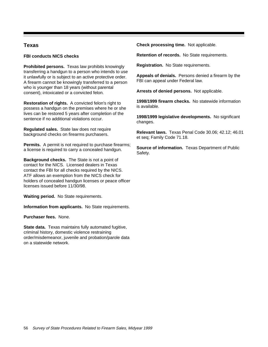## **Texas**

**FBI conducts NICS checks**

**Prohibited persons.** Texas law prohibits knowingly transferring a handgun to a person who intends to use it unlawfully or is subject to an active protective order. A firearm cannot be knowingly transferred to a person who is younger than 18 years (without parental consent), intoxicated or a convicted felon.

**Restoration of rights.** A convicted felon's right to possess a handgun on the premises where he or she lives can be restored 5 years after completion of the sentence if no additional violations occur.

**Regulated sales.** State law does not require background checks on firearms purchasers.

**Permits.** A permit is not required to purchase firearms; a license is required to carry a concealed handgun.

**Background checks.** The State is not a point of contact for the NICS. Licensed dealers in Texas contact the FBI for all checks required by the NICS. ATF allows an exemption from the NICS check for holders of concealed handgun licenses or peace officer licenses issued before 11/30/98.

**Waiting period.** No State requirements.

**Information from applicants.** No State requirements.

**Purchaser fees.** None.

**State data.** Texas maintains fully automated fugitive, criminal history, domestic violence restraining order/misdemeanor, juvenile and probation/parole data on a statewide network.

**Check processing time.** Not applicable.

**Retention of records.** No State requirements.

**Registration.** No State requirements.

**Appeals of denials.** Persons denied a firearm by the FBI can appeal under Federal law.

**Arrests of denied persons.** Not applicable.

**1998/1999 firearm checks.** No statewide information is available.

**1998/1999 legislative developments.** No significant changes.

**Relevant laws.** Texas Penal Code 30.06; 42.12; 46.01 et seq; Family Code 71.18.

**Source of information.** Texas Department of Public Safety.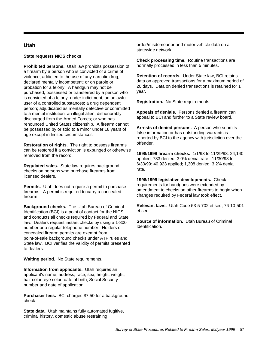# **Utah**

#### **State requests NICS checks**

**Prohibited persons.** Utah law prohibits possession of a firearm by a person who is convicted of a crime of violence; addicted to the use of any narcotic drug; declared mentally incompetent; or on parole or probation for a felony. A handgun may not be purchased, possessed or transferred by a person who is convicted of a felony; under indictment; an unlawful user of a controlled substances; a drug dependent person; adjudicated as mentally defective or committed to a mental institution; an illegal alien; dishonorably discharged from the Armed Forces; or who has renounced United States citizenship. A firearm cannot be possessed by or sold to a minor under 18 years of age except in limited circumstances.

**Restoration of rights.** The right to possess firearms can be restored if a conviction is expunged or otherwise removed from the record.

**Regulated sales.** State law requires background checks on persons who purchase firearms from licensed dealers.

**Permits.** Utah does not require a permit to purchase firearms. A permit is required to carry a concealed firearm.

**Background checks.** The Utah Bureau of Criminal Identification (BCI) is a point of contact for the NICS and conducts all checks required by Federal and State law. Dealers request instant checks by using a 1-800 number or a regular telephone number. Holders of concealed firearm permits are exempt from point-of-sale background checks under ATF rules and State law. BCI verifies the validity of permits presented to dealers.

**Waiting period.** No State requirements.

**Information from applicants.** Utah requires an applicant's name, address, race, sex, height, weight, hair color, eye color, date of birth, Social Security number and date of application.

**Purchaser fees.** BCI charges \$7.50 for a background check.

**State data.** Utah maintains fully automated fugitive, criminal history, domestic abuse restraining

order/misdemeanor and motor vehicle data on a statewide network.

**Check processing time.** Routine transactions are normally processed in less than 5 minutes.

**Retention of records.** Under State law, BCI retains data on approved transactions for a maximum period of 20 days. Data on denied transactions is retained for 1 year.

**Registration.** No State requirements.

**Appeals of denials.** Persons denied a firearm can appeal to BCI and further to a State review board.

**Arrests of denied persons.** A person who submits false information or has outstanding warrants is reported by BCI to the agency with jurisdiction over the offender.

**1998/1999 firearm checks.** 1/1/98 to 11/29/98: 24,140 applied; 733 denied; 3.0% denial rate. 11/30/98 to 6/30/99: 40,923 applied; 1,308 denied; 3.2% denial rate.

**1998/1999 legislative developments.** Check requirements for handguns were extended by amendment to checks on other firearms to begin when changes required by Federal law took effect.

**Relevant laws.** Utah Code 53-5-702 et seq; 76-10-501 et seq.

**Source of information.** Utah Bureau of Criminal Identification.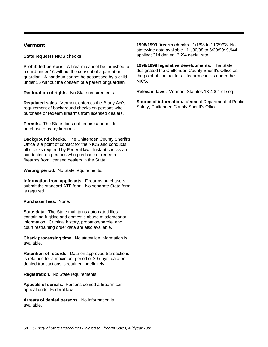## **Vermont**

#### **State requests NICS checks**

**Prohibited persons.** A firearm cannot be furnished to a child under 16 without the consent of a parent or guardian. A handgun cannot be possessed by a child under 16 without the consent of a parent or guardian.

**Restoration of rights.** No State requirements.

**Regulated sales.** Vermont enforces the Brady Act's requirement of background checks on persons who purchase or redeem firearms from licensed dealers.

**Permits.** The State does not require a permit to purchase or carry firearms.

**Background checks.** The Chittenden County Sheriff's Office is a point of contact for the NICS and conducts all checks required by Federal law. Instant checks are conducted on persons who purchase or redeem firearms from licensed dealers in the State.

**Waiting period.** No State requirements.

**Information from applicants.** Firearms purchasers submit the standard ATF form. No separate State form is required.

**Purchaser fees.** None.

**State data.** The State maintains automated files containing fugitive and domestic abuse misdemeanor information. Criminal history, probation/parole, and court restraining order data are also available.

**Check processing time.** No statewide information is available.

**Retention of records.** Data on approved transactions is retained for a maximum period of 20 days; data on denied transactions is retained indefinitely.

**Registration.** No State requirements.

**Appeals of denials.** Persons denied a firearm can appeal under Federal law.

**Arrests of denied persons.** No information is available.

**1998/1999 firearm checks.** 1/1/98 to 11/29/98: No statewide data available. 11/30/98 to 6/30/99: 9,944 applied; 314 denied; 3.2% denial rate.

**1998/1999 legislative developments.** The State designated the Chittenden County Sheriff's Office as the point of contact for all firearm checks under the NICS.

**Relevant laws.** Vermont Statutes 13-4001 et seq.

**Source of information.** Vermont Department of Public Safety; Chittenden County Sheriff's Office.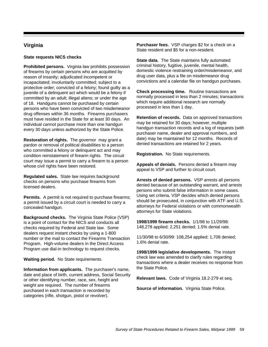# **Virginia**

#### **State requests NICS checks**

**Prohibited persons.** Virginia law prohibits possession of firearms by certain persons who are acquitted by reason of insanity; adjudicated incompetent or incapacitated; involuntarily committed; subject to a protective order; convicted of a felony; found guilty as a juvenile of a delinquent act which would be a felony if committed by an adult; illegal aliens; or under the age of 18. Handguns cannot be purchased by certain persons who have been convicted of two misdemeanor drug offenses within 36 months. Firearms purchasers must have resided in the State for at least 30 days. An individual cannot purchase more than one handgun every 30 days unless authorized by the State Police.

**Restoration of rights.** The governor may grant a pardon or removal of political disabilities to a person who committed a felony or delinguent act and may condition reinstatement of firearm rights. The circuit court may issue a permit to carry a firearm to a person whose civil rights have been restored.

**Regulated sales.** State law requires background checks on persons who purchase firearms from licensed dealers.

**Permits.** A permit is not required to purchase firearms; a permit issued by a circuit court is needed to carry a concealed handgun.

**Background checks.** The Virginia State Police (VSP) is a point of contact for the NICS and conducts all checks required by Federal and State law. Some dealers request instant checks by using a 1-800 number or the mail to contact the Firearms Transaction Program. High-volume dealers in the Direct Access Program use dial-in technology to request checks.

**Waiting period.** No State requirements.

**Information from applicants.** The purchaser's name, date and place of birth, current address, Social Security or other identifying number, race, sex, height and weight are required. The number of firearms purchased in each transaction is recorded by categories (rifle, shotgun, pistol or revolver).

**Purchaser fees.** VSP charges \$2 for a check on a State resident and \$5 for a non-resident.

**State data.** The State maintains fully automated criminal history, fugitive, juvenile, mental health, domestic violence restraining order/misdemeanor, and drug user data, plus a file on misdemeanor drug convictions and a calendar file on handgun purchases.

**Check processing time.** Routine transactions are normally processed in less than 2 minutes; transactions which require additional research are normally processed in less than 1 day.

**Retention of records.** Data on approved transactions may be retained for 30 days; however, multiple handgun transaction records and a log of requests (with purchaser name, dealer and approval numbers, and date) may be maintained for 12 months. Records of denied transactions are retained for 2 years.

**Registration.** No State requirements.

**Appeals of denials.** Persons denied a firearm may appeal to VSP and further to circuit court.

**Arrests of denied persons.** VSP arrests all persons denied because of an outstanding warrant, and arrests persons who submit false information in some cases. Using set criteria, VSP decides which denied persons should be prosecuted, in conjunction with ATF and U.S. attorneys for Federal violations or with commonwealth attorneys for State violations.

**1998/1999 firearm checks.** 1/1/98 to 11/29/98: 148,278 applied; 2,251 denied; 1.5% denial rate.

11/30/98 to 6/30/99: 108,254 applied; 1,708 denied; 1.6% denial rate.

**1998/1999 legislative developments.** The instant check law was amended to clarify rules regarding transactions where a dealer receives no response from the State Police.

**Relevant laws.** Code of Virginia 18.2-279 et seq.

**Source of information.** Virginia State Police.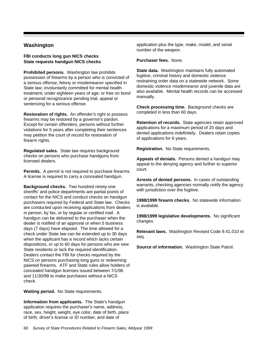# **Washington**

#### **FBI conducts long gun NICS checks State requests handgun NICS checks**

**Prohibited persons.** Washington law prohibits possession of firearms by a person who is convicted of a serious offense, felony or misdemeanor specified in State law; involuntarily committed for mental health treatment; under eighteen years of age; or free on bond or personal recognizance pending trial, appeal or sentencing for a serious offense.

**Restoration of rights.** An offender's right to possess firearms may be restored by a governor's pardon. Except for certain offenders, persons without further violations for 5 years after completing their sentences may petition the court of record for restoration of firearm rights.

**Regulated sales.** State law requires background checks on persons who purchase handguns from licensed dealers.

**Permits.** A permit is not required to purchase firearms. A license is required to carry a concealed handgun.

**Background checks.** Two hundred ninety-one sheriffs' and police departments are partial points of contact for the NICS and conduct checks on handgun purchasers required by Federal and State law. Checks are conducted upon receiving applications from dealers in person, by fax, or by regular or certified mail. A handgun can be delivered to the purchaser when the dealer is notified of an approval or when 5 business days (7 days) have elapsed. The time allowed for a check under State law can be extended up to 30 days when the applicant has a record which lacks certain dispositions, or up to 60 days for persons who are new State residents or lack the required identification. Dealers contact the FBI for checks required by the NICS on persons purchasing long guns or redeeming pawned firearms. ATF and State rules allow holders of concealed handgun licenses issued between 7/1/96 and 11/30/98 to make purchases without a NICS check.

**Waiting period.** No State requirements.

**Information from applicants.** The State's handgun application requires the purchaser's name, address, race, sex, height, weight, eye color, date of birth, place of birth, driver's license or ID number, and date of

application plus the type, make, model, and serial number of the weapon.

**Purchaser fees.** None.

**State data.** Washington maintains fully automated fugitive, criminal history and domestic violence restraining order data on a statewide network. Some domestic violence misdemeanor and juvenile data are also available. Mental health records can be accessed manually.

**Check processing time.** Background checks are completed in less than 60 days.

**Retention of records.** State agencies retain approved applications for a maximum period of 20 days and denied applications indefinitely. Dealers retain copies of applications for 6 years.

**Registration.** No State requirements.

**Appeals of denials.** Persons denied a handgun may appeal to the denying agency and further to superior court.

**Arrests of denied persons.** In cases of outstanding warrants, checking agencies normally notify the agency with jurisdiction over the fugitive.

**1998/1999 firearm checks.** No statewide information is available.

**1998/1999 legislative developments.** No significant changes.

**Relevant laws.** Washington Revised Code 9.41.010 et seq.

**Source of information.** Washington State Patrol.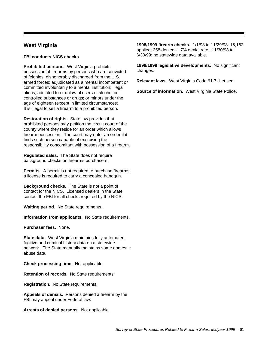# **West Virginia**

#### **FBI conducts NICS checks**

**Prohibited persons.** West Virginia prohibits possession of firearms by persons who are convicted of felonies; dishonorably discharged from the U.S. armed forces; adjudicated as a mental incompetent or committed involuntarily to a mental institution; illegal aliens; addicted to or unlawful users of alcohol or controlled substances or drugs; or minors under the age of eighteen (except in limited circumstances). It is illegal to sell a firearm to a prohibited person.

**Restoration of rights.** State law provides that prohibited persons may petition the circuit court of the county where they reside for an order which allows firearm possession. The court may enter an order if it finds such person capable of exercising the responsibility concomitant with possession of a firearm.

**Regulated sales.** The State does not require background checks on firearms purchasers.

**Permits.** A permit is not required to purchase firearms; a license is required to carry a concealed handgun.

**Background checks.** The State is not a point of contact for the NICS. Licensed dealers in the State contact the FBI for all checks required by the NICS.

**Waiting period.** No State requirements.

**Information from applicants.** No State requirements.

**Purchaser fees.** None.

**State data.** West Virginia maintains fully automated fugitive and criminal history data on a statewide network. The State manually maintains some domestic abuse data.

**Check processing time.** Not applicable.

**Retention of records.** No State requirements.

**Registration.** No State requirements.

**Appeals of denials.** Persons denied a firearm by the FBI may appeal under Federal law.

**Arrests of denied persons.** Not applicable.

**1998/1999 firearm checks.** 1/1/98 to 11/29/98: 15,162 applied; 258 denied; 1.7% denial rate. 11/30/98 to 6/30/99: no statewide data available.

**1998/1999 legislative developments.** No significant changes.

**Relevant laws.** West Virginia Code 61-7-1 et seq.

**Source of information.** West Virginia State Police.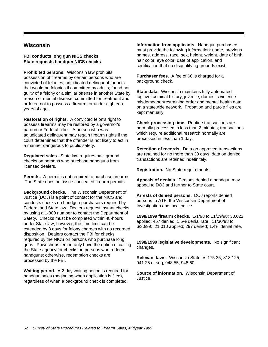# **Wisconsin**

#### **FBI conducts long gun NICS checks State requests handgun NICS checks**

**Prohibited persons.** Wisconsin law prohibits possession of firearms by certain persons who are convicted of felonies; adjudicated delinquent for acts that would be felonies if committed by adults; found not guilty of a felony or a similar offense in another State by reason of mental disease; committed for treatment and ordered not to possess a firearm; or under eighteen years of age.

**Restoration of rights.** A convicted felon's right to possess firearms may be restored by a governor's pardon or Federal relief. A person who was adjudicated delinquent may regain firearm rights if the court determines that the offender is not likely to act in a manner dangerous to public safety.

**Regulated sales.** State law requires background checks on persons who purchase handguns from licensed dealers.

**Permits.** A permit is not required to purchase firearms. The State does not issue concealed firearm permits.

**Background checks.** The Wisconsin Department of Justice (DOJ) is a point of contact for the NICS and conducts checks on handgun purchasers required by Federal and State law. Dealers request instant checks by using a 1-800 number to contact the Department of Safety. Checks must be completed within 48-hours under State law; however, the time limit can be extended by 3 days for felony charges with no recorded disposition. Dealers contact the FBI for checks required by the NICS on persons who purchase long guns. Pawnshops temporarily have the option of calling the State agency for checks on persons who redeem handguns; otherwise, redemption checks are processed by the FBI.

**Waiting period.** A 2-day waiting period is required for handgun sales (beginning when application is filed), regardless of when a background check is completed.

**Information from applicants.** Handgun purchasers must provide the following information: name, previous names, address, race, sex, height, weight, date of birth, hair color, eye color, date of application, and certification that no disqualifying grounds exist.

**Purchaser fees.** A fee of \$8 is charged for a background check.

**State data.** Wisconsin maintains fully automated fugitive, criminal history, juvenile, domestic violence misdemeanor/restraining order and mental health data on a statewide network. Probation and parole files are kept manually.

**Check processing time.** Routine transactions are normally processed in less than 2 minutes; transactions which require additional research normally are processed in less than 1 day.

**Retention of records.** Data on approved transactions are retained for no more than 30 days; data on denied transactions are retained indefinitely.

**Registration.** No State requirements.

**Appeals of denials.** Persons denied a handgun may appeal to DOJ and further to State court.

**Arrests of denied persons.** DOJ reports denied persons to ATF, the Wisconsin Department of Investigation and local police.

**1998/1999 firearm checks.** 1/1/98 to 11/29/98: 30,022 applied; 457 denied; 1.5% denial rate. 11/30/98 to 6/30/99: 21,010 applied; 297 denied; 1.4% denial rate.

**1998/1999 legislative developments.** No significant changes.

**Relevant laws.** Wisconsin Statutes 175.35; 813.125; 941.25 et seq; 948.55; 948.60.

**Source of information.** Wisconsin Department of Justice.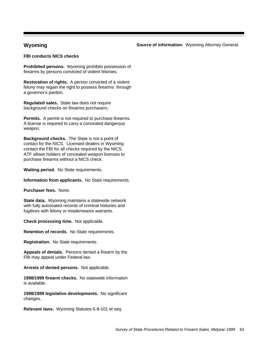## **Wyoming**

**Source of information.** Wyoming Attorney General.

#### **FBI conducts NICS checks**

**Prohibited persons.** Wyoming prohibits possession of firearms by persons convicted of violent felonies.

**Restoration of rights.** A person convicted of a violent felony may regain the right to possess firearms through a governor's pardon.

**Regulated sales.** State law does not require background checks on firearms purchasers.

**Permits.** A permit is not required to purchase firearms. A license is required to carry a concealed dangerous weapon.

**Background checks.** The State is not a point of contact for the NICS. Licensed dealers in Wyoming contact the FBI for all checks required by the NICS. ATF allows holders of concealed weapon licenses to purchase firearms without a NICS check.

**Waiting period.** No State requirements.

**Information from applicants.** No State requirements.

**Purchaser fees.** None.

**State data.** Wyoming maintains a statewide network with fully automated records of criminal histories and fugitives with felony or misdemeanor warrants.

**Check processing time.** Not applicable.

**Retention of records.** No State requirements.

**Registration.** No State requirements.

**Appeals of denials.** Persons denied a firearm by the FBI may appeal under Federal law.

**Arrests of denied persons.** Not applicable.

**1998/1999 firearm checks.** No statewide information is available.

**1998/1999 legislative developments.** No significant changes.

**Relevant laws.** Wyoming Statutes 6-8-101 et seq.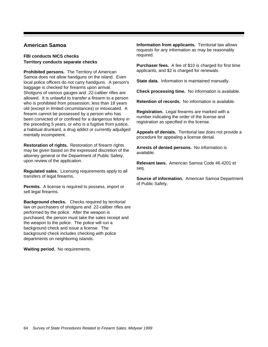# **American Samoa**

### **FBI conducts NICS checks Territory conducts separate checks**

**Prohibited persons.** The Territory of American Samoa does not allow handguns on the island. Even local police officers do not carry handguns. A person's baggage is checked for firearms upon arrival. Shotguns of various gauges and .22-caliber rifles are allowed. It is unlawful to transfer a firearm to a person who is prohibited from possession, less than 18 years old (except in limited circumstances) or intoxicated. A firearm cannot be possessed by a person who has been convicted of or confined for a dangerous felony in the preceding 5 years, or who is a fugitive from justice, a habitual drunkard, a drug addict or currently adjudged mentally incompetent.

**Restoration of rights.** Restoration of firearm rights may be given based on the expressed discretion of the attorney general or the Department of Public Safety, upon review of the application.

**Regulated sales.** Licensing requirements apply to all transfers of legal firearms.

**Permits.** A license is required to possess, import or sell legal firearms.

**Background checks.** Checks required by territorial law on purchasers of shotguns and .22-caliber rifles are performed by the police. After the weapon is purchased, the person must take the sales receipt and the weapon to the police. The police will run a background check and issue a license. The background check includes checking with police departments on neighboring islands.

**Waiting period.** No requirements.

**Information from applicants.** Territorial law allows requests for any information as may be reasonably required.

**Purchaser fees.** A fee of \$10 is charged for first time applicants, and \$2 is charged for renewals.

**State data.** Information is maintained manually.

**Check processing time.** No information is available.

**Retention of records.** No information is available.

**Registration.** Legal firearms are marked with a number indicating the order of the license and registration as specified in the license.

**Appeals of denials.** Territorial law does not provide a procedure for appealing a license denial.

**Arrests of denied persons.** No information is available.

**Relevant laws.** American Samoa Code 46.4201 et seq.

**Source of information.** American Samoa Department of Public Safety.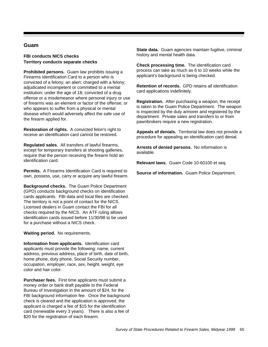## **Guam**

#### **FBI conducts NICS checks Territory conducts separate checks**

**Prohibited persons.** Guam law prohibits issuing a Firearms Identification Card to a person who is convicted of a felony; an alien; charged with a felony; adjudicated incompetent or committed to a mental institution; under the age of 18; convicted of a drug offense or a misdemeanor where personal injury or use of firearms was an element or factor of the offense; or who appears to suffer from a physical or mental disease which would adversely affect the safe use of the firearm applied for.

**Restoration of rights.** A convicted felon's right to receive an identification card cannot be restored.

**Regulated sales.** All transfers of lawful firearms, except for temporary transfers at shooting galleries, require that the person receiving the firearm hold an identification card.

**Permits.** A Firearms Identification Card is required to own, possess, use, carry or acquire any lawful firearm.

**Background checks.** The Guam Police Department (GPD) conducts background checks on identification cards applicants. FBI data and local files are checked. The territory is not a point of contact for the NICS. Licensed dealers in Guam contact the FBI for all checks required by the NICS. An ATF ruling allows identification cards issued before 11/30/98 to be used for a purchase without a NICS check.

**Waiting period.** No requirements.

**Information from applicants.** Identification card applicants must provide the following: name, current address, previous address, place of birth, date of birth, home phone, duty phone, Social Security number, occupation, employer, race, sex, height, weight, eye color and hair color.

**Purchaser fees.** First time applicants must submit a money order or bank draft payable to the Federal Bureau of Investigation in the amount of \$24, for the FBI background information fee. Once the background check is cleared and the application is approved, the applicant is charged a fee of \$15 for the identification card (renewable every 3 years). There is also a fee of \$20 for the registration of each firearm.

**State data.** Guam agencies maintain fugitive, criminal history and mental health data.

**Check processing time.** The identification card process can take as much as 6 to 10 weeks while the applicant's background is being checked.

**Retention of records.** GPD retains all identification card applications indefinitely.

**Registration.** After purchasing a weapon, the receipt is taken to the Guam Police Department. The weapon is inspected by the duty armorer and registered by the department. Private sales and transfers to or from pawnbrokers require a new registration.

**Appeals of denials.** Territorial law does not provide a procedure for appealing an identification card denial.

**Arrests of denied persons.** No information is available.

**Relevant laws.** Guam Code 10-60100 et seq.

**Source of information.** Guam Police Department.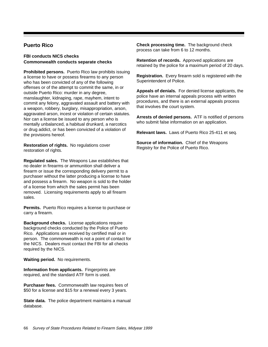# **Puerto Rico**

#### **FBI conducts NICS checks Commonwealth conducts separate checks**

**Prohibited persons.** Puerto Rico law prohibits issuing a license to have or possess firearms to any person who has been convicted of any of the following offenses or of the attempt to commit the same, in or outside Puerto Rico: murder in any degree, manslaughter, kidnaping, rape, mayhem, intent to commit any felony, aggravated assault and battery with a weapon, robbery, burglary, misappropriation, arson, aggravated arson, incest or violation of certain statutes. Nor can a license be issued to any person who is mentally unbalanced, a habitual drunkard, a narcotics or drug addict, or has been convicted of a violation of the provisions hereof.

**Restoration of rights.** No regulations cover restoration of rights.

**Regulated sales.** The Weapons Law establishes that no dealer in firearms or ammunition shall deliver a firearm or issue the corresponding delivery permit to a purchaser without the latter producing a license to have and possess a firearm. No weapon is sold to the holder of a license from which the sales permit has been removed. Licensing requirements apply to all firearm sales.

**Permits.** Puerto Rico requires a license to purchase or carry a firearm.

**Background checks.** License applications require background checks conducted by the Police of Puerto Rico. Applications are received by certified mail or in person. The commonwealth is not a point of contact for the NICS. Dealers must contact the FBI for all checks required by the NICS.

**Waiting period.** No requirements.

**Information from applicants.** Fingerprints are required, and the standard ATF form is used.

**Purchaser fees.** Commonwealth law requires fees of \$50 for a license and \$15 for a renewal every 3 years.

**State data.** The police department maintains a manual database.

**Check processing time.** The background check process can take from 6 to 12 months.

**Retention of records.** Approved applications are retained by the police for a maximum period of 20 days.

**Registration.** Every firearm sold is registered with the Superintendent of Police.

**Appeals of denials.** For denied license applicants, the police have an internal appeals process with written procedures, and there is an external appeals process that involves the court system.

**Arrests of denied persons.** ATF is notified of persons who submit false information on an application.

**Relevant laws.** Laws of Puerto Rico 25-411 et seq.

**Source of information.** Chief of the Weapons Registry for the Police of Puerto Rico.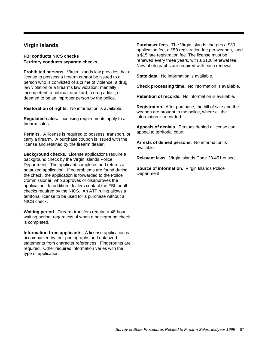# **Virgin Islands**

#### **FBI conducts NICS checks Territory conducts separate checks**

**Prohibited persons.** Virgin Islands law provides that a license to possess a firearm cannot be issued to a person who is convicted of a crime of violence, a drug law violation or a firearms law violation; mentally incompetent; a habitual drunkard; a drug addict; or deemed to be an improper person by the police.

**Restoration of rights.** No information is available.

**Regulated sales.** Licensing requirements apply to all firearm sales.

**Permits.** A license is required to possess, transport, or carry a firearm. A purchase coupon is issued with the license and retained by the firearm dealer.

**Background checks.** License applications require a background check by the Virgin Islands Police Department. The applicant completes and returns a notarized application. If no problems are found during the check, the application is forwarded to the Police Commissioner, who approves or disapproves the application. In addition, dealers contact the FBI for all checks required by the NICS. An ATF ruling allows a territorial license to be used for a purchase without a NICS check.

**Waiting period.** Firearm transfers require a 48-hour waiting period, regardless of when a background check is completed.

**Information from applicants.** A license application is accompanied by four photographs and notarized statements from character references. Fingerprints are required. Other required information varies with the type of application.

**Purchaser fees.** The Virgin Islands charges a \$30 application fee, a \$50 registration fee per weapon, and a \$15 late registration fee. The license must be renewed every three years, with a \$100 renewal fee. New photographs are required with each renewal.

**State data.** No information is available.

**Check processing time.** No information is available.

**Retention of records.** No information is available.

**Registration.** After purchase, the bill of sale and the weapon are brought to the police, where all the information is recorded.

**Appeals of denials.** Persons denied a license can appeal to territorial court.

**Arrests of denied persons.** No information is available.

**Relevant laws.** Virgin Islands Code 23-451 et seq.

**Source of information.** Virgin Islands Police Department.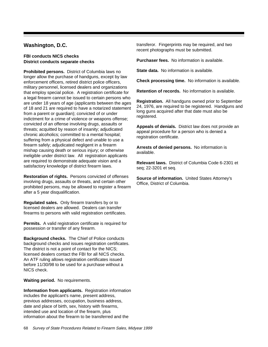# **Washington, D.C.**

#### **FBI conducts NICS checks District conducts separate checks**

**Prohibited persons.** District of Columbia laws no longer allow the purchase of handguns, except by law enforcement officers, retired district police officers, military personnel, licensed dealers and organizations that employ special police. A registration certificate for a legal firearm cannot be issued to certain persons who are under 18 years of age (applicants between the ages of 18 and 21 are required to have a notarized statement from a parent or guardian); convicted of or under indictment for a crime of violence or weapons offense; convicted of an offense involving drugs, assaults or threats; acquitted by reason of insanity; adjudicated chronic alcoholics; committed to a mental hospital; suffering from a physical defect and unable to use a firearm safely; adjudicated negligent in a firearm mishap causing death or serious injury; or otherwise ineligible under district law. All registration applicants are required to demonstrate adequate vision and a satisfactory knowledge of district firearm laws.

**Restoration of rights.** Persons convicted of offenses involving drugs, assaults or threats, and certain other prohibited persons, may be allowed to register a firearm after a 5 year disqualification.

**Regulated sales.** Only firearm transfers by or to licensed dealers are allowed. Dealers can transfer firearms to persons with valid registration certificates.

**Permits.** A valid registration certificate is required for possession or transfer of any firearm.

**Background checks.** The Chief of Police conducts background checks and issues registration certificates. The district is not a point of contact for the NICS; licensed dealers contact the FBI for all NICS checks. An ATF ruling allows registration certificates issued before 11/30/98 to be used for a purchase without a NICS check.

**Waiting period.** No requirements.

**Information from applicants.** Registration information includes the applicant's name, present address, previous addresses, occupation, business address, date and place of birth, sex, history with firearms, intended use and location of the firearm, plus information about the firearm to be transferred and the

transferor. Fingerprints may be required, and two recent photographs must be submitted.

**Purchaser fees.** No information is available.

**State data.** No information is available.

**Check processing time.** No information is available.

**Retention of records.** No information is available.

**Registration.** All handguns owned prior to September 24, 1976, are required to be registered. Handguns and long guns acquired after that date must also be registered.

**Appeals of denials.** District law does not provide an appeal procedure for a person who is denied a registration certificate.

**Arrests of denied persons.** No information is available.

**Relevant laws.** District of Columbia Code 6-2301 et seq; 22-3201 et seq.

**Source of information.** United States Attorney's Office, District of Columbia.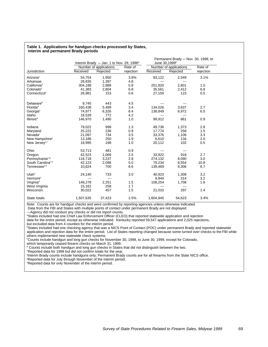|                             |           | Interim Brady $-$ Jan. 1 to Nov. 29, 1998 $a$ |           | June 30,1999 <sup>b</sup> | Permanent Brady - Nov. 30, 1998, to |           |  |
|-----------------------------|-----------|-----------------------------------------------|-----------|---------------------------|-------------------------------------|-----------|--|
|                             |           | Number of applications                        | Rate of   |                           | Number of applications              | Rate of   |  |
| Jurisdiction                | Received  | Rejected                                      | rejection | Received                  | Rejected                            | rejection |  |
| Arizona <sup>c</sup>        | 54,754    | 1,950                                         | 3.6%      | 83,122                    | 2,549                               | 3.1%      |  |
| Arkansas                    | 28,835    | 1,397                                         | 4.8       | ---                       | ---                                 |           |  |
| California <sup>d</sup>     | 304,188   | 2,889                                         | 0.9       | 251,820                   | 2,601                               | 1.0       |  |
| Colorado <sup>c</sup>       | 41,383    | 2,804                                         | 6.8       | 35,561                    | 2,412                               | 6.8       |  |
| Connecticut <sup>c</sup>    | 26,981    | 153                                           | 0.6       | 27,159                    | 123                                 | 0.5       |  |
| Delaware <sup>d</sup>       | 9,745     | 443                                           | 4.5       | ---                       | ---                                 |           |  |
| Florida <sup>d</sup>        | 160,438   | 5,499                                         | 3.4       | 134,026                   | 3,637                               | 2.7       |  |
| Georgia <sup>c</sup>        | 74,977    | 6,326                                         | 8.4       | 138,849                   | 8,972                               | 6.5       |  |
| Idaho                       | 18,539    | 772                                           | 4.2       | ---                       | $---$                               |           |  |
| Illinois <sup>d</sup>       | 146,970   | 1,490                                         | 1.0       | 99,912                    | 861                                 | 0.9       |  |
| Indiana                     | 79,022    | 998                                           | 1.3       | 49,736                    | 1,373                               | 2.8       |  |
| Maryland                    | 25,222    | 236                                           | 0.9       | 17,774                    | 258                                 | 1.5       |  |
| Nevada <sup>c</sup>         | 21,097    | 734                                           | 3.5       | 33,376                    | 1,106                               | 3.3       |  |
| New Hampshire <sup>e</sup>  | 13,186    | 250                                           | 1.9       | 6,610                     | 134                                 | 2.0       |  |
| New Jersey <sup>c,f</sup>   | 18,995    | 198                                           | 1.0       | 20,112                    | 102                                 | 0.5       |  |
| Ohio                        | 53,713    | 481                                           | 0.9       | ---                       | ---                                 |           |  |
| Oregon                      | 42,523    | 1,069                                         | 2.5       | 33,922                    | 918                                 | 2.7       |  |
| Pennsylvania <sup>c,g</sup> | 116,718   | 3,237                                         | 2.8       | 274,132                   | 8,090                               | 3.0       |  |
| South Carolinac,e           | 42,123    | 2,098                                         | 5.0       | 79,234                    | 8,554                               | 10.8      |  |
| Tennessee <sup>c,h</sup>    | 10,624    | 700                                           | 6.6       | 139,469                   | 9,306                               | 6.7       |  |
| Utah $\rm ^{c}$             | 24,140    | 733                                           | 3.0       | 40,923                    | 1,308                               | 3.2       |  |
| Vermont <sup>c</sup>        |           | $-$                                           |           | 9,944                     | 314                                 | 3.2       |  |
| Virginia <sup>d</sup>       | 148,278   | 2,251                                         | 1.5       | 108,254                   | 1,708                               | 1.6       |  |
| West Virginia               | 15,162    | 258                                           | 1.7       | ---                       | ---                                 |           |  |
| Wisconsin                   | 30,022    | 457                                           | 1.5       | 21,010                    | 297                                 | 1.4       |  |
| State totals                | 1,507,635 | 37,423                                        | 2.5%      | 1,604,945                 | 54,623                              | 3.4%      |  |

#### **Table 1. Applications for handgun checks processed by States, interim and permanent Brady periods**

 $\overline{\phantom{a}}$ 

Note: Counts are for handgun checks and were confirmed by reporting agencies unless otherwise indicated.

Data from the FBI and States with multiple points of contact under permanent Brady are not displayed.

---Agency did not conduct any checks or did not report counts.

<sup>a</sup>States included had one Chief Law Enforcement Officer (CLEO) that reported statewide application and rejection

data for the entire period, except as otherwise indicated. Kentucky reported 59,547 applications and 2,025 rejections,

but excluded data from 4 counties for the interim period.

b States included had one checking agency that was a NICS Point of Contact (POC) under permanent Brady and reported statewide application and rejection data for the entire period. List of States reporting changed because some turned over checks to the FBI while others implemented new statewide check systems.

c Counts include handgun and long gun checks for November 30, 1998, to June 30, 1999, except for Colorado,

which temporarily ceased firearm checks on March 31, 1999.

d Counts include both handgun and long gun checks in States that did not distinguish between the two.

e Reported data for 1998 but did not confirm totals for the year.

f Interim Brady counts include handguns only; Permanent Brady counts are for all firearms from the State NICS office.

<sup>9</sup>Reported data for July through November of the interim period.

<sup>h</sup>Reported data for only November of the interim period.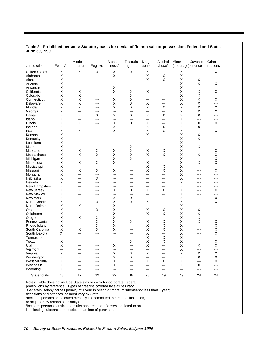#### **Table 2. Prohibited persons: Statutory basis for denial of firearm sale or possession, Federal and State, June 30,1999**

| Jurisdiction         | Felony <sup>a</sup> | Misde-<br>meanor <sup>a</sup> | Fugitive       | Mental<br>illness <sup>b</sup> | Restrain- Drug<br>ing order | abuse <sup>c</sup> | Alcohol<br>abuse <sup>c</sup> | Minor<br>(underage) offense | Juvenile       | Other<br>reasons |  |
|----------------------|---------------------|-------------------------------|----------------|--------------------------------|-----------------------------|--------------------|-------------------------------|-----------------------------|----------------|------------------|--|
| <b>United States</b> | Х                   | Χ                             | X              | $\mathsf X$                    | X                           | X                  | $\sim$ $\sim$                 | Χ                           | ---            | X                |  |
| Alabama              | Χ                   | ---                           | ---            | X                              | ---                         | X                  | X                             | X                           | $-$            | $\overline{a}$   |  |
| Alaska               | Χ                   | ---                           | ---            | ---                            | ---                         | X                  | X                             | Χ                           | Х              | $\overline{a}$   |  |
| Arizona              | Χ                   | $---$                         | $---$          | $---$                          | ---                         | ---                | $\overline{a}$                | X                           | X              | X                |  |
| Arkansas             | X                   | ---                           | ---            | X                              | ---                         | ---                | $\sim$ $\sim$                 | X                           | ---            | ---              |  |
| California           | Χ                   | Χ                             | ---            | X                              | х                           | X                  | $---$                         | Χ                           | $\sf X$        | $\mathsf X$      |  |
| Colorado             | Χ                   | Χ                             | $---$          | ---                            | X                           | ---                | $- - -$                       | X                           | $\pmb{\times}$ | ---              |  |
| Connecticut          | X                   | Χ                             | ---            | X                              | X                           | ---                | $\sim$ $\sim$                 | X                           | X              | X                |  |
| Delaware             | Χ                   | X                             | ---            | X                              | х                           | Х                  | $\sim$                        | Χ                           | $\sf X$        | ---              |  |
| Florida              | Χ                   | X                             | $---$          | X                              | X                           | X                  | X                             | X                           | X              | X                |  |
| Georgia              | Χ                   | ---                           | ---            | ---                            | ---                         | ---                | $\overline{a}$                | X                           | X              | X                |  |
| Hawaii               | Χ                   | $\sf X$                       | х              | X                              | X                           | X                  | Х                             | Χ                           | X              | ---              |  |
| Idaho                | Χ                   | ---                           | $\overline{a}$ | ---                            | ---                         | ---                | $\overline{a}$                | X                           | ---            | $\overline{a}$   |  |
| Illinois             | X                   | X                             | ---            | X                              | X                           | X                  | $\sim$ $\sim$                 | X                           | X              | X                |  |
| Indiana              |                     | ---                           |                | X                              | ---                         |                    |                               | Χ                           | X              | ---              |  |
|                      | Χ                   |                               | ---            |                                |                             | Х                  | х                             | X                           | ---            |                  |  |
| lowa                 | Χ                   | X                             | $---$          | X                              | $---$                       | X                  | X                             |                             |                | X                |  |
| Kansas               | X                   | ---                           | ---            | ---                            | ---                         | X                  | $\overline{a}$                | X                           | X              | $\sim$ $\sim$    |  |
| Kentucky             | Χ                   | ---                           | ---            | ---                            | ---                         | ---                | $\overline{a}$                | Χ                           | X              | $---$            |  |
| Louisiana            | Χ                   | $---$                         | ---            | $---$                          | ---                         | ---                | $\frac{1}{2}$                 | X                           | ---            | $\frac{1}{2}$    |  |
| Maine                | X                   | $\overline{a}$                | ---            | ---                            | X                           | ---                | $\frac{1}{2}$                 | X                           | X              | $\sim$ $\sim$    |  |
| Maryland             | Χ                   | Χ                             | х              | Х                              | х                           | Х                  | х                             | Χ                           | ---            | X                |  |
| Massachusetts        | Χ                   | X                             | X              | X                              | X                           | X                  | X                             | X                           | X              | X                |  |
| Michigan             | Χ                   | ---                           | ---            | X                              | X                           | ---                | $\overline{a}$                | X                           | ---            | X                |  |
| Minnesota            | Χ                   | $\sf X$                       | X              | X                              | ---                         | X                  | $\overline{a}$                | Χ                           | X              | X                |  |
| Mississippi          | Χ                   | ---                           | $\overline{a}$ | ---                            | ---                         | X                  | X                             | X                           | ---            | $\overline{a}$   |  |
| Missouri             | Χ                   | X                             | X              | X                              | ---                         | X                  | X                             | X                           | ---            | X                |  |
| Montana              | Χ                   | ---                           | ---            | $-$                            | ---                         | ---                | ---                           | Χ                           | ---            | ---              |  |
| Nebraska             | Χ                   | $---$                         | X              | $---$                          | ---                         | ---                | $\frac{1}{2}$                 | X                           | $---$          | $---$            |  |
| Nevada               | Χ                   | ---                           | ---            | ---                            | ---                         | ---                | $\sim$ $\sim$                 | X                           | ---            | $\sim$ $\sim$    |  |
| New Hampshire        | Χ                   | $---$                         | ---            | ---                            | ---                         | ---                | $---$                         | Χ                           | ---            | $\frac{1}{2}$    |  |
| New Jersey           | Χ                   | X                             | $---$          | X                              | X                           | X                  | X                             | X                           | $---$          | X                |  |
| New Mexico           | Χ                   | ---                           | ---            | ---                            | ---                         | ---                | $\sim$ $\sim$                 | X                           | ---            | $\sim$ $\sim$    |  |
| New York             | Χ                   | ---                           | ---            | X                              | х                           | ---                | $---$                         | Χ                           | ---            | X                |  |
| North Carolina       | Χ                   | $\overline{a}$                | X              | X                              | X                           | X                  | $- - -$                       | X                           | $---$          | X                |  |
| North Dakota         | Χ                   | X                             | ---            | Χ                              | ---                         | ---                | $\sim$ $\sim$                 | X                           | ---            | $\sim$ $\sim$    |  |
| Ohio                 | Χ                   | ---                           | Х              | Χ                              | ---                         | X                  | х                             | Χ                           | Х              | $---$            |  |
| Oklahoma             | Χ                   | $\cdots$                      | ---            | X                              | ---                         | X                  | X                             | X                           | Χ              | $\frac{1}{2}$    |  |
| Oregon               | X                   | X                             | X              | X                              | ---                         | ---                | ---                           | X                           | X              | $\sim$ $\sim$    |  |
| Pennsylvania         | Χ                   | ---                           | х              | X                              | х                           | X                  | $\sf X$                       | Χ                           | Х              | X                |  |
| Rhode Island         | Χ                   | $--$                          | X              | X                              | ---                         | X                  | X                             | X                           | ---            | X                |  |
| South Carolina       | X                   | X                             | X              | X                              | ---                         | X                  | X                             | X                           | ---            | X                |  |
| South Dakota         | Х                   | ---                           | ---            | $-$                            | ---                         | х                  | ---                           | Χ                           | ---            | X                |  |
| Tennessee            | $\overline{a}$      | $---$                         | $- - -$        | $---$                          | $\overline{a}$              | X                  | X                             | X                           | $---$          | ---              |  |
| Texas                | X                   | ---                           | ---            | ---                            | X                           | X                  | X                             | X                           | ---            | X                |  |
| Utah                 | х                   | ---                           | ---            | X                              | ---                         | Х                  | ---                           | Χ                           | Х              | X                |  |
| Vermont              | ---                 | $---$                         | $---$          | ---                            | $\overline{a}$              | ---                | $---$                         | X                           | ---            | $\overline{a}$   |  |
| Virginia             | Χ                   | $\overline{a}$                | ---            | X                              | X                           | X                  | $\frac{1}{2}$                 | X                           | X              | Χ                |  |
|                      |                     |                               |                |                                |                             | ---                |                               |                             |                | X                |  |
| Washington           | Χ                   | X                             | ---            | X                              | Х                           |                    | $---$                         | X                           | Х              |                  |  |
| West Virginia        | Χ                   | $\overline{a}$                | $---$          | X                              | ---                         | X                  | X                             | X                           | ----           | X                |  |
| Wisconsin            | Χ                   | ---                           | ---            | X                              | ---                         | ---                | $\sim$ $\sim$                 | X                           | X              | ---              |  |
| Wyoming              | х                   | ---                           | ---            | ---                            | ---                         | ---                | $---$                         | ---                         | ---            | $\frac{1}{2}$    |  |
| State totals         | 48                  | 17                            | 12             | 32                             | 18                          | 28                 | 19                            | 49                          | 24             | 24               |  |

Notes: Table does not include State statutes which incorporate Federal

prohibitions by reference. Types of firearms covered by statutes vary. a Generally, felony carries penalty of 1 year in prison or more, misdemeanor less than 1 year;

definitions and offenses included vary by State. b Includes persons adjudicated mentally ill ( committed to a mental institution,

or acquitted by reason of insanity).

c Includes persons convicted of substance-related offenses, addicted to an

intoxicating substance or intoxicated at time of purchase.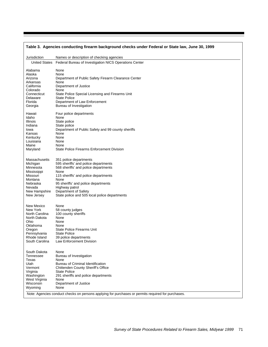| Table 3. Agencies conducting firearm background checks under Federal or State law, June 30, 1999 |                                                                                                    |  |  |  |  |  |  |  |
|--------------------------------------------------------------------------------------------------|----------------------------------------------------------------------------------------------------|--|--|--|--|--|--|--|
| Jurisdiction                                                                                     | Names or description of checking agencies                                                          |  |  |  |  |  |  |  |
| <b>United States</b>                                                                             | Federal Bureau of Investigation NICS Operations Center                                             |  |  |  |  |  |  |  |
| Alabama<br>Alaska                                                                                | None<br>None                                                                                       |  |  |  |  |  |  |  |
| Arizona                                                                                          | Department of Public Safety Firearm Clearance Center                                               |  |  |  |  |  |  |  |
| Arkansas                                                                                         | None                                                                                               |  |  |  |  |  |  |  |
| California                                                                                       | Department of Justice                                                                              |  |  |  |  |  |  |  |
| Colorado<br>Connecticut                                                                          | None<br>State Police Special Licensing and Firearms Unit                                           |  |  |  |  |  |  |  |
| Delaware                                                                                         | <b>State Police</b>                                                                                |  |  |  |  |  |  |  |
| Florida                                                                                          | Department of Law Enforcement                                                                      |  |  |  |  |  |  |  |
| Georgia                                                                                          | Bureau of Investigation                                                                            |  |  |  |  |  |  |  |
| Hawaii                                                                                           | Four police departments                                                                            |  |  |  |  |  |  |  |
| Idaho                                                                                            | None                                                                                               |  |  |  |  |  |  |  |
| Illinois                                                                                         | State police                                                                                       |  |  |  |  |  |  |  |
| Indiana<br>lowa                                                                                  | State police<br>Department of Public Safety and 99 county sheriffs                                 |  |  |  |  |  |  |  |
| Kansas                                                                                           | None                                                                                               |  |  |  |  |  |  |  |
| Kentucky                                                                                         | None                                                                                               |  |  |  |  |  |  |  |
| Louisiana<br>Maine                                                                               | None<br>None                                                                                       |  |  |  |  |  |  |  |
| Maryland                                                                                         | <b>State Police Firearms Enforcement Division</b>                                                  |  |  |  |  |  |  |  |
|                                                                                                  |                                                                                                    |  |  |  |  |  |  |  |
| <b>Massachusetts</b>                                                                             | 351 police departments                                                                             |  |  |  |  |  |  |  |
| Michigan                                                                                         | 595 sheriffs' and police departments                                                               |  |  |  |  |  |  |  |
| Minnesota                                                                                        | 568 sheriffs' and police departments                                                               |  |  |  |  |  |  |  |
| Mississippi<br>Missouri                                                                          | None<br>115 sheriffs' and police departments                                                       |  |  |  |  |  |  |  |
| Montana                                                                                          | None                                                                                               |  |  |  |  |  |  |  |
| Nebraska                                                                                         | 95 sheriffs' and police departments                                                                |  |  |  |  |  |  |  |
| Nevada                                                                                           | Highway patrol                                                                                     |  |  |  |  |  |  |  |
| New Hampshire<br>New Jersey                                                                      | Department of Safety<br>State police and 505 local police departments                              |  |  |  |  |  |  |  |
|                                                                                                  |                                                                                                    |  |  |  |  |  |  |  |
| New Mexico                                                                                       | None                                                                                               |  |  |  |  |  |  |  |
| New York                                                                                         | 58 county judges                                                                                   |  |  |  |  |  |  |  |
| North Carolina<br>North Dakota                                                                   | 100 county sheriffs<br>None                                                                        |  |  |  |  |  |  |  |
| Ohio                                                                                             | None                                                                                               |  |  |  |  |  |  |  |
| Oklahoma                                                                                         | None                                                                                               |  |  |  |  |  |  |  |
| Oregon                                                                                           | State Police Firearms Unit                                                                         |  |  |  |  |  |  |  |
| Pennsylvania<br>Rhode Island                                                                     | <b>State Police</b><br>39 police departments                                                       |  |  |  |  |  |  |  |
| South Carolina                                                                                   | Law Enforcement Division                                                                           |  |  |  |  |  |  |  |
|                                                                                                  |                                                                                                    |  |  |  |  |  |  |  |
| South Dakota                                                                                     | None                                                                                               |  |  |  |  |  |  |  |
| Tennessee                                                                                        | Bureau of Investigation                                                                            |  |  |  |  |  |  |  |
| Texas<br>Utah                                                                                    | None<br>Bureau of Criminal Identification                                                          |  |  |  |  |  |  |  |
| Vermont                                                                                          | Chittenden County Sheriff's Office                                                                 |  |  |  |  |  |  |  |
| Virginia                                                                                         | <b>State Police</b>                                                                                |  |  |  |  |  |  |  |
| Washington                                                                                       | 291 sheriffs and police departments                                                                |  |  |  |  |  |  |  |
| West Virginia<br>Wisconsin                                                                       | None<br>Department of Justice                                                                      |  |  |  |  |  |  |  |
| Wyoming                                                                                          | None                                                                                               |  |  |  |  |  |  |  |
|                                                                                                  | Note: Agencies conduct checks on persons applying for purchases or permits required for purchases. |  |  |  |  |  |  |  |
|                                                                                                  |                                                                                                    |  |  |  |  |  |  |  |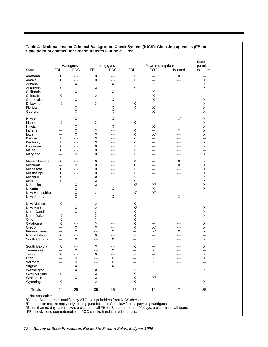|                |                          | <b>Handguns</b>      |                | Long guns      |                                        | Pawn redemptions          |                                 | <b>State</b><br>permits |  |
|----------------|--------------------------|----------------------|----------------|----------------|----------------------------------------|---------------------------|---------------------------------|-------------------------|--|
| State          | <b>FBI</b>               | POC                  | <b>FBI</b>     | POC            | <b>FBI</b>                             | POC                       | Banned                          | exempt <sup>a</sup>     |  |
| Alabama        | X                        | ---                  | Χ              | $\sim$ $\sim$  | X                                      | $\sim$                    | $\mathsf{X}^{\operatorname{b}}$ | $\sim$ $\sim$           |  |
| Alaska         | X                        | ---                  | Χ              | $\frac{1}{2}$  | X                                      | $---$                     | ---                             | Χ                       |  |
| Arizona        | ---                      | X                    | $\overline{a}$ | Х              | ---                                    | X                         | ---                             | X                       |  |
| Arkansas       | X                        | $---$                | X              | $\overline{a}$ | X                                      | $\overline{a}$            | ---                             | X                       |  |
|                |                          |                      |                |                |                                        |                           |                                 | $\overline{a}$          |  |
| California     | ---                      | X                    | $\overline{a}$ | X              | $\overline{\phantom{a}}$               | X                         | ---                             |                         |  |
| Colorado       | X                        | ---                  | X              | $--$           | ---                                    | Х                         | ---                             | $- - -$                 |  |
| Connecticut    | ---                      | X                    | $\overline{a}$ | X              | ---                                    | Χ                         | ---                             | X                       |  |
| Delaware       | X                        | $\overline{a}$       | X              | ---            | X                                      | $\overline{a}$            | ---                             | Х                       |  |
| Florida        | ---                      | X                    | $\sim$         | X              | $\mathsf{X}^\mathrm{c}$                | $\mathsf{X}^\mathrm{c}$   | ---                             | X                       |  |
| Georgia        | ---                      | X                    | $\sim$ $\sim$  | Х              | $\overline{\phantom{a}}$               | Χ                         | ---                             | X                       |  |
| Hawaii         | ---                      | X                    | $  -$          | Х              | ---                                    | ---                       | $\mathsf{X}^{\mathsf{b}}$       | X                       |  |
| Idaho          | X                        | ---                  | X              | ---            | X                                      | $\hspace{0.05cm}$         | $\sim$ $\sim$                   | X                       |  |
| Illinois       | ---                      | X                    | $\sim$ $\sim$  | Х              | $\sim$                                 | Χ                         | $\cdots$                        | X                       |  |
| Indiana        | ---                      | X                    | Χ              | $---$          | $X^b$                                  | $\overline{a}$            | $X^b$                           | X                       |  |
| lowa           | ---                      | X                    | X              | ---            | $\mathsf{X}^{\text{d}}$                | X <sup>d</sup>            | ---                             | X                       |  |
| Kansas         | Х                        | ---                  | X              | ---            | X                                      | ---                       | ---                             | ---                     |  |
| Kentucky       | Х                        | $---$                | Χ              | ---            | X                                      | $--$                      | ---                             | X                       |  |
| Louisiana      | Х                        | $---$                | Χ              | ---            | X                                      | ---                       | ---                             | X                       |  |
| Maine          | X                        | ---                  | X              | ---            | X                                      | ---                       | ---                             | ---                     |  |
|                | ---                      | X                    | Χ              | $---$          | X                                      | ---                       | ---                             | X                       |  |
| Maryland       |                          |                      |                |                |                                        |                           |                                 |                         |  |
| Massachusetts  | X                        | ---                  | Х              | ---            | $\mathsf{X}^{\mathsf{b}}$              | ---                       | $\mathsf{X}^{\mathsf{b}}$       | х                       |  |
| Michigan       | ---                      | X                    | X              | ---            | $\mathsf{X}^{\mathsf{b}}$              | ---                       | $\mathsf{X}^{\mathsf{b}}$       | Χ                       |  |
| Minnesota      | X                        | ---                  | Χ              | ---            | X                                      | ---                       | ---                             | X                       |  |
| Mississippi    | X                        | ---                  | Χ              | ---            | $\sf X$                                | ---                       | ---                             | Χ                       |  |
| Missouri       | Х                        | ---                  | Χ              | ---            | Χ                                      | ---                       | ---                             | X                       |  |
| Montana        | X                        | ---                  | Χ              | ---            | X                                      | ---                       | ---                             | X                       |  |
| Nebraska       | ---                      | X                    | Χ              | ---            | $\mathsf{X}^{\text{d}}$                | $\mathsf{X}^{\text{d}}$   | ---                             | Χ                       |  |
| Nevada         | ---                      | X                    | ---            | X              | ---                                    | X                         | ---                             | Χ                       |  |
| New Hampshire  | $\overline{\phantom{a}}$ | X                    | X              | ---            | $\mathsf{X}^{\text{d}}$                | $\mathsf{X}^{\mathtt{d}}$ | ---                             | ---                     |  |
| New Jersey     | ---                      | X                    | $\overline{a}$ | X              | ---                                    | ---                       | Χ                               | ---                     |  |
|                |                          |                      |                |                |                                        |                           |                                 |                         |  |
| New Mexico     | X                        | ---                  | Χ              | ---            | X                                      | ---                       | ---                             | $- - -$                 |  |
| New York       | ---                      | X                    | Χ              | ---            | $\mathsf{X}^{\mathsf{b}}$              | ---                       | ---                             | X                       |  |
| North Carolina | ---                      | X                    | Χ              | ---            | X                                      | ---                       | ---                             | Χ                       |  |
| North Dakota   | X                        | ---                  | Χ              | ---            | Χ                                      | ---                       | ---                             | X                       |  |
| Ohio           | X                        | ---                  | Χ              | ---            | X                                      | ---                       | ---                             | ---                     |  |
| Oklahoma       | X                        | ---                  | Χ              | ---            | X                                      | ---                       | ---                             | X                       |  |
| Oregon         | ---                      | X                    | Χ              | ---            | $\mathsf{X}^{\text{d}}$                | X <sup>d</sup>            | ---                             | Χ                       |  |
| Pennsylvania   | ---                      | X                    | $\sim$ $\sim$  | X              | ---                                    | $X^b$                     | $\mathsf{X}^{\operatorname{b}}$ | X                       |  |
| Rhode Island   | X                        | ---                  | X              | ---            | X                                      | $---$                     | ---                             | ---                     |  |
| South Carolina | ---                      | X                    | $\overline{a}$ | X              | ---                                    | X                         | ---                             | Χ                       |  |
| South Dakota   | X                        | $\sim$ $\sim$ $\sim$ | X              |                | X                                      |                           | ---                             | X                       |  |
|                |                          |                      |                | $--$           |                                        | $---$                     |                                 |                         |  |
| Tennessee      | ---                      | Χ                    | $--$           | Х              | ---                                    | Х                         |                                 | ---                     |  |
| Texas          | $\mathsf X$              | ---                  | X              | ---            | X                                      | $--$                      |                                 | Χ                       |  |
| Utah           | ---                      | $\sf X$              | $\overline{a}$ | X              | ---                                    | X                         | ---                             | $\sf X$                 |  |
| Vermont        | ---                      | Χ                    | ---            | X              | ---                                    | X                         |                                 | ---                     |  |
| Virginia       | ---                      | X                    | $\frac{1}{2}$  | X              | ---                                    | X                         | ---                             | $--$                    |  |
| Washington     |                          | X                    | X              | ---            | X                                      | $\sim$                    | ---                             | X                       |  |
|                | ---                      |                      |                |                |                                        |                           |                                 |                         |  |
| West Virginia  | X                        | ---                  | X              | ---            | X                                      | ---                       | ÷.                              | ---                     |  |
| Wisconsin      | ---                      | X                    | X              | ---            |                                        | $\mathsf{X}^{\text{d}}$   | ш.                              | ---                     |  |
| Wyoming        | $\mathsf X$              | ---                  | X              | ---            | $\mathsf{X}^{\text{d}}$<br>$\mathsf X$ | $\sim$                    | ---                             | X                       |  |

#### **Table 4. National Instant Criminal Background Check System (NICS): Checking agencies (FBI or State point of contact) for firearm transfers, June 30, 1999**

---Not applicable.

<sup>a</sup>Certain State permits qualified by ATF exempt holders from NICS checks.

<sup>b</sup>Redemption checks apply only to long guns because State law forbids pawning handguns.

c If less than 90 days after pawn, broker can call FBI or State; more than 90 days, broker must call State.

d FBI checks long gun redemptions; POC checks handgun redemptions.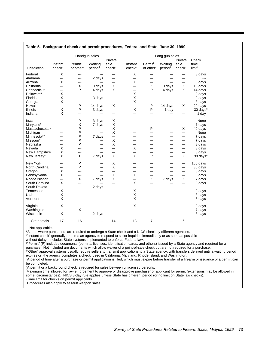| Private<br>Permit <sup>b</sup><br>sale<br>Permit <sup>b</sup><br>Waiting<br>Waiting<br>sale<br>time<br>Instant<br>Instant<br>check <sup>e</sup><br>limit <sup>f</sup><br>Jurisdiction<br>check <sup>a</sup><br>or other <sup>c</sup><br>period <sup>d</sup><br>check <sup>a</sup><br>or other <sup>c</sup><br>period <sup>d</sup><br>check <sup>e</sup><br>X<br>X<br>Federal<br>3 days<br>$\overline{\phantom{a}}$<br>---<br>---<br>---<br>---<br>---<br>Alabama<br>2 days<br>$\sim$<br>$\overline{a}$<br>---<br>---<br>$---$<br>---<br>X<br>X<br>Arizona<br>3 days<br>---<br>---<br>---<br>---<br>---<br>---<br>X<br>California<br>10 days<br>X<br>X<br>X<br>10 days<br>10 days<br>---<br>---<br>P<br>P<br>X<br>X<br>Connecticut<br>14 days<br>14 days<br>14 days<br>---<br>---<br>Χ<br>X<br>Delaware*<br>3 days<br>---<br>$\qquad \qquad -$<br>Χ<br>Χ<br>Florida<br>3 days<br>3 days<br>$\frac{1}{2}$<br>$\frac{1}{2}$<br>---<br>---<br>---<br>X<br>X<br>3 days<br>Georgia<br>---<br>---<br>---<br>---<br>---<br>---<br>P<br>P<br>X<br>X<br>Hawaii<br>14 days<br>14 days<br>20 days<br>$\overline{\phantom{a}}$<br>---<br>X<br>X<br>P<br>P<br><b>Illinois</b><br>30 days <sup>9</sup><br>3 days<br>1 day<br>---<br>---<br>X<br>Indiana<br>1 day<br>---<br>$---$<br>---<br>---<br>---<br>---<br>---<br>P<br>X<br>3 days<br>---<br>$- - -$<br>---<br>---<br>$- - -$<br>Χ<br>X<br>Maryland <sup>h</sup><br>7 days<br>---<br>---<br>---<br>P<br>P<br>X<br>X<br>$\overline{\phantom{a}}$<br>---<br>---<br>P<br>X<br>Michigan<br>$\overline{a}$<br>---<br>---<br>---<br>---<br>P<br>7 days<br>7 days<br>---<br>---<br>---<br>---<br>---<br>P<br>X<br>7 days<br>---<br>---<br>---<br>---<br>P<br>X<br>3 days<br>---<br>---<br>---<br>---<br>---<br>---<br>Χ<br>X<br>3 days<br>$\overline{a}$<br>---<br>---<br>$- - -$<br>---<br>X<br>3 days<br>New Hampshire<br>$\overline{\phantom{a}}$<br>$\overline{a}$<br>---<br>---<br>---<br>---<br>X<br>P<br>X<br>X<br>P<br>X<br>7 days<br>---<br>New York<br>P<br>X<br>180 days<br>---<br>---<br>---<br>---<br>---<br>P<br>North Carolina<br>X<br>30 days<br>---<br>$- - -$<br>---<br>---<br>---<br>X<br>3 days<br>Oregon<br>---<br>---<br>---<br>---<br>---<br>---<br>X<br>X<br>Pennsylvania<br>3 days<br>Х<br>$\overline{a}$<br>---<br>$\overline{\phantom{a}}$<br>---<br>---<br>X<br>X<br>X<br>Rhode Island*<br>X<br>7 days<br>7 days<br>7 days<br>---<br>$\sim$ $\sim$<br>X<br>X<br>South Carolina<br>3 days<br>---<br>---<br>---<br>---<br>---<br>---<br>South Dakota<br>2 days<br>---<br>---<br>---<br>$---$<br>---<br>---<br>---<br>Χ<br>X<br>Tennessee<br>3 days<br>---<br>---<br>---<br>---<br>---<br>---<br>Χ<br>X<br>Utah<br>3 days<br>---<br>$- - -$<br>$- - -$<br>$- - -$<br>---<br>---<br>X<br>X<br>---<br>$- - -$<br>$- - -$<br>---<br>---<br>---<br>Virginia<br>X<br>X<br>3 days<br>$---$<br>---<br>---<br>---<br>X<br>Washington<br>7 days<br>---<br>---<br>---<br>---<br>---<br>X<br>Wisconsin<br>3 days<br>2 days<br>---<br>---<br>---<br>--- |                |    |    | Handgun sales |         |    |   | Long gun sales |   |                                |
|-----------------------------------------------------------------------------------------------------------------------------------------------------------------------------------------------------------------------------------------------------------------------------------------------------------------------------------------------------------------------------------------------------------------------------------------------------------------------------------------------------------------------------------------------------------------------------------------------------------------------------------------------------------------------------------------------------------------------------------------------------------------------------------------------------------------------------------------------------------------------------------------------------------------------------------------------------------------------------------------------------------------------------------------------------------------------------------------------------------------------------------------------------------------------------------------------------------------------------------------------------------------------------------------------------------------------------------------------------------------------------------------------------------------------------------------------------------------------------------------------------------------------------------------------------------------------------------------------------------------------------------------------------------------------------------------------------------------------------------------------------------------------------------------------------------------------------------------------------------------------------------------------------------------------------------------------------------------------------------------------------------------------------------------------------------------------------------------------------------------------------------------------------------------------------------------------------------------------------------------------------------------------------------------------------------------------------------------------------------------------------------------------------------------------------------------------------------------------------------------------------------------------------------------------------------------------------------------------------------------------------------------------------------------------------------------------------------------------------------------------------------------------------------------------------------------------------------------------------------------------------------------------------------------------------------------------------------------------------------------------------|----------------|----|----|---------------|---------|----|---|----------------|---|--------------------------------|
|                                                                                                                                                                                                                                                                                                                                                                                                                                                                                                                                                                                                                                                                                                                                                                                                                                                                                                                                                                                                                                                                                                                                                                                                                                                                                                                                                                                                                                                                                                                                                                                                                                                                                                                                                                                                                                                                                                                                                                                                                                                                                                                                                                                                                                                                                                                                                                                                                                                                                                                                                                                                                                                                                                                                                                                                                                                                                                                                                                                                     |                |    |    |               | Private |    |   |                |   | Check                          |
|                                                                                                                                                                                                                                                                                                                                                                                                                                                                                                                                                                                                                                                                                                                                                                                                                                                                                                                                                                                                                                                                                                                                                                                                                                                                                                                                                                                                                                                                                                                                                                                                                                                                                                                                                                                                                                                                                                                                                                                                                                                                                                                                                                                                                                                                                                                                                                                                                                                                                                                                                                                                                                                                                                                                                                                                                                                                                                                                                                                                     |                |    |    |               |         |    |   |                |   |                                |
|                                                                                                                                                                                                                                                                                                                                                                                                                                                                                                                                                                                                                                                                                                                                                                                                                                                                                                                                                                                                                                                                                                                                                                                                                                                                                                                                                                                                                                                                                                                                                                                                                                                                                                                                                                                                                                                                                                                                                                                                                                                                                                                                                                                                                                                                                                                                                                                                                                                                                                                                                                                                                                                                                                                                                                                                                                                                                                                                                                                                     |                |    |    |               |         |    |   |                |   |                                |
|                                                                                                                                                                                                                                                                                                                                                                                                                                                                                                                                                                                                                                                                                                                                                                                                                                                                                                                                                                                                                                                                                                                                                                                                                                                                                                                                                                                                                                                                                                                                                                                                                                                                                                                                                                                                                                                                                                                                                                                                                                                                                                                                                                                                                                                                                                                                                                                                                                                                                                                                                                                                                                                                                                                                                                                                                                                                                                                                                                                                     |                |    |    |               |         |    |   |                |   |                                |
|                                                                                                                                                                                                                                                                                                                                                                                                                                                                                                                                                                                                                                                                                                                                                                                                                                                                                                                                                                                                                                                                                                                                                                                                                                                                                                                                                                                                                                                                                                                                                                                                                                                                                                                                                                                                                                                                                                                                                                                                                                                                                                                                                                                                                                                                                                                                                                                                                                                                                                                                                                                                                                                                                                                                                                                                                                                                                                                                                                                                     |                |    |    |               |         |    |   |                |   |                                |
|                                                                                                                                                                                                                                                                                                                                                                                                                                                                                                                                                                                                                                                                                                                                                                                                                                                                                                                                                                                                                                                                                                                                                                                                                                                                                                                                                                                                                                                                                                                                                                                                                                                                                                                                                                                                                                                                                                                                                                                                                                                                                                                                                                                                                                                                                                                                                                                                                                                                                                                                                                                                                                                                                                                                                                                                                                                                                                                                                                                                     |                |    |    |               |         |    |   |                |   |                                |
|                                                                                                                                                                                                                                                                                                                                                                                                                                                                                                                                                                                                                                                                                                                                                                                                                                                                                                                                                                                                                                                                                                                                                                                                                                                                                                                                                                                                                                                                                                                                                                                                                                                                                                                                                                                                                                                                                                                                                                                                                                                                                                                                                                                                                                                                                                                                                                                                                                                                                                                                                                                                                                                                                                                                                                                                                                                                                                                                                                                                     |                |    |    |               |         |    |   |                |   |                                |
|                                                                                                                                                                                                                                                                                                                                                                                                                                                                                                                                                                                                                                                                                                                                                                                                                                                                                                                                                                                                                                                                                                                                                                                                                                                                                                                                                                                                                                                                                                                                                                                                                                                                                                                                                                                                                                                                                                                                                                                                                                                                                                                                                                                                                                                                                                                                                                                                                                                                                                                                                                                                                                                                                                                                                                                                                                                                                                                                                                                                     |                |    |    |               |         |    |   |                |   |                                |
|                                                                                                                                                                                                                                                                                                                                                                                                                                                                                                                                                                                                                                                                                                                                                                                                                                                                                                                                                                                                                                                                                                                                                                                                                                                                                                                                                                                                                                                                                                                                                                                                                                                                                                                                                                                                                                                                                                                                                                                                                                                                                                                                                                                                                                                                                                                                                                                                                                                                                                                                                                                                                                                                                                                                                                                                                                                                                                                                                                                                     |                |    |    |               |         |    |   |                |   |                                |
|                                                                                                                                                                                                                                                                                                                                                                                                                                                                                                                                                                                                                                                                                                                                                                                                                                                                                                                                                                                                                                                                                                                                                                                                                                                                                                                                                                                                                                                                                                                                                                                                                                                                                                                                                                                                                                                                                                                                                                                                                                                                                                                                                                                                                                                                                                                                                                                                                                                                                                                                                                                                                                                                                                                                                                                                                                                                                                                                                                                                     |                |    |    |               |         |    |   |                |   |                                |
|                                                                                                                                                                                                                                                                                                                                                                                                                                                                                                                                                                                                                                                                                                                                                                                                                                                                                                                                                                                                                                                                                                                                                                                                                                                                                                                                                                                                                                                                                                                                                                                                                                                                                                                                                                                                                                                                                                                                                                                                                                                                                                                                                                                                                                                                                                                                                                                                                                                                                                                                                                                                                                                                                                                                                                                                                                                                                                                                                                                                     |                |    |    |               |         |    |   |                |   |                                |
|                                                                                                                                                                                                                                                                                                                                                                                                                                                                                                                                                                                                                                                                                                                                                                                                                                                                                                                                                                                                                                                                                                                                                                                                                                                                                                                                                                                                                                                                                                                                                                                                                                                                                                                                                                                                                                                                                                                                                                                                                                                                                                                                                                                                                                                                                                                                                                                                                                                                                                                                                                                                                                                                                                                                                                                                                                                                                                                                                                                                     |                |    |    |               |         |    |   |                |   |                                |
|                                                                                                                                                                                                                                                                                                                                                                                                                                                                                                                                                                                                                                                                                                                                                                                                                                                                                                                                                                                                                                                                                                                                                                                                                                                                                                                                                                                                                                                                                                                                                                                                                                                                                                                                                                                                                                                                                                                                                                                                                                                                                                                                                                                                                                                                                                                                                                                                                                                                                                                                                                                                                                                                                                                                                                                                                                                                                                                                                                                                     |                |    |    |               |         |    |   |                |   |                                |
|                                                                                                                                                                                                                                                                                                                                                                                                                                                                                                                                                                                                                                                                                                                                                                                                                                                                                                                                                                                                                                                                                                                                                                                                                                                                                                                                                                                                                                                                                                                                                                                                                                                                                                                                                                                                                                                                                                                                                                                                                                                                                                                                                                                                                                                                                                                                                                                                                                                                                                                                                                                                                                                                                                                                                                                                                                                                                                                                                                                                     | lowa           |    |    |               |         |    |   |                |   | None                           |
|                                                                                                                                                                                                                                                                                                                                                                                                                                                                                                                                                                                                                                                                                                                                                                                                                                                                                                                                                                                                                                                                                                                                                                                                                                                                                                                                                                                                                                                                                                                                                                                                                                                                                                                                                                                                                                                                                                                                                                                                                                                                                                                                                                                                                                                                                                                                                                                                                                                                                                                                                                                                                                                                                                                                                                                                                                                                                                                                                                                                     |                |    |    |               |         |    |   |                |   | 7 days                         |
|                                                                                                                                                                                                                                                                                                                                                                                                                                                                                                                                                                                                                                                                                                                                                                                                                                                                                                                                                                                                                                                                                                                                                                                                                                                                                                                                                                                                                                                                                                                                                                                                                                                                                                                                                                                                                                                                                                                                                                                                                                                                                                                                                                                                                                                                                                                                                                                                                                                                                                                                                                                                                                                                                                                                                                                                                                                                                                                                                                                                     | Massachusetts* |    |    |               |         |    |   |                |   | 40 days                        |
|                                                                                                                                                                                                                                                                                                                                                                                                                                                                                                                                                                                                                                                                                                                                                                                                                                                                                                                                                                                                                                                                                                                                                                                                                                                                                                                                                                                                                                                                                                                                                                                                                                                                                                                                                                                                                                                                                                                                                                                                                                                                                                                                                                                                                                                                                                                                                                                                                                                                                                                                                                                                                                                                                                                                                                                                                                                                                                                                                                                                     |                |    |    |               |         |    |   |                |   | None                           |
|                                                                                                                                                                                                                                                                                                                                                                                                                                                                                                                                                                                                                                                                                                                                                                                                                                                                                                                                                                                                                                                                                                                                                                                                                                                                                                                                                                                                                                                                                                                                                                                                                                                                                                                                                                                                                                                                                                                                                                                                                                                                                                                                                                                                                                                                                                                                                                                                                                                                                                                                                                                                                                                                                                                                                                                                                                                                                                                                                                                                     | Minnesota*h    |    |    |               |         |    |   |                |   |                                |
|                                                                                                                                                                                                                                                                                                                                                                                                                                                                                                                                                                                                                                                                                                                                                                                                                                                                                                                                                                                                                                                                                                                                                                                                                                                                                                                                                                                                                                                                                                                                                                                                                                                                                                                                                                                                                                                                                                                                                                                                                                                                                                                                                                                                                                                                                                                                                                                                                                                                                                                                                                                                                                                                                                                                                                                                                                                                                                                                                                                                     | Missouri*      |    |    |               |         |    |   |                |   |                                |
|                                                                                                                                                                                                                                                                                                                                                                                                                                                                                                                                                                                                                                                                                                                                                                                                                                                                                                                                                                                                                                                                                                                                                                                                                                                                                                                                                                                                                                                                                                                                                                                                                                                                                                                                                                                                                                                                                                                                                                                                                                                                                                                                                                                                                                                                                                                                                                                                                                                                                                                                                                                                                                                                                                                                                                                                                                                                                                                                                                                                     | Nebraska       |    |    |               |         |    |   |                |   |                                |
|                                                                                                                                                                                                                                                                                                                                                                                                                                                                                                                                                                                                                                                                                                                                                                                                                                                                                                                                                                                                                                                                                                                                                                                                                                                                                                                                                                                                                                                                                                                                                                                                                                                                                                                                                                                                                                                                                                                                                                                                                                                                                                                                                                                                                                                                                                                                                                                                                                                                                                                                                                                                                                                                                                                                                                                                                                                                                                                                                                                                     | Nevada         |    |    |               |         |    |   |                |   |                                |
|                                                                                                                                                                                                                                                                                                                                                                                                                                                                                                                                                                                                                                                                                                                                                                                                                                                                                                                                                                                                                                                                                                                                                                                                                                                                                                                                                                                                                                                                                                                                                                                                                                                                                                                                                                                                                                                                                                                                                                                                                                                                                                                                                                                                                                                                                                                                                                                                                                                                                                                                                                                                                                                                                                                                                                                                                                                                                                                                                                                                     |                |    |    |               |         |    |   |                |   |                                |
|                                                                                                                                                                                                                                                                                                                                                                                                                                                                                                                                                                                                                                                                                                                                                                                                                                                                                                                                                                                                                                                                                                                                                                                                                                                                                                                                                                                                                                                                                                                                                                                                                                                                                                                                                                                                                                                                                                                                                                                                                                                                                                                                                                                                                                                                                                                                                                                                                                                                                                                                                                                                                                                                                                                                                                                                                                                                                                                                                                                                     | New Jersey*    |    |    |               |         |    |   |                |   | $30 \text{ days}$ <sup>9</sup> |
|                                                                                                                                                                                                                                                                                                                                                                                                                                                                                                                                                                                                                                                                                                                                                                                                                                                                                                                                                                                                                                                                                                                                                                                                                                                                                                                                                                                                                                                                                                                                                                                                                                                                                                                                                                                                                                                                                                                                                                                                                                                                                                                                                                                                                                                                                                                                                                                                                                                                                                                                                                                                                                                                                                                                                                                                                                                                                                                                                                                                     |                |    |    |               |         |    |   |                |   |                                |
|                                                                                                                                                                                                                                                                                                                                                                                                                                                                                                                                                                                                                                                                                                                                                                                                                                                                                                                                                                                                                                                                                                                                                                                                                                                                                                                                                                                                                                                                                                                                                                                                                                                                                                                                                                                                                                                                                                                                                                                                                                                                                                                                                                                                                                                                                                                                                                                                                                                                                                                                                                                                                                                                                                                                                                                                                                                                                                                                                                                                     |                |    |    |               |         |    |   |                |   |                                |
|                                                                                                                                                                                                                                                                                                                                                                                                                                                                                                                                                                                                                                                                                                                                                                                                                                                                                                                                                                                                                                                                                                                                                                                                                                                                                                                                                                                                                                                                                                                                                                                                                                                                                                                                                                                                                                                                                                                                                                                                                                                                                                                                                                                                                                                                                                                                                                                                                                                                                                                                                                                                                                                                                                                                                                                                                                                                                                                                                                                                     |                |    |    |               |         |    |   |                |   |                                |
|                                                                                                                                                                                                                                                                                                                                                                                                                                                                                                                                                                                                                                                                                                                                                                                                                                                                                                                                                                                                                                                                                                                                                                                                                                                                                                                                                                                                                                                                                                                                                                                                                                                                                                                                                                                                                                                                                                                                                                                                                                                                                                                                                                                                                                                                                                                                                                                                                                                                                                                                                                                                                                                                                                                                                                                                                                                                                                                                                                                                     |                |    |    |               |         |    |   |                |   |                                |
|                                                                                                                                                                                                                                                                                                                                                                                                                                                                                                                                                                                                                                                                                                                                                                                                                                                                                                                                                                                                                                                                                                                                                                                                                                                                                                                                                                                                                                                                                                                                                                                                                                                                                                                                                                                                                                                                                                                                                                                                                                                                                                                                                                                                                                                                                                                                                                                                                                                                                                                                                                                                                                                                                                                                                                                                                                                                                                                                                                                                     |                |    |    |               |         |    |   |                |   |                                |
|                                                                                                                                                                                                                                                                                                                                                                                                                                                                                                                                                                                                                                                                                                                                                                                                                                                                                                                                                                                                                                                                                                                                                                                                                                                                                                                                                                                                                                                                                                                                                                                                                                                                                                                                                                                                                                                                                                                                                                                                                                                                                                                                                                                                                                                                                                                                                                                                                                                                                                                                                                                                                                                                                                                                                                                                                                                                                                                                                                                                     |                |    |    |               |         |    |   |                |   |                                |
|                                                                                                                                                                                                                                                                                                                                                                                                                                                                                                                                                                                                                                                                                                                                                                                                                                                                                                                                                                                                                                                                                                                                                                                                                                                                                                                                                                                                                                                                                                                                                                                                                                                                                                                                                                                                                                                                                                                                                                                                                                                                                                                                                                                                                                                                                                                                                                                                                                                                                                                                                                                                                                                                                                                                                                                                                                                                                                                                                                                                     |                |    |    |               |         |    |   |                |   | $\overline{a}$                 |
|                                                                                                                                                                                                                                                                                                                                                                                                                                                                                                                                                                                                                                                                                                                                                                                                                                                                                                                                                                                                                                                                                                                                                                                                                                                                                                                                                                                                                                                                                                                                                                                                                                                                                                                                                                                                                                                                                                                                                                                                                                                                                                                                                                                                                                                                                                                                                                                                                                                                                                                                                                                                                                                                                                                                                                                                                                                                                                                                                                                                     |                |    |    |               |         |    |   |                |   |                                |
|                                                                                                                                                                                                                                                                                                                                                                                                                                                                                                                                                                                                                                                                                                                                                                                                                                                                                                                                                                                                                                                                                                                                                                                                                                                                                                                                                                                                                                                                                                                                                                                                                                                                                                                                                                                                                                                                                                                                                                                                                                                                                                                                                                                                                                                                                                                                                                                                                                                                                                                                                                                                                                                                                                                                                                                                                                                                                                                                                                                                     |                |    |    |               |         |    |   |                |   |                                |
|                                                                                                                                                                                                                                                                                                                                                                                                                                                                                                                                                                                                                                                                                                                                                                                                                                                                                                                                                                                                                                                                                                                                                                                                                                                                                                                                                                                                                                                                                                                                                                                                                                                                                                                                                                                                                                                                                                                                                                                                                                                                                                                                                                                                                                                                                                                                                                                                                                                                                                                                                                                                                                                                                                                                                                                                                                                                                                                                                                                                     | Vermont        |    |    |               |         |    |   |                |   | 3 days                         |
|                                                                                                                                                                                                                                                                                                                                                                                                                                                                                                                                                                                                                                                                                                                                                                                                                                                                                                                                                                                                                                                                                                                                                                                                                                                                                                                                                                                                                                                                                                                                                                                                                                                                                                                                                                                                                                                                                                                                                                                                                                                                                                                                                                                                                                                                                                                                                                                                                                                                                                                                                                                                                                                                                                                                                                                                                                                                                                                                                                                                     |                |    |    |               |         |    |   |                |   |                                |
|                                                                                                                                                                                                                                                                                                                                                                                                                                                                                                                                                                                                                                                                                                                                                                                                                                                                                                                                                                                                                                                                                                                                                                                                                                                                                                                                                                                                                                                                                                                                                                                                                                                                                                                                                                                                                                                                                                                                                                                                                                                                                                                                                                                                                                                                                                                                                                                                                                                                                                                                                                                                                                                                                                                                                                                                                                                                                                                                                                                                     |                |    |    |               |         |    |   |                |   |                                |
|                                                                                                                                                                                                                                                                                                                                                                                                                                                                                                                                                                                                                                                                                                                                                                                                                                                                                                                                                                                                                                                                                                                                                                                                                                                                                                                                                                                                                                                                                                                                                                                                                                                                                                                                                                                                                                                                                                                                                                                                                                                                                                                                                                                                                                                                                                                                                                                                                                                                                                                                                                                                                                                                                                                                                                                                                                                                                                                                                                                                     |                |    |    |               |         |    |   |                |   |                                |
|                                                                                                                                                                                                                                                                                                                                                                                                                                                                                                                                                                                                                                                                                                                                                                                                                                                                                                                                                                                                                                                                                                                                                                                                                                                                                                                                                                                                                                                                                                                                                                                                                                                                                                                                                                                                                                                                                                                                                                                                                                                                                                                                                                                                                                                                                                                                                                                                                                                                                                                                                                                                                                                                                                                                                                                                                                                                                                                                                                                                     | State totals   | 17 | 16 | ---           | 14      | 13 | 7 | ---            | 6 | $---$                          |

#### **Table 5. Background check and permit procedures, Federal and State, June 30, 1999**

---Not applicable.

\*States where purchasers are required to undergo a State check and a NICS check by different agencies.

a"Instant check" generally requires an agency to respond to seller inquiries immediately or as soon as possible

without delay. Includes State systems implemented to enforce Federal law.

**b**"Permit" (P) includes documents (permits, licenses, identification cards, and others) issued by a State agency and required for a

purchase. Not included are documents which allow waiver of a point-of-sale check but are not required for a purchase.<br>°"Other" approval systems usually require sellers to transmit applications to a State agency, with trans expires or the agency completes a check, used in California, Maryland, Rhode Island, and Washington.

<sup>d</sup>A period of time after a purchase or permit application is filed, which must expire before transfer of a firearm or issuance of a permit can be completed.

e A permit or a background check is required for sales between unlicensed persons.

f Maximum time allowed for law enforcement to approve or disapprove purchaser or applicant for permit (extensions may be allowed in some circumstances). NICS 3-day rule applies unless State has different period (or no limit on State law checks).

g Time limit for checks on permit applicants.

<sup>h</sup>Procedures also apply to assault weapon sales.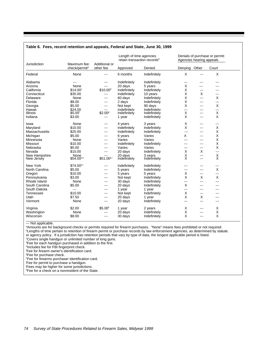| Additional or<br>Jurisdiction<br>Maximum fee: |                           |                        | Length of time agencies | retain transaction records <sup>b</sup> | Agencies hearing appeals        |                          | Denials of purchase or permit: |  |
|-----------------------------------------------|---------------------------|------------------------|-------------------------|-----------------------------------------|---------------------------------|--------------------------|--------------------------------|--|
|                                               | check/permit <sup>a</sup> | other fee              | Approved                | Denied                                  | Denying                         | Other                    | Court                          |  |
| Federal                                       | None                      | $--$                   | 6 months                | Indefinitely                            | X                               | ---                      | X                              |  |
| Alabama                                       | ---                       | $---$                  | Indefinitely            | Indefinitely                            | ---                             | ---                      |                                |  |
| Arizona                                       | None                      | $- - -$                | 20 days                 | 5 years                                 | х                               | ---                      |                                |  |
| California                                    | $$14.00^\circ$            | \$10.00 <sup>d</sup>   | Indefinitely            | Indefinitely                            | X                               | $---$                    | ---                            |  |
| Connecticut                                   | \$35.00                   | ---                    | Indefinitely            | 10 years                                | Χ                               | X                        | $--$                           |  |
| Delaware                                      | None                      | $- - -$                | 60 days                 | Indefinitely                            | Χ                               | $\overline{\phantom{a}}$ | X                              |  |
| Florida                                       | \$8.00                    | $- - -$                | 2 days                  | Indefinitely                            | Χ                               | $---$                    | $- - -$                        |  |
| Georgia                                       | \$5.00                    | $--$                   | Not kept                | 90 days                                 | X                               | ---                      | Χ                              |  |
| Hawaii                                        | \$24.00                   | ---                    | Indefinitelv            | Indefinitely                            | ---                             | ---                      | $---$                          |  |
| Illinois                                      | \$5.00 <sup>f</sup>       | \$2.00 <sup>9</sup>    | Indefinitely            | Indefinitely                            | X                               | ---                      | X                              |  |
| Indiana                                       | \$3.00                    | ---                    | 1 year                  | Indefinitely                            | X                               | ---                      | X                              |  |
| lowa                                          | None                      | $---$                  | 4 years                 | 3 years                                 | х                               | ---                      | $---$                          |  |
| Maryland                                      | \$10.00                   | $--$                   | Indefinitely            | Indefinitely                            | X                               | $---$                    | X                              |  |
| Massachusetts                                 | \$25.00                   | $--$                   | Indefinitely            | Indefinitely                            | ---                             | $\frac{1}{2}$            | Χ                              |  |
| Michigan                                      | \$5.00                    | $--$                   | 6 years                 | Varies                                  | X                               | $---$                    | X                              |  |
| Minnesota                                     | None                      | $--$                   | Varies                  | Varies                                  | ---                             | $---$                    | X                              |  |
| Missouri                                      | \$10.00                   | $---$                  | Indefinitely            | Indefinitely                            | ---                             | ---                      | X                              |  |
| Nebraska                                      | \$5.00                    | $--$                   | Varies                  | Varies                                  | ---                             | ---                      | X                              |  |
| Nevada                                        | \$15.00                   | $--$                   | 20 days                 | Indefinitely                            | X                               | X                        | $\overline{a}$                 |  |
| New Hampshire                                 | None                      | $--$                   | 20 days                 | 3 years                                 |                                 | $\overline{a}$           |                                |  |
| New Jersey                                    | \$54.00 <sup>e,h</sup>    | \$51.00 <sup>e,i</sup> | Indefinitely            | Indefinitely                            | $\frac{\mathsf{X}}{\mathsf{X}}$ | $\overline{a}$           | $_{\rm X}^{\rm X}$             |  |
| New York                                      | \$74.00 <sup>e,j</sup>    | $- - -$                | Indefinitely            | Indefinitely                            | ---                             | $- - -$                  | $- - -$                        |  |
| North Carolina                                | \$5.00                    | ---                    | 5 years                 | Indefinitely                            | ---                             | $- - -$                  | X                              |  |
| Oregon                                        | \$10.00                   | $- - -$                | 5 years                 | 5 years                                 | X                               | $--$                     | $---$                          |  |
| Pennsylvania                                  | \$3.00                    | $- - -$                | Not kept                | Indefinitely                            | X                               | X                        | X                              |  |
| Rhode Island                                  | None                      | $- - -$                | 30 days                 | Indefinitely                            | ---                             | $---$                    | ---                            |  |
| South Carolina                                | \$5.00                    | $--$                   | 20 days                 | Indefinitely                            | X                               | ---                      | $- - -$                        |  |
| South Dakota                                  | ---                       | $---$                  | 1 year                  | 1 year                                  | ---                             | $---$                    | ---                            |  |
| Tennessee                                     | \$10.00                   | $--$                   | Not kept                | Indefinitely                            | X                               | ---                      | ---                            |  |
| Utah                                          | \$7.50                    | $--$                   | 20 days                 | 1 year                                  | X                               | X                        | ---                            |  |
| Vermont                                       | None                      | $--$                   | 20 days                 | Indefinitely                            | ---                             | $\overline{a}$           | $- - -$                        |  |
| Virginia                                      | \$2.00                    | \$5.00 <sup>k</sup>    | 1 year                  | 2 years                                 | Х                               | ---                      | х                              |  |
| Washington                                    | None                      | $- - -$                | 20 days                 | Indefinitely                            | Χ                               | ---                      | Χ                              |  |
| Wisconsin                                     | \$8.00                    | $---$                  | 30 days                 | Indefinitely                            | X                               | ---                      | X                              |  |

#### **Table 6. Fees, record retention and appeals, Federal and State, June 30, 1999**

--- Not applicable.

a Amounts are for background checks or permits required for firearm purchases. "None" means fees prohibited or not required. b Lengths of time pertain to retention of firearm permit or purchase records by law enforcement agencies, as determined by statute. or agency policy. If a jurisdiction has retention periods that vary by type of data, the longest applicable period is listed.

c Covers single handgun or unlimited number of long guns.

d Fee for each handgun purchased in addition to the first.

e Includes fee for FBI fingerprint check.

f Fee for firearm owner's identification card.

<sup>9</sup>Fee for purchase check.

h Fee for firearms purchaser identification card.

i Fee for permit to purchase a handgun.

j Fees may be higher for some jurisdictions.

k Fee for a check on a nonresident of the State.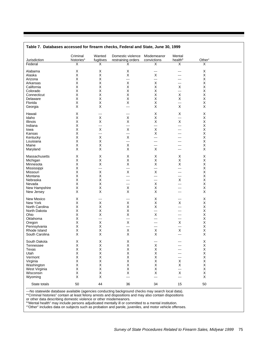|                | Criminal               | Wanted      | Domestic violence  | Misdemeanor | Mental                  |                    |  |
|----------------|------------------------|-------------|--------------------|-------------|-------------------------|--------------------|--|
| Jurisdiction   | histories <sup>a</sup> | fugitives   | restraining orders | convictions | health <sup>b</sup>     | Other <sup>c</sup> |  |
| Federal        | X                      | X           | х                  | X           | $\overline{\mathsf{x}}$ | X                  |  |
| Alabama        | X                      | Χ           | X                  | ---         | ---                     | Χ                  |  |
| Alaska         | X                      | X           | X                  | X           | ---                     | Χ                  |  |
| Arizona        | Χ                      | Χ           | ---                | ---         | ---                     | Χ                  |  |
|                | $\sf X$                | X           | X                  | X           | ---                     | X                  |  |
| Arkansas       |                        |             |                    |             |                         |                    |  |
| California     | Χ                      | X           | X                  | X           | Х                       | X                  |  |
| Colorado       | $\sf X$                | X           | X                  | X           | ---                     | X                  |  |
| Connecticut    | $\sf X$                | X           | X                  | X           | X                       | X                  |  |
| Delaware       | $\mathsf X$            | X           | X                  | $\sf X$     | X                       | $\mathsf X$        |  |
| Florida        | $\sf X$                | X           | X                  | X           | ---                     | $\mathsf X$        |  |
| Georgia        | X                      | X           | ---                | X           | X                       | X                  |  |
|                |                        |             |                    |             |                         |                    |  |
| Hawaii         | X                      | ---         | ---                | X           | X                       | X                  |  |
| Idaho          | $\mathsf X$            | $\sf X$     | X                  | $\sf X$     | ---                     | X                  |  |
|                |                        |             |                    |             |                         |                    |  |
| Illinois       | Χ                      | X           | X                  | X           | X                       | Χ                  |  |
| Indiana        | $\sf X$                | ---         | ---                | ---         | ---                     | X                  |  |
| lowa           | Χ                      | $\sf X$     | X                  | X           | ---                     | Χ                  |  |
| Kansas         | $\sf X$                | ---         | ---                | X           | ---                     | X                  |  |
| Kentucky       | $\sf X$                | X           | X                  | ---         |                         | Χ                  |  |
| Louisiana      | $\sf X$                | $\mathsf X$ | ---                | ---         | ---                     | X                  |  |
|                |                        |             |                    |             |                         |                    |  |
| Maine          | $\mathsf X$            | X           | X                  | ---         | ---                     | $\mathsf X$        |  |
| Maryland       | X                      | X           | X                  | X           | ---                     | X                  |  |
|                |                        |             |                    |             |                         |                    |  |
| Massachusetts  | X                      | X           | X                  | X           | X                       | X                  |  |
| Michigan       | Χ                      | X           | X                  | X           | X                       | X                  |  |
| Minnesota      | Χ                      | X           | X                  | X           | X                       | X                  |  |
| Mississippi    | Χ                      | ---         | ---                | ---         | ---                     | Χ                  |  |
| Missouri       | Χ                      | $\sf X$     | X                  | X           | ---                     | X                  |  |
|                |                        |             |                    |             |                         |                    |  |
| Montana        | Χ                      | Χ           | ---                | ---         | ---                     | $\mathsf X$        |  |
| Nebraska       | Χ                      | X           | ---                | ---         | X                       | X                  |  |
| Nevada         | Χ                      | X           | ---                | X           | ---                     | X                  |  |
| New Hampshire  | $\mathsf X$            | X           | X                  | X           | ---                     | X                  |  |
| New Jersey     | X                      | X           | X                  | X           | ---                     | X                  |  |
|                |                        |             |                    |             |                         |                    |  |
| New Mexico     | Χ                      | ---         | ---                | X           | ---                     | X                  |  |
| New York       | Χ                      | X           | X                  | X           | X                       | X                  |  |
| North Carolina | Χ                      | X           | X                  | $\sf X$     | ---                     | Χ                  |  |
|                |                        |             |                    |             |                         |                    |  |
| North Dakota   | Χ                      | Χ           | X                  | ---         | ---                     | Χ                  |  |
| Ohio           | Χ                      | $\mathsf X$ | X                  | $\sf X$     | ---                     | $\pmb{\times}$     |  |
| Oklahoma       | Χ                      | ---         | ---                | ---         | ---                     | X                  |  |
| Oregon         | Χ                      | $\sf X$     | X                  | ---         | X                       | $\pmb{\times}$     |  |
| Pennsylvania   | X                      | X           | ---                | ---         | ---                     | Χ                  |  |
|                | $\mathsf X$            | $\sf X$     |                    |             |                         | $\mathsf X$        |  |
| Rhode Island   |                        |             | X                  | X           | X                       |                    |  |
| South Carolina | Χ                      | Χ           | X                  | X           | ---                     | X                  |  |
|                |                        |             |                    |             |                         |                    |  |
| South Dakota   | X                      | Χ           | Χ                  |             |                         | Χ                  |  |
| Tennessee      | X                      | X           | X                  | X           |                         | Χ                  |  |
| Texas          | Χ                      | X           | Χ                  | X           | ---                     | $\mathsf{X}$       |  |
| Utah           | Χ                      | Χ           | Χ                  | X           | ---                     | $\mathsf X$        |  |
| Vermont        | Χ                      | Χ           | Χ                  | X           | ---                     | $\pmb{\times}$     |  |
| Virginia       | X                      | Χ           | Х                  | X           | Х                       | $\mathsf X$        |  |
|                |                        |             |                    |             |                         |                    |  |
| Washington     | Χ                      | Χ           | X                  | Х           | Х                       | $\pmb{\times}$     |  |
| West Virginia  | X                      | X           | Х                  | Х           | ---                     | $\mathsf X$        |  |
| Wisconsin      | X                      | Χ           | Х                  | X           | Х                       | $\mathsf X$        |  |
| Wyoming        | X                      | X           | ---                | ---         | ---                     | X                  |  |
|                |                        |             |                    |             |                         |                    |  |
| State totals   | 50                     | 44          | 36                 | 34          | 15                      | 50                 |  |

# **Table 7. Databases accessed for firearm checks, Federal and State, June 30, 1999**

---No statewide database available (agencies conducting background checks may search local data). a "Criminal histories" contain at least felony arrests and dispositions and may also contain dispositions

or other data describing domestic violence or other misdemeanors.<br><sup>b</sup>"Mental health" may include persons adjudicated mentally ill or committed to a mental institution.<br><sup>c</sup>"Other" includes data on subjects such as probation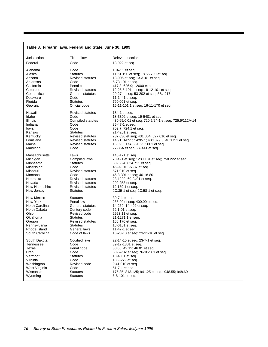|                | Table 8. Firearm laws, Federal and State, June 30, 1999 |                                                      |
|----------------|---------------------------------------------------------|------------------------------------------------------|
| Jurisdiction   | Title of laws                                           | <b>Relevant sections</b>                             |
| Federal        | Code                                                    | 18-922 et seq.                                       |
| Alabama        | Code                                                    | 13A-11 et seq.                                       |
| Alaska         | <b>Statutes</b>                                         | 11.61.190 et seq; 18.65.700 et seq.                  |
| Arizona        | <b>Revised statutes</b>                                 | 13-905 et seq; 13-3101 et seq.                       |
| Arkansas       | Code                                                    | 5-73-101 et seq.                                     |
| California     | Penal code                                              | 417.3; 626.9; 12000 et seq.                          |
| Colorado       | Revised statutes                                        | 12-26.5-101 et seq; 18-12-101 et seq.                |
| Connecticut    | General statutes                                        | 29-27 et seq; 53-202 et seq; 53a-217                 |
| Delaware       | Code                                                    | 11-1441 et seq.                                      |
| Florida        | <b>Statutes</b>                                         | 790.001 et seq.                                      |
| Georgia        | Official code                                           | 16-11-101.1 et seq; 16-11-170 et seq.                |
| Hawaii         | <b>Revised statutes</b>                                 | 134-1 et seq.                                        |
| Idaho          | Code                                                    | 18-3302 et seq; 19-5401 et seq.                      |
| Illinois       | Compiled statutes                                       | 430:65/0.01 et seq; 720:5/24-1 et seq; 725:5/112A-14 |
| Indiana        | Code                                                    | 35-47-1 et seq.                                      |
| lowa           | Code                                                    | 702.7; 724.1 et seq.                                 |
| Kansas         | <b>Statutes</b>                                         | 21-4201 et seq.                                      |
| Kentucky       | Revised statutes                                        | 237.030 et seq; 431.064; 527.010 et seq.             |
| Louisiana      | Revised statutes                                        | 14:91; 14:95; 14:95.1; 40:1379.3; 40:1751 et seq.    |
| Maine          | <b>Revised statutes</b>                                 | 15.393; 17A.554; 25.2001 et seq.                     |
| Maryland       | Code                                                    | 27-36A et seq; 27-441 et seq.                        |
| Massachusetts  | Laws                                                    | 140-121 et seq.                                      |
| Michigan       | Compiled laws                                           | 28.421 et seq; 123.1101 et seq; 750.222 et seq.      |
| Minnesota      | <b>Statutes</b>                                         | 609.224; 624.711 et seq.                             |
| Mississippi    | Code                                                    | 45-9-101; 97-37 et seq.                              |
| Missouri       | <b>Revised statutes</b>                                 | 571.010 et seq.                                      |
| Montana        | Code                                                    | 45-8-301 et seq; 46-18-801                           |
| Nebraska       | Revised statutes                                        | 28-1202; 69-2401 et seq.                             |
| Nevada         | Revised statutes                                        | 202.253 et seq.                                      |
| New Hampshire  | <b>Revised statutes</b>                                 | 12:159:1 et seq.                                     |
| New Jersey     | <b>Statutes</b>                                         | 2C:39-1 et seq; 2C:58-1 et seq.                      |
| New Mexico     | <b>Statutes</b>                                         | 30-7-1 et seq.                                       |
| New York       | Penal law                                               | 265.00 et seq; 400.00 et seq.                        |
| North Carolina | General statutes                                        | 14-269; 14-402 et seq.                               |
| North Dakota   | Century code                                            | 62.1-01 et seq.                                      |
| Ohio           | Revised code                                            | 2923.11 et seq.                                      |
| Oklahoma       | <b>Statutes</b>                                         | 21-1271.1 et seg.                                    |
| Oregon         | <b>Revised statutes</b>                                 | 166.170 et seq.                                      |
| Pennsylvania   | <b>Statutes</b>                                         | 18-6101 et seq.                                      |
| Rhode Island   | General laws                                            | 11-47-1 et seq.                                      |
| South Carolina | Code of laws                                            | 16-23-10 et seq; 23-31-10 et seq.                    |
| South Dakota   | Codified laws                                           | 22-14-15 et seq; 23-7-1 et seq.                      |
| Tennessee      | Code                                                    | 39-17-1301 et seq.                                   |
| Texas          | Penal code                                              | 30.06; 42.12; 46.01 et seq.                          |
| Utah           | Code                                                    | 53-5-702 et seq; 76-10-501 et seq.                   |
| Vermont        | <b>Statutes</b>                                         | 13-4001 et seq.                                      |
| Virginia       | Code                                                    | 18.2-279 et seq.                                     |
| Washington     | Revised code                                            | 9.41.010 et seq.                                     |
| West Virginia  | Code                                                    | 61-7-1 et seq.                                       |
| Wisconsin      | <b>Statutes</b>                                         | 175.35; 813.125; 941.25 et seq.; 948.55; 948.60      |
| Wyoming        | Statutes                                                | 6-8-101 et seq.                                      |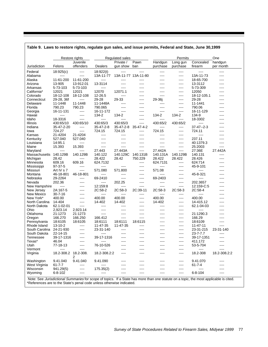|                |                      | Restore rights        |              | Regulated sales       |                     |                     | Permits              |                      | One                  |
|----------------|----------------------|-----------------------|--------------|-----------------------|---------------------|---------------------|----------------------|----------------------|----------------------|
| Jurisdiction   | Felons               | Juvenile<br>offenders | Dealers      | Private /<br>gun show | Pawn<br>ban         | Handgun<br>purchase | Long gun<br>purchase | Concealed<br>firearm | handgun<br>per month |
| Federal        | 18:925(c)            | ----                  | 18:922(t)    | ----                  | ----                | ----                | ----                 | $\cdots$             | ----                 |
| Alabama        | ----                 | ----                  | 13A-11-77    |                       | 13A-11-77 13A-11-80 | $---$               | ----                 | 13A-11-73            | ----                 |
| Alaska         | 11-61-200            | 11-61-200             | $\cdots$     | $---$                 | ----                | ----                | $---$                | 18-65-700            | ----                 |
| Arizona        | 13-905               | 13-912.01             | 13-3114      | $---$                 | ----                | ----                | ----                 | 13-3112              | ----                 |
| Arkansas       | 5-73-103             | 5-73-103              | ----         | ----                  | ----                | ----                | $---$                | 5-73-309             | ----                 |
| California*    | 12021                | 12021                 | 12070        | 12071.1               | $---$               | ----                | $---$                | 12050                | ----                 |
| Colorado       | 18-12-108            | 18-12-108             | 12-26.5      | ----                  | ----                | $---$               | ----                 | 18-12-105.1          | ----                 |
| Connecticut    | 29-28, 36f           | ----                  | 29-28        | 29-33                 | ----                | 29-36j              | $---$                | 29-28                | ----                 |
| Delaware       | 11-1448              | 11-1448               | 11-1448A     | $\cdots$              | ----                | ----                | ----                 | 11-1441              | ----                 |
| Florida        | 790.23               | 790.23                | 790.065      | $---$                 | ----                | $---$               | ----                 | 790.06               | ----                 |
|                |                      |                       |              |                       |                     |                     |                      |                      |                      |
| Georgia        | 16-11-131            | $\cdots$              | 16-11-172    | $---$                 | ----                | $\cdots$            | $---$                | 16-11-129            | ----                 |
| Hawaii         | ----                 | ----                  | 134-2        | 134-2                 | $\cdots$            | 134-2               | 134-2                | 134-9                | ----                 |
| Idaho          | 18-3316              | $---$                 | $\cdots$     | $---$                 | ----                | $\cdots$            | $\cdots$             | 18-3302              | ----                 |
| Illinois       | 430:65/10            | 430:65/10             | 430:65/3     | 430:65/3              | ----                | 430:65/2            | 430:65/2             | $\cdots$             | ----                 |
| Indiana        | 35-47-2-20           | $\cdots$              | 35-47-2-8    | $35 - 47 - 2 - 8$     | 35-47-4-2           | $\cdots$            | ----                 | $37 - 47 - 2 - 3$    | ----                 |
| Iowa           | 724.27               | $\cdots$              | 724.15       | 724.15                | $---$               | 724.15              | $\cdots$             | 724.11               | ----                 |
| Kansas         | 21-4204              | 21-4204               | ----         | ----                  | ----                | ----                | ----                 | $-- -$               | ----                 |
| Kentucky       | 527.040              | 527.040               | $\cdots$     | $---$                 | $\cdots$            | $\cdots$            | $---$                | 237.11               | ----                 |
| Louisiana      | 14:95.1              | $---$                 | ----         | ----                  | $---$               | ----                | ----                 | 40:1379.3            | ----                 |
| Maine          | 15.393               | 15.393                | $\cdots$     | $---$                 | $---$               | $\cdots$            | $\cdots$             | 25:2003              | ----                 |
| Maryland       | $---$                | $---$                 | 27.443       | 27.443A               | $---$               | 27.442A             | $---$                | 27:36E               | 27.442A              |
| Massachusetts  | 140.129B             | 140.129B              | 140.122      | 140.129C              | 140.131B            | 140.131A            | 140.129B             | 140.131              | ----                 |
| Michigan       | 28.42                | ----                  | 28.422       | 28.42                 | 750.229             | 28.422              | 28.422               | 28.426               | ----                 |
| Minnesota      | 609.16               | 609.16                | 624.7132     |                       | ----                | 624.7131            | $\cdots$             | 624:714              | ----                 |
| Mississippi    | 97-37-5              | $---$                 | $\cdots$     | ----                  | ----                | $\cdots$            | ----                 | 45-9-101             | ----                 |
|                |                      |                       |              |                       |                     | 571.08              |                      |                      |                      |
| Missouri       | Art IV s 7           | $\cdots$              | 571.080      | 571.800               | $---$               |                     | $---$                | $\cdots$             | ----                 |
| Montana        | 46-18-801            | 46-18-801             | $\cdots$     | ----                  | ----                | ----                | ----                 | 45-8-321             | ----                 |
| Nebraska       | 29-2264              | $---$                 | 69-2410      | $\cdots$              | $---$               | 69-2403             | $---$                | $\sim$ $\sim$ $\sim$ | ----                 |
| Nevada         | 202.36               | ----                  | ----         | 202.25                | ----                | ----                | ----                 | 202.3657             | ----                 |
| New Hampshire  | $\cdots$             | ----                  | 12:159:8     | ----                  | $---$               | $\cdots$            | ----                 | 12:159-C:5           | ----                 |
| New Jersey     | 2A:167-5             | ----                  | 2C:58-2      | 2C:58-3               | 2C:39-11            | 2C:58-3             | 2C:58-3              | 2C:58-4              | ----                 |
| New Mexico     | $30 - 7 - 16$        | ----                  | $\cdots$     | ----                  | ----                | ----                | ----                 | $\cdots$             | ----                 |
| New York*      | 400.00               | ----                  | 400.00       | 400.00                | $\cdots$            | 400.00              | ----                 | 400.00               | ----                 |
| North Carolina | 14-404               | ----                  | 14-402       | 14-402                | ----                | 14-402              | ----                 | 14-415.12            | ----                 |
| North Dakota   | 62.1-02-01           | ----                  | $---$        | ----                  | ----                | ----                | ----                 | 62.1-04-03           | ----                 |
| Ohio           | 2,923.14             | 2,923.14              | $\cdots$     | $---$                 | $---$               | ----                | ----                 | $\cdots$             | ----                 |
| Oklahoma       | 21:1273              | 21:1273               | ----         | $---$                 | ----                | ----                | ----                 | 21:1290.3            | ----                 |
| Oregon         | 166.270              | 166.250               | 166.412      | $\cdots$              | $\cdots$            | ----                | ----                 | 166.29               | ----                 |
| Pennsylvania   | 18:6105              | 18:6105               | 18:6111      | 18:6111               | 18:6115             | ----                | $\cdots$             | 18:6109              | ----                 |
| Rhode Island   | $13 - 10 - 2$        | ----                  | 11-47-35     | 11-47-35              | ----                | ----                | $\cdots$             | 11-47-11             | ----                 |
| South Carolina | 24-21-930            | ----                  | 23-31-140    | ----                  | ----                | ----                | $\cdots$             | 23-31-215            | 23-31-140            |
|                |                      |                       |              |                       |                     |                     |                      |                      |                      |
| South Dakota   | 22-14-15             | ----                  | $\cdots$     | ----                  | ----                | ----                | ----                 | $23 - 7 - 7.7$       | ----                 |
| Tennessee      | 39-17-1316           | ----                  | 39-17-1316   | ----                  | ----                | ----                | ----                 | 39-17-1351           | ----                 |
| Texas*         | 46.04                | ----                  | $\cdots$     | ----                  | ----                | ----                | ----                 | 411.172              | $---$                |
| Utan           | 77-18-13             | ----                  | 76-10-526    |                       |                     |                     | ----                 | 53-5-704             | ----                 |
| Vermont        | $\cdots$             | $\cdots$              | $\cdots$     | ----                  | ----                | ----                | ----                 | $\cdots$             | ----                 |
| Virginia       | 18.2-308.2 18.2-308. | 2                     | 18.2-308.2:2 |                       |                     |                     | ----                 | 18.2-308             | 18.2-308.2:2         |
| Washington     | 9.41.040             | 9.41.040              | 9.41.090     |                       |                     |                     | ----                 | 9.41.070             | ----                 |
| West Virginia  | 61-7-7               | ----                  | ----         |                       |                     |                     | ----                 | 61-7-4               | ----                 |
| Wisconsin      | 941.29(5)            | ----                  | 175.35(2)    | ----                  |                     |                     | ----                 | $\cdots$             | ----                 |
| Wyoming        | 6-8-102              | ----                  | ----         | ----                  |                     |                     | ----                 | 6-8-104              | ----                 |
|                |                      |                       |              |                       |                     |                     |                      |                      |                      |

# **Table 9. Laws to restore rights, regulate gun sales, and issue permits, Federal and State, June 30,1999**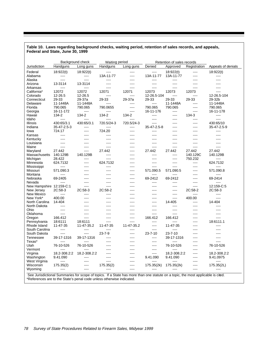#### **Table 10. Laws regarding background checks, waiting period, retention of sales records, and appeals, Federal and State, June 30, 1999**

| Background check         |                      |              | Waiting period |            |                      | Retention of sales records                                                                                                |                  |                      |
|--------------------------|----------------------|--------------|----------------|------------|----------------------|---------------------------------------------------------------------------------------------------------------------------|------------------|----------------------|
| Jurisdiction             | Handguns             | Long guns    | Handguns       | Long guns  | Denied               | Approved                                                                                                                  | Registration     | Appeals of denials   |
| Federal                  | 18:922(t)            | 18:922(t)    | $---$          | ----       | $\cdots$             | 18:922(t)                                                                                                                 | $---$            | 18:922(t)            |
| Alabama                  | $\cdots$             | $\cdots$     | 13A-11-77      | ----       | 13A-11-77            | 13A-11-77                                                                                                                 | $\cdots$         | $\cdots$             |
| Alaska                   | $\cdots$             | ----         | $\cdots$       | ----       | $\cdots$             | $---$                                                                                                                     | $---$            | $---$                |
| Arizona                  | 13-3114              | 13-3114      | $---$          | $---$      | $---$                | $\overline{a}$                                                                                                            | $- - -$          | ----                 |
| Arkansas                 | $\cdots$             | ----         | $---$          | $---$      | $---$                | $\cdots$                                                                                                                  | $\cdots$         | $---$                |
| California*              | 12072                | 12072        | 12071          | 12071      | 12073                | 12073                                                                                                                     | 12073            | $- - - -$            |
| Colorado                 | 12-26.5              | 12-26.5      | $- - - -$      | $---$      | 12-26.5-104          | $\frac{1}{2} \left( \frac{1}{2} \right) \left( \frac{1}{2} \right) \left( \frac{1}{2} \right) \left( \frac{1}{2} \right)$ | $- - - -$        | 12-26.5-104          |
| Connecticut              | 29-33                | 29-37a       | 29-33          | 29-37a     | 29-33                | 29-33                                                                                                                     | 29-33            | 29-32b               |
| Delaware                 | 11-1448A             | 11-1448A     |                | ----       | $\cdots$             | 11-1448A                                                                                                                  | ----             | 11-1448A             |
| Florida                  | 790.065              | 790.065      | 790.0655       | $---$      | 790.065              | 790.065                                                                                                                   | $---$            | 790.065              |
| Georgia                  | 16-11-172            | $\cdots$     | $\cdots$       | ----       | 16-11-176            | $---$                                                                                                                     | $---$            | 16-11-178            |
| Hawaii                   | 134-2                | 134-2        | 134-2          | 134-2      | $\frac{1}{2}$        | $- - - -$                                                                                                                 | 134-3            | $---$                |
|                          | $\frac{1}{2}$        | ----         | $- - - -$      | $- - - -$  | $---$                |                                                                                                                           |                  | $-$                  |
| Idaho                    |                      |              |                |            |                      | $---$                                                                                                                     | $---$            |                      |
| Illinois                 | 430:65/3.1           | 430:65/3.1   | 720.5/24-3     | 720.5/24-3 | $- - -$              | ----                                                                                                                      | $---$            | 430:65/10            |
| Indiana                  | 35-47-2.5-3          | $\cdots$     | $\cdots$       | $---$      | 35-47-2.5-8          | $---$                                                                                                                     | $---$            | 35-47-2.5-9          |
| lowa                     | 724.17               | ----         | 724.20         | ----       | $\cdots$             | ----                                                                                                                      | ----             | ----                 |
| Kansas                   | $- - -$              | ----         | $---$          | ----       | $- - -$              | ----                                                                                                                      | $---$            | $---$                |
| Kentucky                 | $---$                | ----         | ----           | ----       | $---$                | $---$                                                                                                                     | $---$            | $- - - -$            |
| Louisiana                |                      |              | ----           |            | $---$                | ----                                                                                                                      | ----             | $---$                |
| Maine                    | $\frac{1}{2}$        | ----         | $---$          | ----       | $\sim$ $\sim$ $\sim$ | $---$                                                                                                                     | $- - - -$        | $---$                |
| Maryland                 | 27.442               | ----         | 27.442         | ----       | 27.442               | 27.442                                                                                                                    | 27.442           | 27.442               |
| Massachusetts            | 140.129B             | 140.129B     | $---$          | ----       | $---$                | $\frac{1}{2}$                                                                                                             | 140.129C         | 140.129B             |
| Michigan                 | 28.422               | ----         | $---$          | ----       | $---$                | $- - - -$                                                                                                                 | 750.232          | $---$                |
| Minnesota                | 624.7132             | ----         | 624.7132       | ----       | ----                 | $---$                                                                                                                     | $---$            | 624.7132             |
| Mississippi              | $\cdots$             | ----         | $---$          | ----       | $\frac{1}{2}$        | ----                                                                                                                      | $---$            | $---$                |
| Missouri                 | 571.090.3            | ----         | $---$          | ----       | 571.090.5            | 571.090.5                                                                                                                 | ----             | 571.090.8            |
| Montana                  | $\cdots$             |              | ----           | ----       | ----                 | ----                                                                                                                      | $---$            | ----                 |
| Nebraska                 | 69-2405              | ----         | $\frac{1}{2}$  | $---$      | 69-2412              | 69-2412                                                                                                                   | $---$            | 69-2414              |
| Nevada                   | $\cdots$             | ----         | ----           | ----       | $\cdots$             | ----                                                                                                                      | ----             | $---$                |
| New Hampshire 12:159-C:1 |                      | ----         | $\cdots$       | ----       | $---$                | $\frac{1}{2}$                                                                                                             | $---$            | 12:159-C:5           |
| New Jersey               | 2C:58-3              | 2C:58-3      | 2C:58-2        | ----       | $- - - -$            | $- - - -$                                                                                                                 | 2C:58-2          | 2C:58-3              |
| New Mexico               | $\sim$ $\sim$ $\sim$ | ----         | $\cdots$       | ----       | $---$                | ----                                                                                                                      | $---$            | $\cdots$             |
|                          |                      | ----         |                |            |                      |                                                                                                                           |                  |                      |
| New York*                | 400.00               |              | ----           | $---$      | $- - - -$            | ----                                                                                                                      | 400.00           | ----                 |
| North Carolina           | 14-404               | ----         | ----           | ----       | ----                 | 14-405                                                                                                                    | $---$            | 14-404               |
| North Dakota             | $---$                |              | ----           | ----       | ----                 | ----                                                                                                                      | $---$            | ----                 |
| Ohio                     | $\frac{1}{2}$        |              | $---$          | ----       | $---$                | $---$                                                                                                                     | $-- -$           | $---$                |
| Oklahoma                 | $\cdots$             | ----         | ----           | ----       | $---$                | $---$                                                                                                                     | ----             | ----                 |
| Oregon                   | 166.412              | ----         | ----           | ----       | 166.412              | 166.412                                                                                                                   | $---$            | $\sim$ $\sim$ $\sim$ |
| Pennsylvania             | 18:6111              | 18:6111      | $- - - -$      | $---$      | $- - - -$            | $---$                                                                                                                     | $- - - -$        | 18:6111.1            |
| Rhode Island             | 11-47-35             | 11-47-35.2   | 11-47-35       | 11-47-35.2 | $\cdots$             | 11-47-35                                                                                                                  | ----             | $---$                |
| South Carolina           | $\sim$ $\sim$ $\sim$ | ----         | $\cdots$       | ----       | $\sim$ $\sim$ $\sim$ | ----                                                                                                                      | $---$            | $\sim$ $\sim$ $\sim$ |
| South Dakota             | $\frac{1}{2}$        | ----         | $23 - 7 - 9$   | ----       | $23 - 7 - 10$        | 23-7-10                                                                                                                   | ----             | $- - - -$            |
| Tennessee                | 39-17-1316           | 39-17-1316   | $---$          | ----       | $\cdots$             | 39-17-1316                                                                                                                | $-- -$           | ----                 |
| Texas*                   | $\overline{a}$       | ----         | $---$          | $\cdots$   | $---$                | $\overline{\phantom{a}}$                                                                                                  | $---$            | $- - - -$            |
| Utah                     | 76-10-526            | 76-10-526    | ----           | ----       | $\cdots$             | 76-10-526                                                                                                                 | ----             | 76-10-526            |
| Vermont                  |                      |              | ----           | ----       | $---$                |                                                                                                                           | ----             |                      |
| Virginia                 | 18.2-308.2:2         | 18.2-308.2:2 | $---$          | $---$      | $\cdots$             | 18.2-308.2:2                                                                                                              | $---$            | 18.2-308.2:2         |
| Washington               | 9.41.090             | ----         | ----           | ----       | 9.41.090             | 9.41.090                                                                                                                  | ----             | 9.41.0975            |
| West Virginia            | $\overline{a}$       | ----         | $---$          | ----       | $\cdots$             | ----                                                                                                                      | $- - - -$        | $---$                |
|                          |                      | ----         |                | ----       |                      |                                                                                                                           |                  |                      |
| Wisconsin                | 175.35(2)            |              | 175.35(2)      | ----       | 175.35(2k)           | 175.35(2k)                                                                                                                | $\cdots$<br>---- | 175.35(2L)<br>----   |
| Wyoming                  |                      |              |                |            |                      |                                                                                                                           |                  |                      |

\*References are to the State's penal code unless otherwise indicated.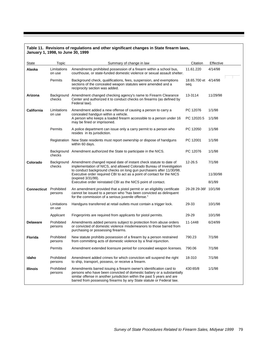#### **Table 11. Revisions of regulations and other significant changes in State firearm laws, January 1, 1998, to June 30, 1999**

| State                         | Topic                 | Summary of change in law                                                                                                                                                                                                                                                                        | Citation                     | Effective          |
|-------------------------------|-----------------------|-------------------------------------------------------------------------------------------------------------------------------------------------------------------------------------------------------------------------------------------------------------------------------------------------|------------------------------|--------------------|
| Alaska                        | Limitations<br>on use | Amendments prohibited possession of a firearm within a school bus,<br>courthouse, or state-funded domestic violence or sexual assault shelter.                                                                                                                                                  | 11.61.220                    | 4/14/98            |
|                               | Permits               | Background check, qualifications, fees, suspension, and exemptions<br>sections of the concealed weapon statutes were amended and a<br>reciprocity section was added.                                                                                                                            | 18.65.700 et 4/14/98<br>seq. |                    |
| Arizona                       | checks                | Background Amendment changed checking agency's name to Firearm Clearance<br>Center and authorized it to conduct checks on firearms (as defined by<br>Federal law).                                                                                                                              | 13-3114                      | 11/29/98           |
| <b>California</b>             | Limitations<br>on use | Amendment added a new offense of causing a person to carry a<br>concealed handgun within a vehicle.<br>A person who keeps a loaded firearm accessible to a person under 16<br>may be fined or imprisoned.                                                                                       | PC 12076<br>PC 12020.5       | 1/1/98<br>1/1/98   |
|                               | Permits               | A police department can issue only a carry permit to a person who<br>resides in its jurisdiction.                                                                                                                                                                                               | PC 12050                     | 1/1/98             |
|                               |                       | Registration New State residents must report ownership or dispose of handguns<br>within 60 days.                                                                                                                                                                                                | PC 12001                     | 1/1/98             |
|                               | checks                | Background Amendment authorized the State to participate in the NICS.                                                                                                                                                                                                                           | PC 12076                     | 1/1/98             |
| Colorado                      | checks                | Background Amendment changed repeal date of instant check statute to date of<br>implementation of NICS, and allowed Colorado Bureau of Investigation<br>to conduct background checks on long gun purchasers after 11/30/98.                                                                     | 12-26.5                      | 7/1/98             |
|                               |                       | Executive order required CBI to act as a point of contact for the NICS<br>(expired 3/31/99).<br>Executive order reinstated CBI as the NICS point of contact.                                                                                                                                    |                              | 11/30/98<br>8/1/99 |
| <b>Connecticut</b> Prohibited | persons               | An amendment provided that a pistol permit or an eligibility certificate<br>cannot be issued to a person who "has been convicted as delinguent<br>for the commission of a serious juvenile offense."                                                                                            | 29-28 29-36f 10/1/98         |                    |
|                               | Limitations<br>on use | Handguns transferred at retail outlets must contain a trigger lock.                                                                                                                                                                                                                             | 29-33                        | 10/1/98            |
|                               | Applicant             | Fingerprints are required from applicants for pistol permits.                                                                                                                                                                                                                                   | 29-29                        | 10/1/98            |
| <b>Delaware</b>               | Prohibited<br>persons | Amendments added persons subject to protection from abuse orders<br>or convicted of domestic violence misdemeanors to those barred from<br>purchasing or possessing firearms.                                                                                                                   | 11-1448                      | 6/24/99            |
| <b>Florida</b>                | Prohibited<br>persons | New statute prohibits possession of a firearm by a person restrained<br>from committing acts of domestic violence by a final injunction.                                                                                                                                                        | 790.23                       | 7/1/98             |
|                               | Permits               | Amendment extended licensure period for concealed weapon licenses.                                                                                                                                                                                                                              | 790.06                       | 7/1/98             |
| Idaho                         | Prohibited<br>persons | Amendment added crimes for which conviction will suspend the right<br>to ship, transport, possess, or receive a firearm.                                                                                                                                                                        | 18-310                       | 7/1/98             |
| <b>Illinois</b>               | Prohibited<br>persons | Amendments barred issuing a firearm owner's identification card to<br>persons who have been convicted of domestic battery or a substantially<br>similar offense in another jurisdiction within the past 5 years and are<br>barred from possessing firearms by any State statute or Federal law. | 430:65/8                     | 1/1/98             |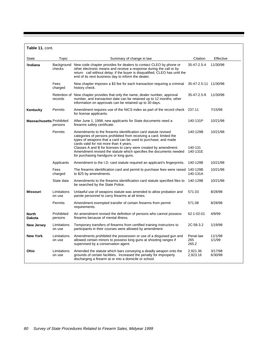| Table 11. cont.                 |                         |                                                                                                                                                                                                                                                                                                                                                                                             |                                 |                    |
|---------------------------------|-------------------------|---------------------------------------------------------------------------------------------------------------------------------------------------------------------------------------------------------------------------------------------------------------------------------------------------------------------------------------------------------------------------------------------|---------------------------------|--------------------|
| State                           | Topic                   | Summary of change in law                                                                                                                                                                                                                                                                                                                                                                    | Citation                        | Effective          |
| <b>Indiana</b>                  | Background<br>checks    | New code chapter provides for dealers to contact CLEO by phone or<br>other electronic means and receive a response during the call or by<br>return call without delay; if the buyer is disqualified, CLEO has until the<br>end of its next business day to inform the dealer.                                                                                                               | 35-47-2.5-4                     | 11/30/98           |
|                                 | Fees<br>charged         | New chapter imposes a \$3 fee for each transaction requiring a criminal<br>history check.                                                                                                                                                                                                                                                                                                   | 35-47-2.5-11 11/30/98           |                    |
|                                 | Retention of<br>records | New chapter provides that only the name, dealer number, approval<br>number, and transaction date can be retained up to 12 months; other<br>information on approvals can be retained up to 30 days.                                                                                                                                                                                          | 35-47-2.5-8                     | 11/30/98           |
| Kentucky                        | Permits                 | Amendment requires use of the NICS index as part of the record check 237.11<br>for license applicants.                                                                                                                                                                                                                                                                                      |                                 | 7/15/98            |
| <b>Massachusetts Prohibited</b> | persons                 | After June 1, 1998, new applicants for State documents need a<br>firearms safety certificate.                                                                                                                                                                                                                                                                                               | 140-131P                        | 10/21/98           |
|                                 | Permits                 | Amendments to the firearms identification card statute revised<br>categories of persons prohibited from receiving a card; limited the<br>types of weapons that a card can be used to purchase; and made<br>cards valid for not more than 4 years.<br>Classes A and B for licenses to carry were created by amendment.<br>Amendment revised the statute which specifies the documents needed | 140-129B<br>140-131<br>140-131E | 10/21/98           |
|                                 |                         | for purchasing handguns or long guns.                                                                                                                                                                                                                                                                                                                                                       |                                 |                    |
|                                 | Applicants              | Amendment to the I.D. card statute required an applicant's fingerprints.                                                                                                                                                                                                                                                                                                                    | 140-129B                        | 10/21/98           |
|                                 | Fees<br>charged         | The firearms identification card and permit to purchase fees were raised 140-129B<br>to \$25 by amendments.                                                                                                                                                                                                                                                                                 | 140-131A                        | 10/21/98           |
|                                 | State data              | Amendments to the firearms identification card statute specified files to<br>be searched by the State Police.                                                                                                                                                                                                                                                                               | 140-129B                        | 10/21/98           |
| <b>Missouri</b>                 | Limitations<br>on use   | Unlawful use of weapons statute was amended to allow probation and<br>parole personnel to carry firearms at all times.                                                                                                                                                                                                                                                                      | 571.03                          | 8/28/98            |
|                                 | Permits                 | Amendment exempted transfer of certain firearms from permit<br>requirements.                                                                                                                                                                                                                                                                                                                | 571.08                          | 8/28/98            |
| <b>North</b><br><b>Dakota</b>   | Prohibited<br>persons   | An amendment revised the definition of persons who cannot possess<br>firearms because of mental illness.                                                                                                                                                                                                                                                                                    | 62.1-02-01                      | 4/9/99             |
| <b>New Jersey</b>               | Limitations<br>on use   | Temporary transfers of firearms from certified training instructors to<br>participants in their courses were allowed by amendment.                                                                                                                                                                                                                                                          | 2C:58-3.2                       | 1/19/98            |
| <b>New York</b>                 | Limitations<br>on use   | Amendments prohibited the possession or use of a disguised gun and<br>allowed certain minors to possess long guns at shooting ranges if<br>supervised by a conservation agent.                                                                                                                                                                                                              | Penal law<br>265<br>265.2       | 11/1/98<br>1/1/99  |
| Ohio                            | Limitations<br>on use   | Amended the statute which bars conveying a deadly weapon onto the<br>grounds of certain facilities. Increased the penalty for improperly<br>discharging a firearm at or into a domicile or school.                                                                                                                                                                                          | 2,921.36<br>2,923.16            | 3/17/98<br>6/30/98 |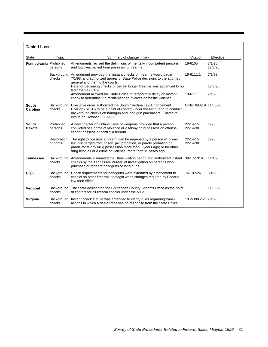**Table 11.** cont.

| State                    | Topic                    | Summary of change in law                                                                                                                                                                                                                                                             | Citation              | Effective         |
|--------------------------|--------------------------|--------------------------------------------------------------------------------------------------------------------------------------------------------------------------------------------------------------------------------------------------------------------------------------|-----------------------|-------------------|
| Pennsylvania Prohibited  | persons                  | Amendments revised the definitions of mentally incompetent persons<br>and fugitives barred from possessing firearms.                                                                                                                                                                 | 18-6105               | 7/1/98<br>12/3/98 |
|                          | Background<br>checks     | Amendment provided that instant checks of firearms would begin<br>7/1/98, and authorized appeal of State Police decisions to the attorney<br>general and then to the courts.                                                                                                         | 18-6111.1             | 7/1/98            |
|                          |                          | Date for beginning checks of certain longer firearms was advanced to no<br>later than 12/31/98.                                                                                                                                                                                      |                       | 12/3/98           |
|                          |                          | Amendment allowed the State Police to temporarily delay an instant<br>check to determine if a misdemeanor involves domestic violence.                                                                                                                                                | 18-6111               | 7/1/98            |
| <b>South</b><br>Carolina | Background<br>checks     | Executive order authorized the South Carolina Law Enforcement<br>Division (SLED) to be a point of contact under the NICS and to conduct<br>background checks on handgun and long gun purchasers. (Slated to<br>expire on October 1, 1999.)                                           | Order #98-19 11/30/98 |                   |
| South<br><b>Dakota</b>   | Prohibited<br>persons    | A new chapter on unlawful use of weapons provided that a person<br>convicted of a crime of violence or a felony drug possession offense<br>cannot possess or control a firearm.                                                                                                      | 22-14-15<br>22-14-30  | 1998              |
|                          | Restoration<br>of rights | The right to possess a firearm can be regained by a person who was<br>last discharged from prison, jail, probation, or parole probation or<br>parole for felony drug possession more than 5 years ago; or for other<br>drug felonies or a crime of violence, more than 15 years ago. | 22-14-15<br>22-14-30  | 1998              |
| <b>Tennessee</b>         | Background<br>checks     | Amendments eliminated the State waiting period and authorized instant 39-17-1316<br>checks by the Tennessee Bureau of Investigation on persons who<br>purchase or redeem handguns or long guns.                                                                                      |                       | 11/1/98           |
| <b>Utah</b>              | Background<br>checks     | Check requirements for handguns were extended by amendment to<br>checks on other firearms, to begin when changes required by Federal<br>law took effect.                                                                                                                             | 76-10-526             | 5/4/98            |
| Vermont                  | Background<br>checks     | The State designated the Chittenden County Sheriff's Office as the point<br>of contact for all firearm checks under the NICS.                                                                                                                                                        |                       | 11/30/98          |
| Virginia                 | Background<br>checks     | Instant check statute was amended to clarify rules regarding trans-<br>actions in which a dealer receives no response from the State Police.                                                                                                                                         | 18.2-308.2:2 7/1/98   |                   |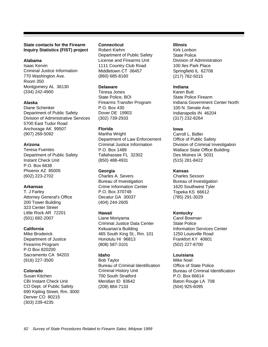## **State contacts for the Firearm Inquiry Statistics (FIST) project**

# **Alabama**

Isaac Kervin Criminal Justice Information 770 Washington Ave. Room 350 Montgomery AL 36130 (334) 242-4900

## **Alaska**

Diane Schenker Department of Public Safety Division of Administrative Services 5700 East Tudor Road Anchorage AK 99507 (907) 269-5092

## **Arizona**

Teresa Fuentes Department of Public Safety Instant Check Unit P.O. Box 6638 Phoenix AZ 85005 (602) 223-2702

## **Arkansas**

T. J Farley Attorney General's Office 200 Tower Building 323 Center Street Little Rock AR 72201 (501) 682-2007

#### **California**

Mike Broderick Department of Justice Firearms Program P.O Box 820200 Sacramento CA 94203 (916) 227-3500

# **Colorado**

Susan Kitchen CBI Instant Check Unit CO Dept. of Public Safety 690 Kipling Street, Rm. 3000 Denver CO 80215 (303) 239-4235

## **Connecticut**

Robert Kiehm Department of Public Safety License and Firearms Unit 1111 Country Club Road Middletown CT 06457 (860) 685-8160

## **Delaware**

Teresa Jones State Police, BOI Firearms Transfer Program P.O. Box 430 Dover DE 19903 (302) 739-2933

# **Florida**

Martha Wright Department of Law Enforcement Criminal Justice Information P.O. Box 1489 Tallahassee FL 32302 (850) 488-4931

# **Georgia**

Charles A. Severs Bureau of Investigation Crime Information Center P.O. Box 370748 Decatur GA 30037 (404) 244-2605

#### **Hawaii**

Liane Moriyama Criminal Justice Data Center Kekuanao'a Building 465 South King St., Rm. 101 Honolulu HI 96813 (808) 587-3101

# **Idaho**

Bob Taylor Bureau of Criminal Identification Criminal History Unit 700 South Stratford Meridian ID 83642 (208) 884-7133

#### **Illinois**

Kirk Lonbon State Police Division of Administration 100 Iles Park Place Springfield IL 62708 (217) 782-5015

# **Indiana**

Karen Butt State Police Firearm Indiana Government Center North 100 N. Senate Ave. Indianapolis IN 46204 (317) 232-8264

# **Iowa**

Carroll L. Bidler Office of Public Safety Division of Criminal Investigation Wallace State Office Building Des Moines IA 5031 (515) 281-8422

## **Kansas**

Charles Sexson Bureau of Investigation 1620 Southwest Tyler Topeka KS 66612 (785) 291-3029

# **Kentucky**

Carol Bowman State Police Information Services Center 1250 Louisville Road Frankfort KY 40601 (502) 227-8700

#### **Louisiana**

Mike Noel Office of State Police Bureau of Criminal Identification P.O. Box 66614 Baton Rouge LA 708 (504) 925-6095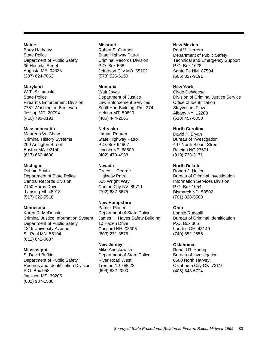#### **Maine**

Barry Hathawy State Police Department of Public Safety 36 Hospital Street Augusta ME 04333 (207) 624-7062

#### **Maryland**

W.T. Szimanski State Police Firearms Enforcement Division 7751 Washington Boulevard Jessup MD 20794 (410) 799-0191

#### **Massachusetts**

Maureen W. Chew Criminal History Systems 200 Arlington Street Boston MA 02150 (617) 660-4600

## **Michigan**

Debbie Smith Department of State Police Central Records Division 7150 Harris Drive Lansing MI 48913 (517) 322-5518

#### **Minnesota**

Karen R. McDonald Criminal Justice Information System Department of Public Safety 1246 University Avenue St. Paul MN 55104 (612) 642-0687

#### **Mississippi**

S. David Bufkin Department of Public Safety Records and Identification Division P.O. Box 958 Jackson MS 39205 (601) 987-1586

#### **Missouri**

Robert E. Gartner State Highway Patrol Criminal Records Division P.O. Box 568 Jefferson City MO 65102 (573) 526-6160

#### **Montana**

Walt Joyce Department of Justice Law Enforcement Services Scott Hart Building, Rm. 374 Helena MT 59620 (406) 444-2966

#### **Nebraska**

Lathan Rohren State Highway Patrol P.O. Box 94907 Lincoln NE 68509 (402) 479-4938

#### **Nevada**

Grace L. George Highway Patrol 555 Wright Way Carson City NV 89711 (702) 687-6675

#### **New Hampshire**

Patrick Poirier Department of State Police James H. Hayes Safety Building 10 Hazen Drive Concord NH 03305 (603) 271-3575

#### **New Jersey**

Mike Aneskewich Department of State Police River Road West Trenton NJ 08628 (609) 882-2000

#### **New Mexico**

Paul V. Herrera Department of Public Safety Technical and Emergency Support P.O. Box 1628 Sante Fe NM 87504 (505) 827-9191

#### **New York**

Clyde DeWeese Division of Criminal Justice Service Office of Identification Stuyvesant Plaza Albany NY 12203 (518) 457-6050

#### **North Carolina**

David P. Bryan Bureau of Investigation 407 North Blount Street Raleigh NC 27601 (919) 733-3171

## **North Dakota**

Robert J. Helten Bureau of Criminal Investigation Information Services Division P.O. Box 1054 Bismarck ND 58502 (701) 328-5500

#### **Ohio**

Lonnie Rudasill Bureau of Criminal Identification P.O. Box 365 London OH 43140 (740) 852-2556

#### **Oklahoma**

Ronald R. Young Bureau of Investigation 6600 North Harvey, Oklahoma City OK 73116 (405) 848-6724